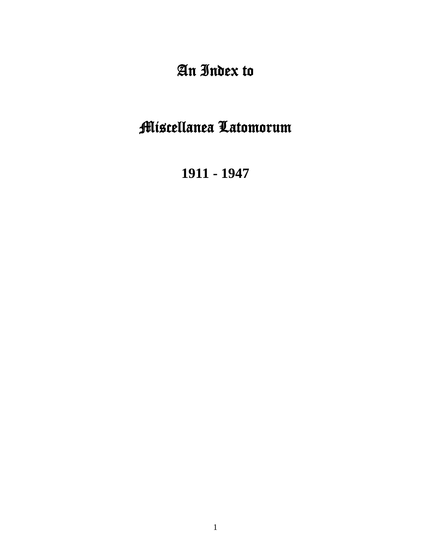# An Index to

# Miscellanea Latomorum

**1911 - 1947**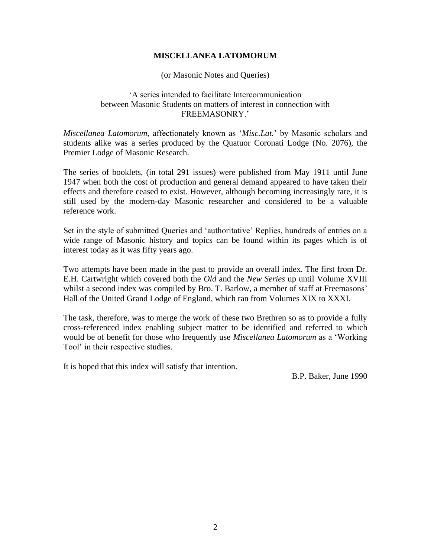### **MISCELLANEA LATOMORUM**

(or Masonic Notes and Queries)

### 'A series intended to facilitate Intercommunication between Masonic Students on matters of interest in connection with FREEMASONRY.'

*Miscellanea Latomorum*, affectionately known as '*Misc.Lat.*' by Masonic scholars and students alike was a series produced by the Quatuor Coronati Lodge (No. 2076), the Premier Lodge of Masonic Research.

The series of booklets, (in total 291 issues) were published from May 1911 until June 1947 when both the cost of production and general demand appeared to have taken their effects and therefore ceased to exist. However, although becoming increasingly rare, it is still used by the modern-day Masonic researcher and considered to be a valuable reference work.

Set in the style of submitted Queries and 'authoritative' Replies, hundreds of entries on a wide range of Masonic history and topics can be found within its pages which is of interest today as it was fifty years ago.

Two attempts have been made in the past to provide an overall index. The first from Dr. E.H. Cartwright which covered both the *Old* and the *New Series* up until Volume XVIII whilst a second index was compiled by Bro. T. Barlow, a member of staff at Freemasons' Hall of the United Grand Lodge of England, which ran from Volumes XIX to XXXI.

The task, therefore, was to merge the work of these two Brethren so as to provide a fully cross-referenced index enabling subject matter to be identified and referred to which would be of benefit for those who frequently use *Miscellanea Latomorum* as a 'Working Tool' in their respective studies.

It is hoped that this index will satisfy that intention.

B.P. Baker, June 1990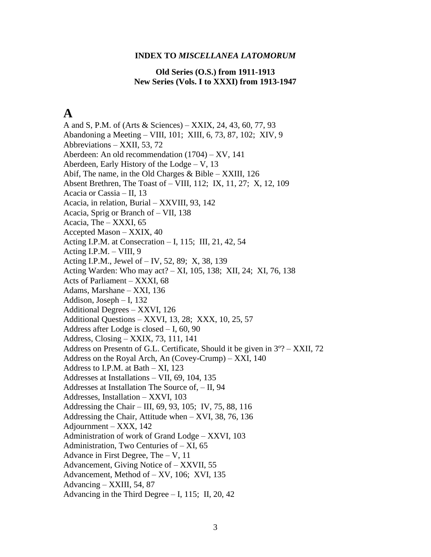#### **INDEX TO** *MISCELLANEA LATOMORUM*

#### **Old Series (O.S.) from 1911-1913 New Series (Vols. I to XXXI) from 1913-1947**

## **A**

A and S, P.M. of (Arts & Sciences) – XXIX, 24, 43, 60, 77, 93 Abandoning a Meeting – VIII, 101; XIII, 6, 73, 87, 102; XIV, 9 Abbreviations – XXII, 53, 72 Aberdeen: An old recommendation (1704) – XV, 141 Aberdeen, Early History of the Lodge – V, 13 Abif, The name, in the Old Charges & Bible – XXIII, 126 Absent Brethren, The Toast of – VIII, 112; IX, 11, 27; X, 12, 109 Acacia or Cassia – II, 13 Acacia, in relation, Burial – XXVIII, 93, 142 Acacia, Sprig or Branch of – VII, 138 Acacia, The – XXXI, 65 Accepted Mason – XXIX, 40 Acting I.P.M. at Consecration – I, 115; III, 21, 42, 54 Acting I.P.M. – VIII, 9 Acting I.P.M., Jewel of – IV, 52, 89; X, 38, 139 Acting Warden: Who may act? – XI, 105, 138; XII, 24; XI, 76, 138 Acts of Parliament – XXXI, 68 Adams, Marshane – XXI, 136 Addison, Joseph – I, 132 Additional Degrees – XXVI, 126 Additional Questions – XXVI, 13, 28; XXX, 10, 25, 57 Address after Lodge is closed – I, 60, 90 Address, Closing – XXIX, 73, 111, 141 Address on Presentn of G.L. Certificate, Should it be given in 3º? – XXII, 72 Address on the Royal Arch, An (Covey-Crump) – XXI, 140 Address to I.P.M. at Bath – XI, 123 Addresses at Installations – VII, 69, 104, 135 Addresses at Installation The Source of, – II, 94 Addresses, Installation – XXVI, 103 Addressing the Chair – III, 69, 93, 105; IV, 75, 88, 116 Addressing the Chair, Attitude when – XVI, 38, 76, 136 Adjournment – XXX, 142 Administration of work of Grand Lodge – XXVI, 103 Administration, Two Centuries of – XI, 65 Advance in First Degree, The – V, 11 Advancement, Giving Notice of – XXVII, 55 Advancement, Method of – XV, 106; XVI, 135 Advancing – XXIII, 54, 87 Advancing in the Third Degree  $-$  I, 115; II, 20, 42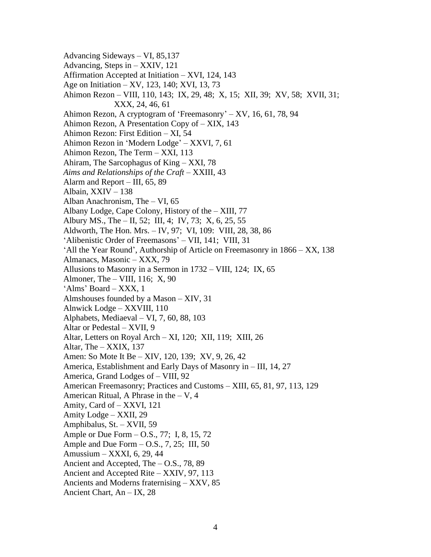- Advancing Sideways VI, 85,137 Advancing, Steps in – XXIV, 121 Affirmation Accepted at Initiation – XVI, 124, 143 Age on Initiation – XV, 123, 140; XVI, 13, 73 Ahimon Rezon – VIII, 110, 143; IX, 29, 48; X, 15; XII, 39; XV, 58; XVII, 31; XXX, 24, 46, 61 Ahimon Rezon, A cryptogram of 'Freemasonry' – XV, 16, 61, 78, 94 Ahimon Rezon, A Presentation Copy of – XIX, 143 Ahimon Rezon: First Edition – XI, 54 Ahimon Rezon in 'Modern Lodge' – XXVI, 7, 61 Ahimon Rezon, The Term – XXI, 113 Ahiram, The Sarcophagus of King – XXI, 78 *Aims and Relationships of the Craft* – XXIII, 43 Alarm and Report – III, 65, 89 Albain, XXIV – 138 Alban Anachronism, The – VI, 65 Albany Lodge, Cape Colony, History of the – XIII, 77 Albury MS., The – II, 52; III, 4; IV, 73; X, 6, 25, 55 Aldworth, The Hon. Mrs. – IV, 97; VI, 109: VIII, 28, 38, 86 'Alibenistic Order of Freemasons' – VII, 141; VIII, 31 'All the Year Round', Authorship of Article on Freemasonry in 1866 – XX, 138 Almanacs, Masonic – XXX, 79 Allusions to Masonry in a Sermon in 1732 – VIII, 124; IX, 65 Almoner, The – VIII, 116; X, 90 'Alms' Board – XXX, 1 Almshouses founded by a Mason – XIV, 31 Alnwick Lodge – XXVIII, 110 Alphabets, Mediaeval – VI, 7, 60, 88, 103 Altar or Pedestal – XVII, 9 Altar, Letters on Royal Arch – XI, 120; XII, 119; XIII, 26 Altar, The – XXIX, 137 Amen: So Mote It Be – XIV, 120, 139; XV, 9, 26, 42 America, Establishment and Early Days of Masonry in – III, 14, 27 America, Grand Lodges of – VIII, 92 American Freemasonry; Practices and Customs – XIII, 65, 81, 97, 113, 129 American Ritual, A Phrase in the  $- V$ , 4 Amity, Card of – XXVI, 121 Amity Lodge – XXII, 29 Amphibalus, St. – XVII, 59 Ample or Due Form – O.S., 77; I, 8, 15, 72 Ample and Due Form  $-$  O.S., 7, 25; III, 50 Amussium – XXXI, 6, 29, 44 Ancient and Accepted, The – O.S., 78, 89 Ancient and Accepted Rite – XXIV, 97, 113 Ancients and Moderns fraternising – XXV, 85
- Ancient Chart, An IX, 28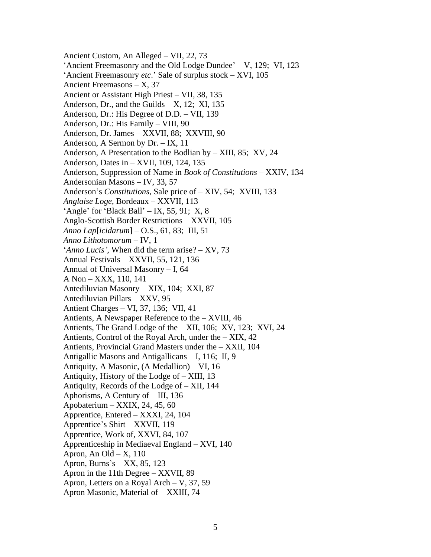Ancient Custom, An Alleged – VII, 22, 73 'Ancient Freemasonry and the Old Lodge Dundee' – V, 129; VI, 123 'Ancient Freemasonry *etc*.' Sale of surplus stock – XVI, 105 Ancient Freemasons – X, 37 Ancient or Assistant High Priest – VII, 38, 135 Anderson, Dr., and the Guilds  $- X$ , 12; XI, 135 Anderson, Dr.: His Degree of D.D. – VII, 139 Anderson, Dr.: His Family – VIII, 90 Anderson, Dr. James – XXVII, 88; XXVIII, 90 Anderson, A Sermon by Dr. – IX, 11 Anderson, A Presentation to the Bodlian by – XIII, 85; XV, 24 Anderson, Dates in – XVII, 109, 124, 135 Anderson, Suppression of Name in *Book of Constitutions* – XXIV, 134 Andersonian Masons – IV, 33, 57 Anderson's *Constitutions*, Sale price of – XIV, 54; XVIII, 133 *Anglaise Loge*, Bordeaux – XXVII, 113 'Angle' for 'Black Ball' – IX, 55, 91; X, 8 Anglo-Scottish Border Restrictions – XXVII, 105 *Anno Lap*[*icidarum*] – O.S., 61, 83; III, 51 *Anno Lithotomorum* – IV, 1 '*Anno Lucis'*, When did the term arise? – XV, 73 Annual Festivals – XXVII, 55, 121, 136 Annual of Universal Masonry – I, 64 A Non – XXX, 110, 141 Antediluvian Masonry – XIX, 104; XXI, 87 Antediluvian Pillars – XXV, 95 Antient Charges – VI, 37, 136; VII, 41 Antients, A Newspaper Reference to the – XVIII, 46 Antients, The Grand Lodge of the – XII, 106; XV, 123; XVI, 24 Antients, Control of the Royal Arch, under the – XIX, 42 Antients, Provincial Grand Masters under the – XXII, 104 Antigallic Masons and Antigallicans – I, 116; II, 9 Antiquity, A Masonic, (A Medallion) – VI, 16 Antiquity, History of the Lodge of – XIII, 13 Antiquity, Records of the Lodge of – XII, 144 Aphorisms, A Century of – III, 136 Apobaterium – XXIX, 24, 45, 60 Apprentice, Entered – XXXI, 24, 104 Apprentice's Shirt – XXVII, 119 Apprentice, Work of, XXVI, 84, 107 Apprenticeship in Mediaeval England – XVI, 140 Apron, An Old –  $X$ , 110 Apron, Burns's – XX, 85, 123 Apron in the 11th Degree – XXVII, 89 Apron, Letters on a Royal Arch – V, 37, 59 Apron Masonic, Material of – XXIII, 74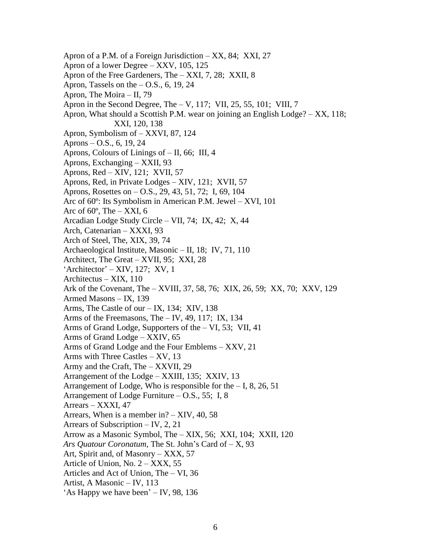Apron of a P.M. of a Foreign Jurisdiction – XX, 84; XXI, 27 Apron of a lower Degree – XXV, 105, 125 Apron of the Free Gardeners, The – XXI, 7, 28; XXII, 8 Apron, Tassels on the  $-$  O.S., 6, 19, 24 Apron, The Moira – II, 79 Apron in the Second Degree, The – V, 117; VII, 25, 55, 101; VIII, 7 Apron, What should a Scottish P.M. wear on joining an English Lodge? – XX, 118; XXI, 120, 138 Apron, Symbolism of – XXVI, 87, 124 Aprons – O.S., 6, 19, 24 Aprons, Colours of Linings of – II, 66; III, 4 Aprons, Exchanging – XXII, 93 Aprons, Red – XIV, 121; XVII, 57 Aprons, Red, in Private Lodges – XIV, 121; XVII, 57 Aprons, Rosettes on – O.S., 29, 43, 51, 72; I, 69, 104 Arc of 60º: Its Symbolism in American P.M. Jewel – XVI, 101 Arc of  $60^\circ$ , The  $-$  XXI, 6 Arcadian Lodge Study Circle – VII, 74; IX, 42; X, 44 Arch, Catenarian – XXXI, 93 Arch of Steel, The, XIX, 39, 74 Archaeological Institute, Masonic – II, 18; IV, 71, 110 Architect, The Great – XVII, 95; XXI, 28 'Architector' – XIV, 127; XV, 1 Architectus – XIX, 110 Ark of the Covenant, The – XVIII, 37, 58, 76; XIX, 26, 59; XX, 70; XXV, 129 Armed Masons – IX, 139 Arms, The Castle of our – IX, 134; XIV, 138 Arms of the Freemasons, The – IV, 49, 117; IX, 134 Arms of Grand Lodge, Supporters of the – VI, 53; VII, 41 Arms of Grand Lodge – XXIV, 65 Arms of Grand Lodge and the Four Emblems – XXV, 21 Arms with Three Castles – XV, 13 Army and the Craft, The – XXVII, 29 Arrangement of the Lodge – XXIII, 135; XXIV, 13 Arrangement of Lodge, Who is responsible for the  $-1, 8, 26, 51$ Arrangement of Lodge Furniture – O.S., 55; I, 8 Arrears – XXXI, 47 Arrears, When is a member in? – XIV, 40, 58 Arrears of Subscription – IV, 2, 21 Arrow as a Masonic Symbol, The – XIX, 56; XXI, 104; XXII, 120 *Ars Quatour Coronatum*, The St. John's Card of – X, 93 Art, Spirit and, of Masonry – XXX, 57 Article of Union, No.  $2 - XXX$ , 55 Articles and Act of Union, The – VI, 36 Artist, A Masonic – IV, 113 'As Happy we have been' – IV, 98, 136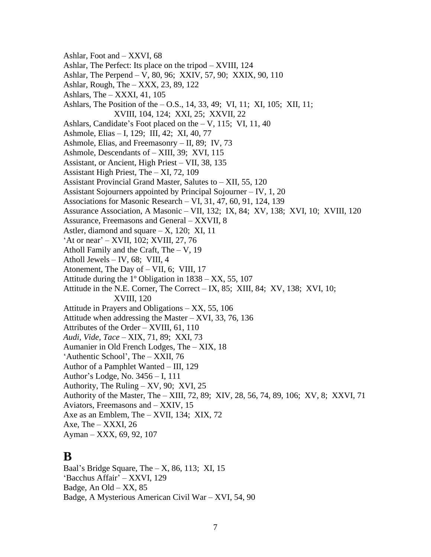Ashlar, Foot and – XXVI, 68 Ashlar, The Perfect: Its place on the tripod – XVIII, 124 Ashlar, The Perpend – V, 80, 96; XXIV, 57, 90; XXIX, 90, 110 Ashlar, Rough, The – XXX, 23, 89, 122 Ashlars, The  $-$  XXXI, 41, 105 Ashlars, The Position of the – O.S., 14, 33, 49; VI, 11; XI, 105; XII, 11; XVIII, 104, 124; XXI, 25; XXVII, 22 Ashlars, Candidate's Foot placed on the – V, 115; VI, 11, 40 Ashmole, Elias – I, 129; III, 42; XI, 40, 77 Ashmole, Elias, and Freemasonry – II, 89; IV, 73 Ashmole, Descendants of – XIII, 39; XVI, 115 Assistant, or Ancient, High Priest – VII, 38, 135 Assistant High Priest, The – XI, 72, 109 Assistant Provincial Grand Master, Salutes to – XII, 55, 120 Assistant Sojourners appointed by Principal Sojourner – IV, 1, 20 Associations for Masonic Research – VI, 31, 47, 60, 91, 124, 139 Assurance Association, A Masonic – VII, 132; IX, 84; XV, 138; XVI, 10; XVIII, 120 Assurance, Freemasons and General – XXVII, 8 Astler, diamond and square  $- X$ , 120; XI, 11 'At or near' – XVII, 102; XVIII, 27, 76 Atholl Family and the Craft, The – V, 19 Atholl Jewels – IV, 68; VIII, 4 Atonement, The Day of – VII, 6; VIII, 17 Attitude during the 1º Obligation in 1838 – XX, 55, 107 Attitude in the N.E. Corner, The Correct – IX, 85; XIII, 84; XV, 138; XVI, 10; XVIII, 120 Attitude in Prayers and Obligations – XX, 55, 106 Attitude when addressing the Master – XVI, 33, 76, 136 Attributes of the Order – XVIII, 61, 110 *Audi, Vide, Tace* – XIX, 71, 89; XXI, 73 Aumanier in Old French Lodges, The – XIX, 18 'Authentic School', The – XXII, 76 Author of a Pamphlet Wanted – III, 129 Author's Lodge, No. 3456 – I, 111 Authority, The Ruling – XV, 90; XVI, 25 Authority of the Master, The – XIII, 72, 89; XIV, 28, 56, 74, 89, 106; XV, 8; XXVI, 71 Aviators, Freemasons and – XXIV, 15 Axe as an Emblem, The – XVII, 134; XIX, 72 Axe, The – XXXI, 26 Ayman – XXX, 69, 92, 107 **B**

Baal's Bridge Square, The  $- X$ , 86, 113; XI, 15 'Bacchus Affair' – XXVI, 129 Badge, An Old –  $XX$ , 85 Badge, A Mysterious American Civil War – XVI, 54, 90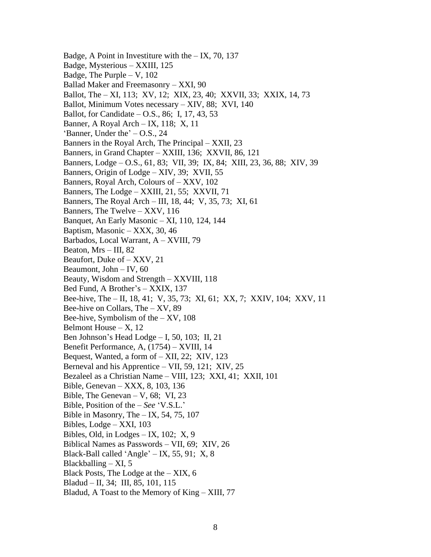Badge, A Point in Investiture with the  $-$  IX, 70, 137 Badge, Mysterious – XXIII, 125 Badge, The Purple – V, 102 Ballad Maker and Freemasonry – XXI, 90 Ballot, The – XI, 113; XV, 12; XIX, 23, 40; XXVII, 33; XXIX, 14, 73 Ballot, Minimum Votes necessary – XIV, 88; XVI, 140 Ballot, for Candidate – O.S., 86; I, 17, 43, 53 Banner, A Royal Arch – IX, 118; X, 11 'Banner, Under the' – O.S., 24 Banners in the Royal Arch, The Principal – XXII, 23 Banners, in Grand Chapter – XXIII, 136; XXVII, 86, 121 Banners, Lodge – O.S., 61, 83; VII, 39; IX, 84; XIII, 23, 36, 88; XIV, 39 Banners, Origin of Lodge – XIV, 39; XVII, 55 Banners, Royal Arch, Colours of – XXV, 102 Banners, The Lodge – XXIII, 21, 55; XXVII, 71 Banners, The Royal Arch – III, 18, 44; V, 35, 73; XI, 61 Banners, The Twelve – XXV, 116 Banquet, An Early Masonic – XI, 110, 124, 144 Baptism, Masonic – XXX, 30, 46 Barbados, Local Warrant, A – XVIII, 79 Beaton, Mrs – III, 82 Beaufort, Duke of – XXV, 21 Beaumont, John – IV, 60 Beauty, Wisdom and Strength – XXVIII, 118 Bed Fund, A Brother's – XXIX, 137 Bee-hive, The – II, 18, 41; V, 35, 73; XI, 61; XX, 7; XXIV, 104; XXV, 11 Bee-hive on Collars, The – XV, 89 Bee-hive, Symbolism of the  $- XY$ , 108 Belmont House  $- X$ , 12 Ben Johnson's Head Lodge – I, 50, 103; II, 21 Benefit Performance, A, (1754) – XVIII, 14 Bequest, Wanted, a form of – XII, 22; XIV, 123 Berneval and his Apprentice – VII, 59, 121; XIV, 25 Bezaleel as a Christian Name – VIII, 123; XXI, 41; XXII, 101 Bible, Genevan – XXX, 8, 103, 136 Bible, The Genevan – V, 68; VI, 23 Bible, Position of the – *See* 'V.S.L.' Bible in Masonry, The  $-$  IX, 54, 75, 107 Bibles, Lodge – XXI, 103 Bibles, Old, in Lodges  $-$  IX, 102; X, 9 Biblical Names as Passwords – VII, 69; XIV, 26 Black-Ball called 'Angle' – IX, 55, 91; X, 8 Blackballing  $- XI$ , 5 Black Posts, The Lodge at the – XIX, 6 Bladud – II, 34; III, 85, 101, 115 Bladud, A Toast to the Memory of King – XIII, 77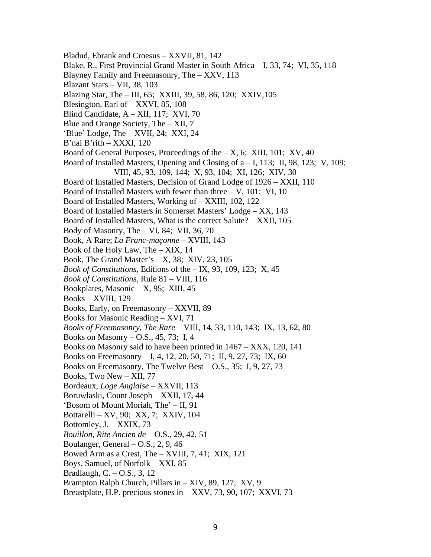Bladud, Ebrank and Croesus – XXVII, 81, 142 Blake, R., First Provincial Grand Master in South Africa – I, 33, 74; VI, 35, 118 Blayney Family and Freemasonry, The – XXV, 113 Blazant Stars – VII, 38, 103 Blazing Star, The – III, 65; XXIII, 39, 58, 86, 120; XXIV,105 Blesington, Earl of – XXVI, 85, 108 Blind Candidate, A – XII, 117; XVI, 70 Blue and Orange Society, The – XII, 7 'Blue' Lodge, The – XVII, 24; XXI, 24 B'nai B'rith – XXXI, 120 Board of General Purposes, Proceedings of the  $- X$ , 6; XIII, 101; XV, 40 Board of Installed Masters, Opening and Closing of a – I, 113; II, 98, 123; V, 109; VIII, 45, 93, 109, 144; X, 93, 104; XI, 126; XIV, 30 Board of Installed Masters, Decision of Grand Lodge of 1926 – XXII, 110 Board of Installed Masters with fewer than three  $-V$ , 101; VI, 10 Board of Installed Masters, Working of – XXIII, 102, 122 Board of Installed Masters in Somerset Masters' Lodge – XX, 143 Board of Installed Masters, What is the correct Salute? – XXII, 105 Body of Masonry, The  $- VI$ , 84; VII, 36, 70 Book, A Rare; *La Franc-maçonne* – XVIII, 143 Book of the Holy Law, The – XIX, 14 Book, The Grand Master's  $- X$ , 38; XIV, 23, 105 *Book of Constitutions*, Editions of the – IX, 93, 109, 123; X, 45 *Book of Constitutions*, Rule 81 – VIII, 116 Bookplates, Masonic  $- X$ , 95; XIII, 45 Books – XVIII, 129 Books, Early, on Freemasonry – XXVII, 89 Books for Masonic Reading – XVI, 71 *Books of Freemasonry, The Rare* – VIII, 14, 33, 110, 143; IX, 13, 62, 80 Books on Masonry – O.S., 45, 73; I, 4 Books on Masonry said to have been printed in 1467 – XXX, 120, 141 Books on Freemasonry – I, 4, 12, 20, 50, 71; II, 9, 27, 73; IX, 60 Books on Freemasonry, The Twelve Best – O.S., 35; I, 9, 27, 73 Books, Two New – XII, 77 Bordeaux, *Loge Anglaise* – XXVII, 113 Boruwlaski, Count Joseph – XXII, 17, 44 'Bosom of Mount Moriah, The' – II, 91 Bottarelli – XV, 90; XX, 7; XXIV, 104 Bottomley, J. – XXIX, 73 *Bouillon, Rite Ancien de* – O.S., 29, 42, 51 Boulanger, General  $-$  O.S., 2, 9, 46 Bowed Arm as a Crest, The – XVIII, 7, 41; XIX, 121 Boys, Samuel, of Norfolk – XXI, 85 Bradlaugh, C. – O.S., 3, 12 Brampton Ralph Church, Pillars in – XIV, 89, 127; XV, 9 Breastplate, H.P. precious stones in – XXV, 73, 90, 107; XXVI, 73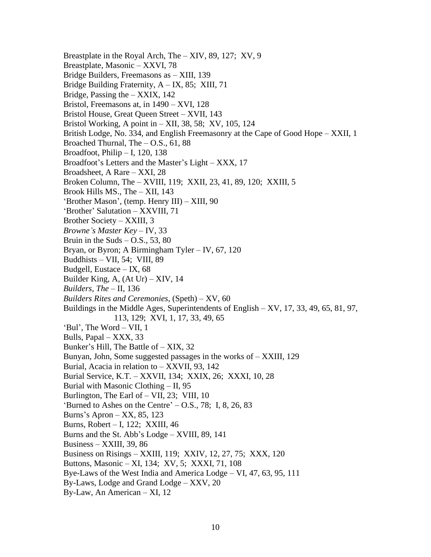Breastplate in the Royal Arch, The – XIV, 89, 127; XV, 9 Breastplate, Masonic – XXVI, 78 Bridge Builders, Freemasons as – XIII, 139 Bridge Building Fraternity, A – IX, 85; XIII, 71 Bridge, Passing the – XXIX, 142 Bristol, Freemasons at, in 1490 – XVI, 128 Bristol House, Great Queen Street – XVII, 143 Bristol Working, A point in – XII, 38, 58; XV, 105, 124 British Lodge, No. 334, and English Freemasonry at the Cape of Good Hope – XXII, 1 Broached Thurnal, The  $-$  O.S., 61, 88 Broadfoot, Philip  $- I$ , 120, 138 Broadfoot's Letters and the Master's Light – XXX, 17 Broadsheet, A Rare – XXI, 28 Broken Column, The – XVIII, 119; XXII, 23, 41, 89, 120; XXIII, 5 Brook Hills MS., The – XII, 143 'Brother Mason', (temp. Henry III) – XIII, 90 'Brother' Salutation – XXVIII, 71 Brother Society – XXIII, 3 *Browne's Master Key* – IV, 33 Bruin in the Suds  $-$  O.S., 53, 80 Bryan, or Byron; A Birmingham Tyler – IV, 67, 120 Buddhists – VII, 54; VIII, 89 Budgell, Eustace – IX, 68 Builder King, A, (At Ur) – XIV, 14 *Builders, The* – II, 136 *Builders Rites and Ceremonies*, (Speth) – XV, 60 Buildings in the Middle Ages, Superintendents of English – XV, 17, 33, 49, 65, 81, 97, 113, 129; XVI, 1, 17, 33, 49, 65 'Bul', The Word – VII, 1 Bulls, Papal – XXX, 33 Bunker's Hill, The Battle of – XIX, 32 Bunyan, John, Some suggested passages in the works of – XXIII, 129 Burial, Acacia in relation to – XXVII, 93, 142 Burial Service, K.T. – XXVII, 134; XXIX, 26; XXXI, 10, 28 Burial with Masonic Clothing – II, 95 Burlington, The Earl of – VII, 23; VIII, 10 'Burned to Ashes on the Centre'  $-$  O.S., 78; I, 8, 26, 83 Burns's Apron – XX, 85, 123 Burns, Robert – I, 122; XXIII, 46 Burns and the St. Abb's Lodge – XVIII, 89, 141 Business – XXIII, 39, 86 Business on Risings – XXIII, 119; XXIV, 12, 27, 75; XXX, 120 Buttons, Masonic – XI, 134; XV, 5; XXXI, 71, 108 Bye-Laws of the West India and America Lodge – VI, 47, 63, 95, 111 By-Laws, Lodge and Grand Lodge – XXV, 20 By-Law, An American – XI, 12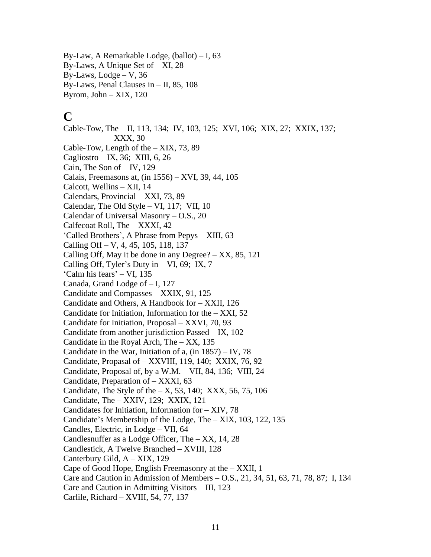By-Law, A Remarkable Lodge, (ballot) – I, 63 By-Laws, A Unique Set of – XI, 28 By-Laws,  $Lodge - V$ , 36 By-Laws, Penal Clauses in – II, 85, 108 Byrom, John – XIX, 120

# **C**

Cable-Tow, The – II, 113, 134; IV, 103, 125; XVI, 106; XIX, 27; XXIX, 137; XXX, 30 Cable-Tow, Length of the – XIX, 73, 89 Cagliostro – IX, 36; XIII, 6, 26 Cain, The Son of – IV, 129 Calais, Freemasons at, (in 1556) – XVI, 39, 44, 105 Calcott, Wellins – XII, 14 Calendars, Provincial – XXI, 73, 89 Calendar, The Old Style – VI, 117; VII, 10 Calendar of Universal Masonry – O.S., 20 Calfecoat Roll, The – XXXI, 42 'Called Brothers', A Phrase from Pepys – XIII, 63 Calling Off – V, 4, 45, 105, 118, 137 Calling Off, May it be done in any Degree?  $-$  XX, 85, 121 Calling Off, Tyler's Duty in  $- VI$ , 69; IX, 7 'Calm his fears' – VI, 135 Canada, Grand Lodge of – I, 127 Candidate and Compasses – XXIX, 91, 125 Candidate and Others, A Handbook for – XXII, 126 Candidate for Initiation, Information for the  $-$  XXI, 52 Candidate for Initiation, Proposal – XXVI, 70, 93 Candidate from another jurisdiction Passed – IX, 102 Candidate in the Royal Arch, The – XX, 135 Candidate in the War, Initiation of a,  $(in 1857) - IV, 78$ Candidate, Propasal of – XXVIII, 119, 140; XXIX, 76, 92 Candidate, Proposal of, by a W.M. – VII, 84, 136; VIII, 24 Candidate, Preparation of – XXXI, 63 Candidate, The Style of the  $- X$ , 53, 140; XXX, 56, 75, 106 Candidate, The – XXIV, 129; XXIX, 121 Candidates for Initiation, Information for – XIV, 78 Candidate's Membership of the Lodge, The – XIX, 103, 122, 135 Candles, Electric, in Lodge – VII, 64 Candlesnuffer as a Lodge Officer, The – XX, 14, 28 Candlestick, A Twelve Branched – XVIII, 128 Canterbury Gild, A – XIX, 129 Cape of Good Hope, English Freemasonry at the – XXII, 1 Care and Caution in Admission of Members – O.S., 21, 34, 51, 63, 71, 78, 87; I, 134 Care and Caution in Admitting Visitors – III, 123 Carlile, Richard – XVIII, 54, 77, 137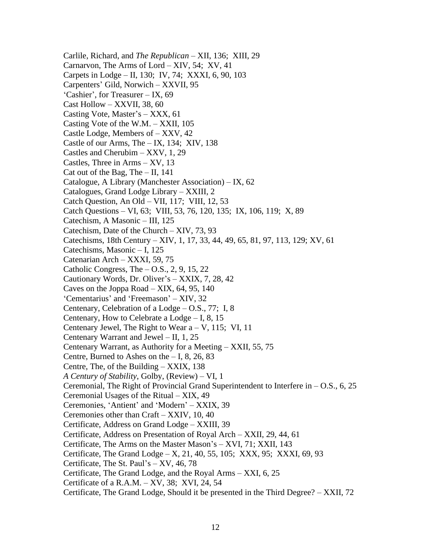Carlile, Richard, and *The Republican* – XII, 136; XIII, 29 Carnarvon, The Arms of Lord – XIV, 54; XV, 41 Carpets in Lodge – II, 130; IV, 74; XXXI, 6, 90, 103 Carpenters' Gild, Norwich – XXVII, 95 'Cashier', for Treasurer – IX, 69 Cast Hollow – XXVII, 38, 60 Casting Vote, Master's – XXX, 61 Casting Vote of the W.M. – XXII, 105 Castle Lodge, Members of – XXV, 42 Castle of our Arms, The – IX, 134; XIV, 138 Castles and Cherubim – XXV, 1, 29 Castles, Three in Arms – XV, 13 Cat out of the Bag, The  $-$  II, 141 Catalogue, A Library (Manchester Association) – IX, 62 Catalogues, Grand Lodge Library – XXIII, 2 Catch Question, An Old – VII, 117; VIII, 12, 53 Catch Questions – VI, 63; VIII, 53, 76, 120, 135; IX, 106, 119; X, 89 Catechism, A Masonic – III, 125 Catechism, Date of the Church – XIV, 73, 93 Catechisms, 18th Century – XIV, 1, 17, 33, 44, 49, 65, 81, 97, 113, 129; XV, 61 Catechisms, Masonic – I, 125 Catenarian Arch – XXXI, 59, 75 Catholic Congress, The  $-$  O.S., 2, 9, 15, 22 Cautionary Words, Dr. Oliver's – XXIX, 7, 28, 42 Caves on the Joppa Road – XIX, 64, 95, 140 'Cementarius' and 'Freemason' – XIV, 32 Centenary, Celebration of a Lodge – O.S., 77; I, 8 Centenary, How to Celebrate a Lodge – I, 8, 15 Centenary Jewel, The Right to Wear  $a - V$ , 115; VI, 11 Centenary Warrant and Jewel – II, 1, 25 Centenary Warrant, as Authority for a Meeting – XXII, 55, 75 Centre, Burned to Ashes on the  $-1, 8, 26, 83$ Centre, The, of the Building – XXIX, 138 *A Century of Stability*, Golby, (Review) – VI, 1 Ceremonial, The Right of Provincial Grand Superintendent to Interfere in  $-$  O.S., 6, 25 Ceremonial Usages of the Ritual – XIX, 49 Ceremonies, 'Antient' and 'Modern' – XXIX, 39 Ceremonies other than Craft – XXIV, 10, 40 Certificate, Address on Grand Lodge – XXIII, 39 Certificate, Address on Presentation of Royal Arch – XXII, 29, 44, 61 Certificate, The Arms on the Master Mason's – XVI, 71; XXII, 143 Certificate, The Grand Lodge  $- X$ , 21, 40, 55, 105; XXX, 95; XXXI, 69, 93 Certificate, The St. Paul's – XV, 46, 78 Certificate, The Grand Lodge, and the Royal Arms – XXI, 6, 25 Certificate of a R.A.M. – XV, 38; XVI, 24, 54 Certificate, The Grand Lodge, Should it be presented in the Third Degree? – XXII, 72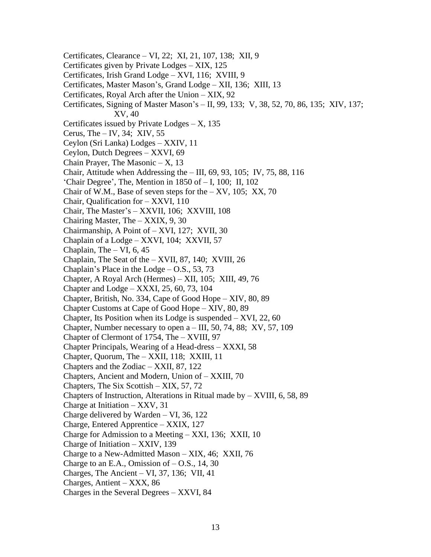Certificates, Clearance – VI, 22; XI, 21, 107, 138; XII, 9 Certificates given by Private Lodges – XIX, 125 Certificates, Irish Grand Lodge – XVI, 116; XVIII, 9 Certificates, Master Mason's, Grand Lodge – XII, 136; XIII, 13 Certificates, Royal Arch after the Union – XIX, 92 Certificates, Signing of Master Mason's – II, 99, 133; V, 38, 52, 70, 86, 135; XIV, 137; XV, 40 Certificates issued by Private Lodges  $- X$ , 135 Cerus, The  $-$  IV, 34; XIV, 55 Ceylon (Sri Lanka) Lodges – XXIV, 11 Ceylon, Dutch Degrees – XXVI, 69 Chain Prayer, The Masonic  $- X$ , 13 Chair, Attitude when Addressing the  $-$  III, 69, 93, 105; IV, 75, 88, 116 'Chair Degree', The, Mention in 1850 of – I, 100; II, 102 Chair of W.M., Base of seven steps for the  $- XY$ , 105; XX, 70 Chair, Qualification for – XXVI, 110 Chair, The Master's – XXVII, 106; XXVIII, 108 Chairing Master, The – XXIX, 9, 30 Chairmanship, A Point of – XVI, 127; XVII, 30 Chaplain of a Lodge – XXVI, 104; XXVII, 57 Chaplain, The  $- VI$ , 6, 45 Chaplain, The Seat of the – XVII, 87, 140; XVIII, 26 Chaplain's Place in the Lodge – O.S., 53, 73 Chapter, A Royal Arch (Hermes) – XII, 105; XIII, 49, 76 Chapter and Lodge – XXXI, 25, 60, 73, 104 Chapter, British, No. 334, Cape of Good Hope – XIV, 80, 89 Chapter Customs at Cape of Good Hope – XIV, 80, 89 Chapter, Its Position when its Lodge is suspended – XVI, 22, 60 Chapter, Number necessary to open  $a$  – III, 50, 74, 88; XV, 57, 109 Chapter of Clermont of 1754, The – XVIII, 97 Chapter Principals, Wearing of a Head-dress – XXXI, 58 Chapter, Quorum, The – XXII, 118; XXIII, 11 Chapters and the Zodiac – XXII, 87, 122 Chapters, Ancient and Modern, Union of – XXIII, 70 Chapters, The Six Scottish – XIX, 57, 72 Chapters of Instruction, Alterations in Ritual made by  $-$  XVIII, 6, 58, 89 Charge at Initiation – XXV, 31 Charge delivered by Warden – VI, 36, 122 Charge, Entered Apprentice – XXIX, 127 Charge for Admission to a Meeting – XXI, 136; XXII, 10 Charge of Initiation – XXIV, 139 Charge to a New-Admitted Mason – XIX, 46; XXII, 76 Charge to an E.A., Omission of  $-$  O.S., 14, 30 Charges, The Ancient – VI, 37, 136; VII, 41 Charges, Antient – XXX, 86 Charges in the Several Degrees – XXVI, 84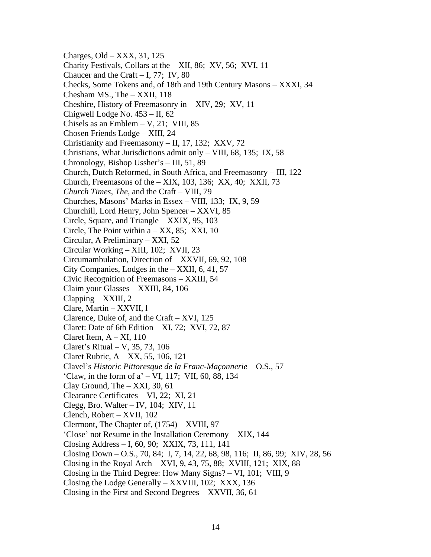Charges, Old – XXX, 31, 125 Charity Festivals, Collars at the – XII, 86; XV, 56; XVI, 11 Chaucer and the Craft – I, 77; IV,  $80$ Checks, Some Tokens and, of 18th and 19th Century Masons – XXXI, 34 Chesham MS., The – XXII, 118 Cheshire, History of Freemasonry in – XIV, 29; XV, 11 Chigwell Lodge No. 453 – II, 62 Chisels as an Emblem  $-$  V, 21; VIII, 85 Chosen Friends Lodge – XIII, 24 Christianity and Freemasonry – II, 17, 132; XXV, 72 Christians, What Jurisdictions admit only – VIII, 68, 135; IX, 58 Chronology, Bishop Ussher's – III, 51, 89 Church, Dutch Reformed, in South Africa, and Freemasonry – III, 122 Church, Freemasons of the – XIX, 103, 136; XX, 40; XXII, 73 *Church Times, The*, and the Craft – VIII, 79 Churches, Masons' Marks in Essex – VIII, 133; IX, 9, 59 Churchill, Lord Henry, John Spencer – XXVI, 85 Circle, Square, and Triangle – XXIX, 95, 103 Circle, The Point within  $a - XX$ , 85; XXI, 10 Circular, A Preliminary – XXI, 52 Circular Working – XIII, 102; XVII, 23 Circumambulation, Direction of – XXVII, 69, 92, 108 City Companies, Lodges in the – XXII, 6, 41, 57 Civic Recognition of Freemasons – XXIII, 54 Claim your Glasses – XXIII, 84, 106 Clapping – XXIII, 2 Clare, Martin – XXVII, l Clarence, Duke of, and the Craft – XVI, 125 Claret: Date of 6th Edition  $- XI$ , 72; XVI, 72, 87 Claret Item,  $A - XI$ , 110 Claret's Ritual – V, 35, 73, 106 Claret Rubric, A – XX, 55, 106, 121 Clavel's *Historic Pittoresque de la Franc-Maçonnerie* – O.S., 57 'Claw, in the form of a' – VI, 117; VII, 60, 88, 134 Clay Ground, The  $-$  XXI, 30, 61 Clearance Certificates – VI, 22; XI, 21 Clegg, Bro. Walter – IV, 104; XIV, 11 Clench, Robert – XVII, 102 Clermont, The Chapter of, (1754) – XVIII, 97 'Close' not Resume in the Installation Ceremony – XIX, 144 Closing Address – I, 60, 90; XXIX, 73, 111, 141 Closing Down – O.S., 70, 84; I, 7, 14, 22, 68, 98, 116; II, 86, 99; XIV, 28, 56 Closing in the Royal Arch – XVI, 9, 43, 75, 88; XVIII, 121; XIX, 88 Closing in the Third Degree: How Many Signs? – VI, 101; VIII, 9 Closing the Lodge Generally – XXVIII, 102; XXX, 136 Closing in the First and Second Degrees – XXVII, 36, 61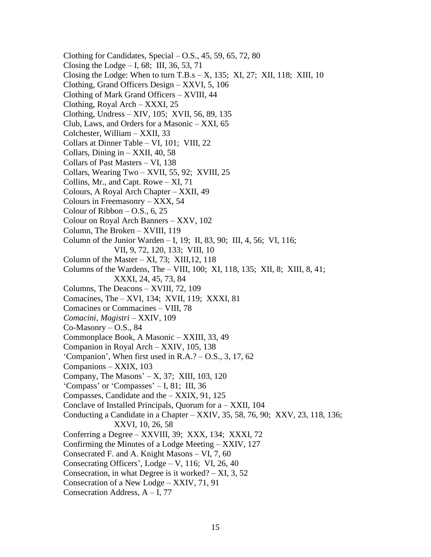Clothing for Candidates, Special  $-$  O.S., 45, 59, 65, 72, 80 Closing the Lodge  $- I$ , 68; III, 36, 53, 71 Closing the Lodge: When to turn T.B.s  $- X$ , 135; XI, 27; XII, 118; XIII, 10 Clothing, Grand Officers Design – XXVI, 5, 106 Clothing of Mark Grand Officers – XVIII, 44 Clothing, Royal Arch – XXXI, 25 Clothing, Undress – XIV, 105; XVII, 56, 89, 135 Club, Laws, and Orders for a Masonic – XXI, 65 Colchester, William – XXII, 33 Collars at Dinner Table – VI, 101; VIII, 22 Collars, Dining in  $-$  XXII, 40, 58 Collars of Past Masters – VI, 138 Collars, Wearing Two – XVII, 55, 92; XVIII, 25 Collins, Mr., and Capt. Rowe – XI, 71 Colours, A Royal Arch Chapter – XXII, 49 Colours in Freemasonry – XXX, 54 Colour of Ribbon  $-$  O.S., 6, 25 Colour on Royal Arch Banners – XXV, 102 Column, The Broken – XVIII, 119 Column of the Junior Warden – I, 19; II, 83, 90; III, 4, 56; VI, 116; VII, 9, 72, 120, 133; VIII, 10 Column of the Master – XI, 73; XIII, 12, 118 Columns of the Wardens, The – VIII, 100; XI, 118, 135; XII, 8; XIII, 8, 41; XXXI, 24, 45, 73, 84 Columns, The Deacons – XVIII, 72, 109 Comacines, The – XVI, 134; XVII, 119; XXXI, 81 Comacines or Commacines – VIII, 78 *Comacini, Magistri* – XXIV, 109  $Co-Masonry - O.S., 84$ Commonplace Book, A Masonic – XXIII, 33, 49 Companion in Royal Arch – XXIV, 105, 138 'Companion', When first used in R.A.? – O.S., 3, 17, 62 Companions – XXIX, 103 Company, The Masons' – X, 37; XIII, 103, 120 'Compass' or 'Compasses' – I, 81; III, 36 Compasses, Candidate and the – XXIX, 91, 125 Conclave of Installed Principals, Quorum for a – XXII, 104 Conducting a Candidate in a Chapter – XXIV, 35, 58, 76, 90; XXV, 23, 118, 136; XXVI, 10, 26, 58 Conferring a Degree – XXVIII, 39; XXX, 134; XXXI, 72 Confirming the Minutes of a Lodge Meeting – XXIV, 127 Consecrated F. and A. Knight Masons – VI, 7, 60 Consecrating Officers',  $Lodge - V$ , 116; VI, 26, 40 Consecration, in what Degree is it worked?  $- XI$ , 3, 52 Consecration of a New Lodge – XXIV, 71, 91 Consecration Address, A – I, 77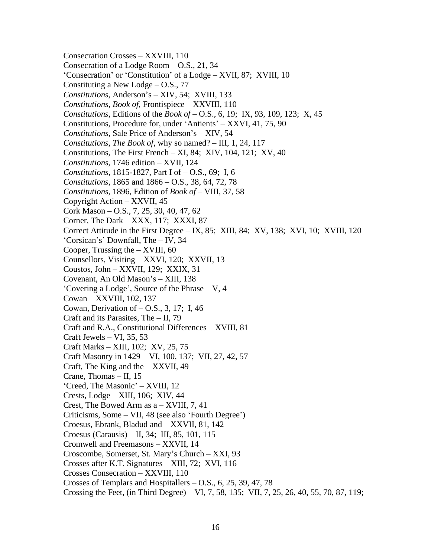Consecration Crosses – XXVIII, 110 Consecration of a Lodge Room – O.S., 21, 34 'Consecration' or 'Constitution' of a Lodge – XVII, 87; XVIII, 10 Constituting a New Lodge – O.S., 77 *Constitutions*, Anderson's – XIV, 54; XVIII, 133 *Constitutions, Book of*, Frontispiece – XXVIII, 110 *Constitutions*, Editions of the *Book of* – O.S., 6, 19; IX, 93, 109, 123; X, 45 Constitutions, Procedure for, under 'Antients' – XXVI, 41, 75, 90 *Constitutions*, Sale Price of Anderson's – XIV, 54 *Constitutions, The Book of*, why so named? – III, 1, 24, 117 Constitutions, The First French – XI, 84; XIV, 104, 121; XV, 40 *Constitutions*, 1746 edition – XVII, 124 *Constitutions*, 1815-1827, Part I of – O.S., 69; I, 6 *Constitutions*, 1865 and 1866 – O.S., 38, 64, 72, 78 *Constitutions*, 1896, Edition of *Book of* – VIII, 37, 58 Copyright Action – XXVII, 45 Cork Mason – O.S., 7, 25, 30, 40, 47, 62 Corner, The Dark – XXX, 117; XXXI, 87 Correct Attitude in the First Degree – IX, 85; XIII, 84; XV, 138; XVI, 10; XVIII, 120 'Corsican's' Downfall, The – IV, 34 Cooper, Trussing the  $-$  XVIII, 60 Counsellors, Visiting – XXVI, 120; XXVII, 13 Coustos, John – XXVII, 129; XXIX, 31 Covenant, An Old Mason's – XIII, 138 'Covering a Lodge', Source of the Phrase – V, 4 Cowan – XXVIII, 102, 137 Cowan, Derivation of – O.S., 3, 17; I, 46 Craft and its Parasites, The – II, 79 Craft and R.A., Constitutional Differences – XVIII, 81 Craft Jewels – VI, 35, 53 Craft Marks – XIII, 102; XV, 25, 75 Craft Masonry in 1429 – VI, 100, 137; VII, 27, 42, 57 Craft, The King and the – XXVII, 49 Crane, Thomas – II, 15 'Creed, The Masonic' – XVIII, 12 Crests, Lodge – XIII, 106; XIV, 44 Crest, The Bowed Arm as a – XVIII, 7, 41 Criticisms, Some – VII, 48 (see also 'Fourth Degree') Croesus, Ebrank, Bladud and – XXVII, 81, 142 Croesus (Carausis) – II, 34; III, 85, 101, 115 Cromwell and Freemasons – XXVII, 14 Croscombe, Somerset, St. Mary's Church – XXI, 93 Crosses after K.T. Signatures – XIII, 72; XVI, 116 Crosses Consecration – XXVIII, 110 Crosses of Templars and Hospitallers – O.S., 6, 25, 39, 47, 78 Crossing the Feet, (in Third Degree) – VI, 7, 58, 135; VII, 7, 25, 26, 40, 55, 70, 87, 119;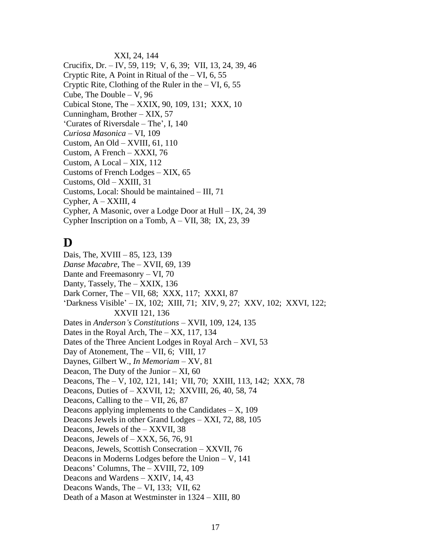XXI, 24, 144 Crucifix, Dr. – IV, 59, 119; V, 6, 39; VII, 13, 24, 39, 46 Cryptic Rite, A Point in Ritual of the  $- VI$ , 6, 55 Cryptic Rite, Clothing of the Ruler in the  $- VI$ , 6, 55 Cube, The Double  $- V$ , 96 Cubical Stone, The – XXIX, 90, 109, 131; XXX, 10 Cunningham, Brother – XIX, 57 'Curates of Riversdale – The', I, 140 *Curiosa Masonica* – VI, 109 Custom, An Old – XVIII, 61, 110 Custom, A French – XXXI, 76 Custom, A Local – XIX, 112 Customs of French Lodges – XIX, 65 Customs, Old – XXIII, 31 Customs, Local: Should be maintained – III, 71 Cypher,  $A - XXIII$ , 4 Cypher, A Masonic, over a Lodge Door at Hull – IX, 24, 39 Cypher Inscription on a Tomb,  $A - VII$ , 38; IX, 23, 39

# **D**

Dais, The, XVIII – 85, 123, 139 *Danse Macabre*, The – XVII, 69, 139 Dante and Freemasonry – VI, 70 Danty, Tassely, The – XXIX, 136 Dark Corner, The – VII, 68; XXX, 117; XXXI, 87 'Darkness Visible' – IX, 102; XIII, 71; XIV, 9, 27; XXV, 102; XXVI, 122; XXVII 121, 136 Dates in *Anderson's Constitutions* – XVII, 109, 124, 135 Dates in the Royal Arch, The – XX, 117, 134 Dates of the Three Ancient Lodges in Royal Arch – XVI, 53 Day of Atonement, The – VII, 6; VIII, 17 Daynes, Gilbert W., *In Memoriam* – XV, 81 Deacon, The Duty of the Junior  $- XI$ , 60 Deacons, The – V, 102, 121, 141; VII, 70; XXIII, 113, 142; XXX, 78 Deacons, Duties of – XXVII, 12; XXVIII, 26, 40, 58, 74 Deacons, Calling to the – VII, 26, 87 Deacons applying implements to the Candidates  $- X$ , 109 Deacons Jewels in other Grand Lodges – XXI, 72, 88, 105 Deacons, Jewels of the – XXVII, 38 Deacons, Jewels of – XXX, 56, 76, 91 Deacons, Jewels, Scottish Consecration – XXVII, 76 Deacons in Moderns Lodges before the Union – V, 141 Deacons' Columns, The – XVIII, 72, 109 Deacons and Wardens – XXIV, 14, 43 Deacons Wands, The – VI, 133; VII, 62 Death of a Mason at Westminster in 1324 – XIII, 80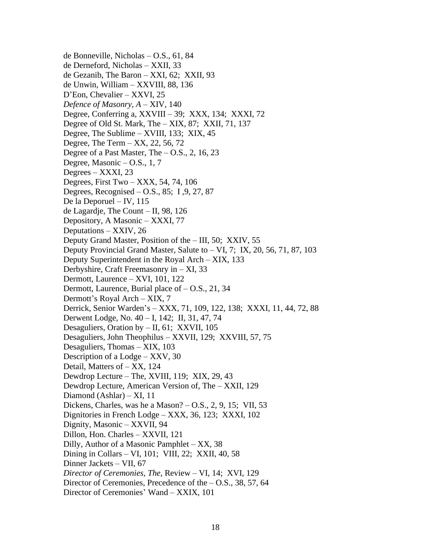de Bonneville, Nicholas – O.S., 61, 84 de Derneford, Nicholas – XXII, 33 de Gezanib, The Baron – XXI, 62; XXII, 93 de Unwin, William – XXVIII, 88, 136 D'Eon, Chevalier – XXVI, 25 *Defence of Masonry, A* – XIV, 140 Degree, Conferring a, XXVIII – 39; XXX, 134; XXXI, 72 Degree of Old St. Mark, The – XIX, 87; XXII, 71, 137 Degree, The Sublime – XVIII, 133; XIX, 45 Degree, The Term  $-$  XX, 22, 56, 72 Degree of a Past Master, The  $-$  O.S., 2, 16, 23 Degree, Masonic – O.S., 1, 7 Degrees – XXXI, 23 Degrees, First Two – XXX, 54, 74, 106 Degrees, Recognised – O.S., 85; I ,9, 27, 87 De la Deporuel – IV, 115 de Lagardje, The Count – II, 98, 126 Depository, A Masonic – XXXI, 77 Deputations – XXIV, 26 Deputy Grand Master, Position of the – III, 50; XXIV, 55 Deputy Provincial Grand Master, Salute to – VI, 7; IX, 20, 56, 71, 87, 103 Deputy Superintendent in the Royal Arch – XIX, 133 Derbyshire, Craft Freemasonry in – XI, 33 Dermott, Laurence – XVI, 101, 122 Dermott, Laurence, Burial place of – O.S., 21, 34 Dermott's Royal Arch – XIX, 7 Derrick, Senior Warden's – XXX, 71, 109, 122, 138; XXXI, 11, 44, 72, 88 Derwent Lodge, No. 40 – I, 142; II, 31, 47, 74 Desaguliers, Oration by – II, 61; XXVII, 105 Desaguliers, John Theophilus – XXVII, 129; XXVIII, 57, 75 Desaguliers, Thomas – XIX, 103 Description of a Lodge – XXV, 30 Detail, Matters of – XX, 124 Dewdrop Lecture – The, XVIII, 119; XIX, 29, 43 Dewdrop Lecture, American Version of, The – XXII, 129 Diamond (Ashlar) – XI, 11 Dickens, Charles, was he a Mason? – O.S., 2, 9, 15; VII, 53 Dignitories in French Lodge – XXX, 36, 123; XXXI, 102 Dignity, Masonic – XXVII, 94 Dillon, Hon. Charles – XXVII, 121 Dilly, Author of a Masonic Pamphlet – XX, 38 Dining in Collars – VI, 101; VIII, 22; XXII, 40, 58 Dinner Jackets – VII, 67 *Director of Ceremonies, The*, Review – VI, 14; XVI, 129 Director of Ceremonies, Precedence of the – O.S., 38, 57, 64 Director of Ceremonies' Wand – XXIX, 101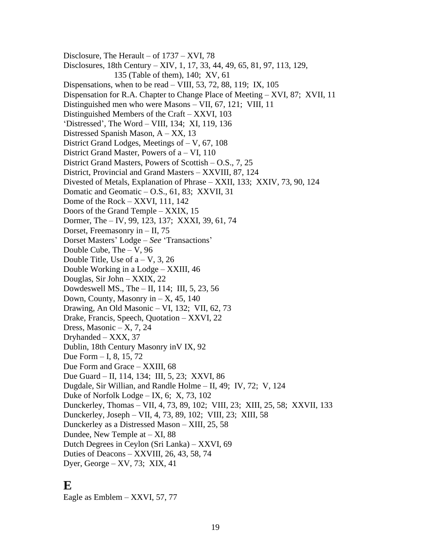Disclosure, The Herault – of 1737 – XVI, 78 Disclosures, 18th Century – XIV, 1, 17, 33, 44, 49, 65, 81, 97, 113, 129, 135 (Table of them), 140; XV, 61 Dispensations, when to be read – VIII, 53, 72, 88, 119; IX, 105 Dispensation for R.A. Chapter to Change Place of Meeting – XVI, 87; XVII, 11 Distinguished men who were Masons – VII, 67, 121; VIII, 11 Distinguished Members of the Craft – XXVI, 103 'Distressed', The Word – VIII, 134; XI, 119, 136 Distressed Spanish Mason,  $A - XX$ , 13 District Grand Lodges, Meetings of – V, 67, 108 District Grand Master, Powers of a – VI, 110 District Grand Masters, Powers of Scottish – O.S., 7, 25 District, Provincial and Grand Masters – XXVIII, 87, 124 Divested of Metals, Explanation of Phrase – XXII, 133; XXIV, 73, 90, 124 Domatic and Geomatic – O.S., 61, 83; XXVII, 31 Dome of the Rock – XXVI, 111, 142 Doors of the Grand Temple – XXIX, 15 Dormer, The – IV, 99, 123, 137; XXXI, 39, 61, 74 Dorset, Freemasonry in – II, 75 Dorset Masters' Lodge – *See* 'Transactions' Double Cube, The  $-$  V, 96 Double Title, Use of  $a - V$ , 3, 26 Double Working in a Lodge – XXIII, 46 Douglas, Sir John – XXIX, 22 Dowdeswell MS., The – II, 114; III, 5, 23, 56 Down, County, Masonry in  $-X$ , 45, 140 Drawing, An Old Masonic – VI, 132; VII, 62, 73 Drake, Francis, Speech, Quotation – XXVI, 22 Dress, Masonic  $- X$ , 7, 24 Dryhanded – XXX, 37 Dublin, 18th Century Masonry inV IX, 92 Due Form – I, 8, 15, 72 Due Form and Grace – XXIII, 68 Due Guard – II, 114, 134; III, 5, 23; XXVI, 86 Dugdale, Sir Willian, and Randle Holme – II, 49; IV, 72; V, 124 Duke of Norfolk Lodge – IX, 6; X, 73, 102 Dunckerley, Thomas – VII, 4, 73, 89, 102; VIII, 23; XIII, 25, 58; XXVII, 133 Dunckerley, Joseph – VII, 4, 73, 89, 102; VIII, 23; XIII, 58 Dunckerley as a Distressed Mason – XIII, 25, 58 Dundee, New Temple at  $- XI$ , 88 Dutch Degrees in Ceylon (Sri Lanka) – XXVI, 69 Duties of Deacons – XXVIII, 26, 43, 58, 74 Dyer, George – XV, 73; XIX, 41

### **E**

Eagle as Emblem – XXVI, 57, 77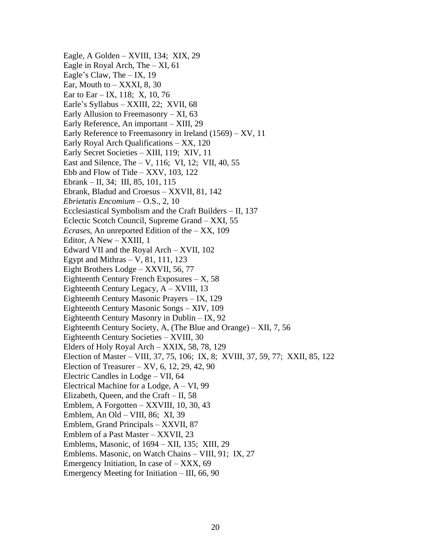Eagle, A Golden – XVIII, 134; XIX, 29 Eagle in Royal Arch, The – XI, 61 Eagle's Claw, The – IX, 19 Ear, Mouth to  $-$  XXXI, 8, 30 Ear to Ear – IX, 118; X, 10, 76 Earle's Syllabus – XXIII, 22; XVII, 68 Early Allusion to Freemasonry – XI, 63 Early Reference, An important – XIII, 29 Early Reference to Freemasonry in Ireland (1569) – XV, 11 Early Royal Arch Qualifications – XX, 120 Early Secret Societies – XIII, 119; XIV, 11 East and Silence, The – V, 116; VI, 12; VII, 40, 55 Ebb and Flow of Tide –  $XXV$ , 103, 122 Ebrank – II, 34; III, 85, 101, 115 Ebrank, Bladud and Croesus – XXVII, 81, 142 *Ebrietatis Encomium* – O.S., 2, 10 Ecclesiastical Symbolism and the Craft Builders – II, 137 Eclectic Scotch Council, Supreme Grand – XXI, 55 *Ecrases*, An unreported Edition of the – XX, 109 Editor, A New – XXIII, 1 Edward VII and the Royal Arch – XVII, 102 Egypt and Mithras  $- V$ , 81, 111, 123 Eight Brothers Lodge – XXVII, 56, 77 Eighteenth Century French Exposures  $- X$ , 58 Eighteenth Century Legacy, A – XVIII, 13 Eighteenth Century Masonic Prayers – IX, 129 Eighteenth Century Masonic Songs – XIV, 109 Eighteenth Century Masonry in Dublin – IX, 92 Eighteenth Century Society, A, (The Blue and Orange) – XII, 7, 56 Eighteenth Century Societies – XVIII, 30 Elders of Holy Royal Arch – XXIX, 58, 78, 129 Election of Master – VIII, 37, 75, 106; IX, 8; XVIII, 37, 59, 77; XXII, 85, 122 Election of Treasurer – XV,  $6, 12, 29, 42, 90$ Electric Candles in Lodge – VII, 64 Electrical Machine for a Lodge, A – VI, 99 Elizabeth, Queen, and the Craft – II, 58 Emblem, A Forgotten – XXVIII, 10, 30, 43 Emblem, An Old – VIII, 86; XI, 39 Emblem, Grand Principals – XXVII, 87 Emblem of a Past Master – XXVII, 23 Emblems, Masonic, of 1694 – XII, 135; XIII, 29 Emblems. Masonic, on Watch Chains – VIII, 91; IX, 27 Emergency Initiation, In case of  $-$  XXX, 69 Emergency Meeting for Initiation – III, 66, 90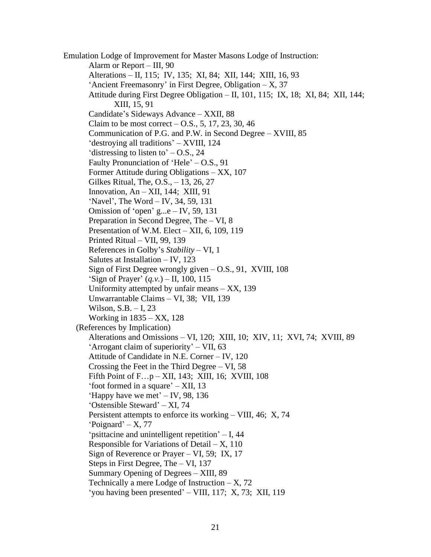Emulation Lodge of Improvement for Master Masons Lodge of Instruction: Alarm or Report – III, 90 Alterations – II, 115; IV, 135; XI, 84; XII, 144; XIII, 16, 93 'Ancient Freemasonry' in First Degree, Obligation – X, 37 Attitude during First Degree Obligation – II, 101, 115; IX, 18; XI, 84; XII, 144; XIII, 15, 91 Candidate's Sideways Advance – XXII, 88 Claim to be most correct  $-$  O.S., 5, 17, 23, 30, 46 Communication of P.G. and P.W. in Second Degree – XVIII, 85 'destroying all traditions' – XVIII, 124 'distressing to listen to'  $-$  O.S., 24 Faulty Pronunciation of 'Hele' – O.S., 91 Former Attitude during Obligations – XX, 107 Gilkes Ritual, The, O.S., – 13, 26, 27 Innovation,  $An - XII$ , 144; XIII, 91 'Navel', The Word – IV, 34, 59, 131 Omission of 'open' g...e  $-$  IV, 59, 131 Preparation in Second Degree, The – VI, 8 Presentation of W.M. Elect – XII, 6, 109, 119 Printed Ritual – VII, 99, 139 References in Golby's *Stability* – VI, 1 Salutes at Installation – IV, 123 Sign of First Degree wrongly given – O.S., 91, XVIII, 108 'Sign of Prayer' (*q.v.*) – II, 100, 115 Uniformity attempted by unfair means  $- XX$ , 139 Unwarrantable Claims – VI, 38; VII, 139 Wilson, S.B. – I, 23 Working in 1835 – XX, 128 (References by Implication) Alterations and Omissions – VI, 120; XIII, 10; XIV, 11; XVI, 74; XVIII, 89 'Arrogant claim of superiority' – VII, 63 Attitude of Candidate in N.E. Corner – IV, 120 Crossing the Feet in the Third Degree – VI, 58 Fifth Point of F…p – XII, 143; XIII, 16; XVIII, 108 'foot formed in a square' – XII, 13 'Happy have we met' – IV, 98, 136 'Ostensible Steward' – XI, 74 Persistent attempts to enforce its working – VIII, 46; X, 74  $'Poignard' - X$ , 77 'psittacine and unintelligent repetition' – I, 44 Responsible for Variations of Detail  $- X$ , 110 Sign of Reverence or Prayer – VI, 59; IX, 17 Steps in First Degree, The – VI, 137 Summary Opening of Degrees – XIII, 89 Technically a mere Lodge of Instruction  $- X$ , 72 'you having been presented' – VIII, 117; X, 73; XII, 119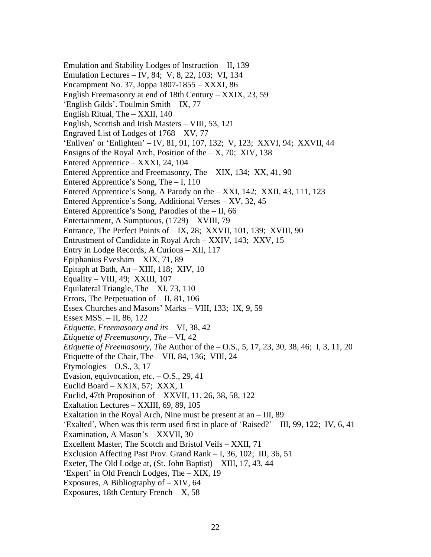Emulation and Stability Lodges of Instruction – II, 139 Emulation Lectures – IV, 84; V, 8, 22, 103; VI, 134 Encampment No. 37, Joppa 1807-1855 – XXXI, 86 English Freemasonry at end of 18th Century – XXIX, 23, 59 'English Gilds'. Toulmin Smith – IX, 77 English Ritual, The – XXII, 140 English, Scottish and Irish Masters – VIII, 53, 121 Engraved List of Lodges of 1768 – XV, 77 'Enliven' or 'Enlighten' – IV, 81, 91, 107, 132; V, 123; XXVI, 94; XXVII, 44 Ensigns of the Royal Arch, Position of the  $- X$ , 70; XIV, 138 Entered Apprentice – XXXI, 24, 104 Entered Apprentice and Freemasonry, The – XIX, 134; XX, 41, 90 Entered Apprentice's Song, The – I, 110 Entered Apprentice's Song, A Parody on the – XXI, 142; XXII, 43, 111, 123 Entered Apprentice's Song, Additional Verses – XV, 32, 45 Entered Apprentice's Song, Parodies of the  $-$  II, 66 Entertainment, A Sumptuous, (1729) – XVIII, 79 Entrance, The Perfect Points of – IX, 28; XXVII, 101, 139; XVIII, 90 Entrustment of Candidate in Royal Arch – XXIV, 143; XXV, 15 Entry in Lodge Records, A Curious – XII, 117 Epiphanius Evesham – XIX, 71, 89 Epitaph at Bath, An – XIII, 118; XIV, 10 Equality – VIII, 49; XXIII, 107 Equilateral Triangle, The – XI, 73, 110 Errors, The Perpetuation of – II, 81, 106 Essex Churches and Masons' Marks – VIII, 133; IX, 9, 59 Essex MSS. – II, 86, 122 *Etiquette, Freemasonry and its* – VI, 38, 42 *Etiquette of Freemasonry, The* – VI, 42 *Etiquette of Freemasonry, The* Author of the – O.S., 5, 17, 23, 30, 38, 46; I, 3, 11, 20 Etiquette of the Chair, The – VII, 84, 136; VIII, 24 Etymologies  $-$  O.S., 3, 17 Evasion, equivocation, *etc*. – O.S., 29, 41 Euclid Board – XXIX, 57; XXX, 1 Euclid, 47th Proposition of – XXVII, 11, 26, 38, 58, 122 Exaltation Lectures – XXIII, 69, 89, 105 Exaltation in the Royal Arch, Nine must be present at an – III, 89 'Exalted', When was this term used first in place of 'Raised?' – III, 99, 122; IV, 6, 41 Examination, A Mason's – XXVII, 30 Excellent Master, The Scotch and Bristol Veils – XXII, 71 Exclusion Affecting Past Prov. Grand Rank – I, 36, 102; III, 36, 51 Exeter, The Old Lodge at, (St. John Baptist) – XIII, 17, 43, 44 'Expert' in Old French Lodges, The – XIX, 19 Exposures, A Bibliography of – XIV, 64 Exposures, 18th Century French –  $X$ , 58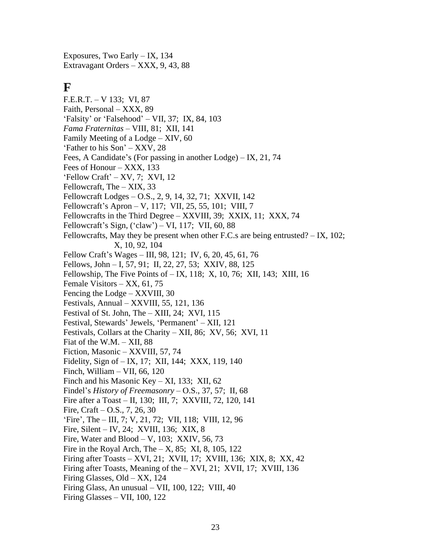Exposures, Two Early – IX, 134 Extravagant Orders – XXX, 9, 43, 88

# **F**

F.E.R.T. – V 133; VI, 87 Faith, Personal – XXX, 89 'Falsity' or 'Falsehood' – VII, 37; IX, 84, 103 *Fama Fraternitas* – VIII, 81; XII, 141 Family Meeting of a Lodge – XIV, 60 'Father to his Son' – XXV, 28 Fees, A Candidate's (For passing in another Lodge) – IX, 21, 74 Fees of Honour – XXX, 133 'Fellow Craft' – XV, 7; XVI, 12 Fellowcraft, The – XIX, 33 Fellowcraft Lodges – O.S., 2, 9, 14, 32, 71; XXVII, 142 Fellowcraft's Apron – V, 117; VII, 25, 55, 101; VIII, 7 Fellowcrafts in the Third Degree – XXVIII, 39; XXIX, 11; XXX, 74 Fellowcraft's Sign, ('claw') – VI, 117; VII, 60, 88 Fellowcrafts, May they be present when other F.C.s are being entrusted? – IX, 102; X, 10, 92, 104 Fellow Craft's Wages – III, 98, 121; IV, 6, 20, 45, 61, 76 Fellows, John – I, 57, 91; II, 22, 27, 53; XXIV, 88, 125 Fellowship, The Five Points of – IX, 118; X, 10, 76; XII, 143; XIII, 16 Female Visitors – XX, 61, 75 Fencing the Lodge – XXVIII, 30 Festivals, Annual – XXVIII, 55, 121, 136 Festival of St. John, The – XIII, 24; XVI, 115 Festival, Stewards' Jewels, 'Permanent' – XII, 121 Festivals, Collars at the Charity – XII, 86; XV, 56; XVI, 11 Fiat of the W.M. – XII, 88 Fiction, Masonic – XXVIII, 57, 74 Fidelity, Sign of – IX, 17; XII, 144; XXX, 119, 140 Finch, William – VII, 66, 120 Finch and his Masonic Key – XI, 133; XII, 62 Findel's *History of Freemasonry* – O.S., 37, 57; II, 68 Fire after a Toast – II, 130; III, 7; XXVIII, 72, 120, 141 Fire, Craft – O.S., 7, 26, 30 'Fire', The – III, 7; V, 21, 72; VII, 118; VIII, 12, 96 Fire, Silent – IV, 24; XVIII, 136; XIX, 8 Fire, Water and Blood  $- V$ , 103; XXIV, 56, 73 Fire in the Royal Arch, The  $- X$ , 85; XI, 8, 105, 122 Firing after Toasts – XVI, 21; XVII, 17; XVIII, 136; XIX, 8; XX, 42 Firing after Toasts, Meaning of the – XVI, 21; XVII, 17; XVIII, 136 Firing Glasses, Old – XX, 124 Firing Glass, An unusual – VII, 100, 122; VIII, 40 Firing Glasses – VII, 100, 122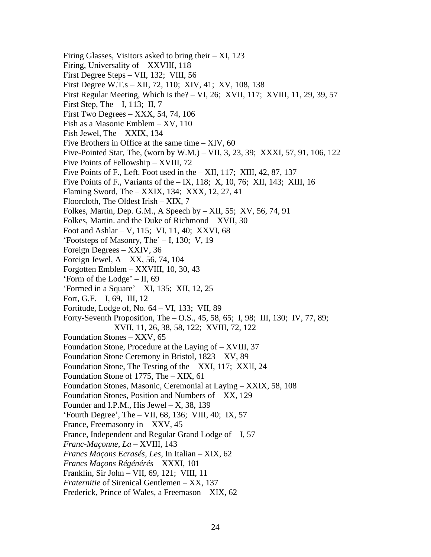Firing Glasses, Visitors asked to bring their  $- XI$ , 123 Firing, Universality of – XXVIII, 118 First Degree Steps – VII, 132; VIII, 56 First Degree W.T.s – XII, 72, 110; XIV, 41; XV, 108, 138 First Regular Meeting, Which is the? – VI, 26; XVII, 117; XVIII, 11, 29, 39, 57 First Step, The  $-$  I, 113; II, 7 First Two Degrees – XXX, 54, 74, 106 Fish as a Masonic Emblem – XV, 110 Fish Jewel, The – XXIX, 134 Five Brothers in Office at the same time  $- XIV$ , 60 Five-Pointed Star, The, (worn by W.M.) – VII, 3, 23, 39; XXXI, 57, 91, 106, 122 Five Points of Fellowship – XVIII, 72 Five Points of F., Left. Foot used in the – XII, 117; XIII, 42, 87, 137 Five Points of F., Variants of the – IX, 118; X, 10, 76; XII, 143; XIII, 16 Flaming Sword, The – XXIX, 134; XXX, 12, 27, 41 Floorcloth, The Oldest Irish – XIX, 7 Folkes, Martin, Dep. G.M., A Speech by  $-$  XII, 55; XV, 56, 74, 91 Folkes, Martin. and the Duke of Richmond – XVII, 30 Foot and Ashlar – V, 115; VI, 11, 40; XXVI, 68 'Footsteps of Masonry, The' – I, 130; V, 19 Foreign Degrees – XXIV, 36 Foreign Jewel, A – XX, 56, 74, 104 Forgotten Emblem – XXVIII, 10, 30, 43 'Form of the Lodge' – II, 69 'Formed in a Square' – XI, 135; XII, 12, 25 Fort, G.F. – I, 69, III, 12 Fortitude, Lodge of, No. 64 – VI, 133; VII, 89 Forty-Seventh Proposition, The – O.S., 45, 58, 65; I, 98; III, 130; IV, 77, 89; XVII, 11, 26, 38, 58, 122; XVIII, 72, 122 Foundation Stones – XXV, 65 Foundation Stone, Procedure at the Laying of – XVIII, 37 Foundation Stone Ceremony in Bristol, 1823 – XV, 89 Foundation Stone, The Testing of the – XXI, 117; XXII, 24 Foundation Stone of 1775, The – XIX, 61 Foundation Stones, Masonic, Ceremonial at Laying – XXIX, 58, 108 Foundation Stones, Position and Numbers of – XX, 129 Founder and I.P.M., His Jewel  $- X$ , 38, 139 'Fourth Degree', The – VII, 68, 136; VIII, 40; IX, 57 France, Freemasonry in – XXV, 45 France, Independent and Regular Grand Lodge of – I, 57 *Franc-Maçonne, La* – XVIII, 143 *Francs Maçons Ecrasés, Les*, In Italian – XIX, 62 *Francs Maçons Régénérés* – XXXI, 101 Franklin, Sir John – VII, 69, 121; VIII, 11 *Fraternitie* of Sirenical Gentlemen – XX, 137 Frederick, Prince of Wales, a Freemason – XIX, 62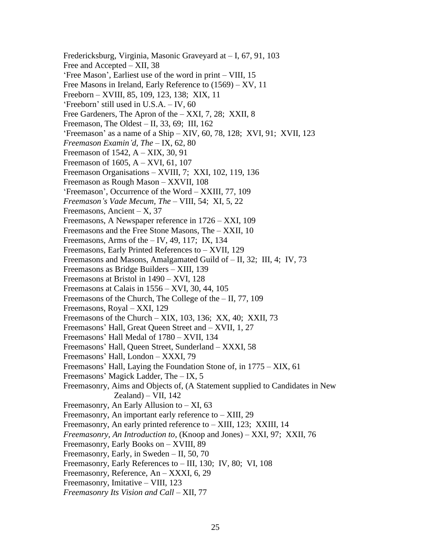Fredericksburg, Virginia, Masonic Graveyard at – I, 67, 91, 103 Free and Accepted – XII, 38 'Free Mason', Earliest use of the word in print – VIII, 15 Free Masons in Ireland, Early Reference to (1569) – XV, 11 Freeborn – XVIII, 85, 109, 123, 138; XIX, 11 'Freeborn' still used in U.S.A. – IV, 60 Free Gardeners, The Apron of the – XXI, 7, 28; XXII, 8 Freemason, The Oldest – II, 33, 69; III, 162 'Freemason' as a name of a Ship – XIV, 60, 78, 128; XVI, 91; XVII, 123 *Freemason Examin'd, The* – IX, 62, 80 Freemason of 1542, A – XIX, 30, 91 Freemason of 1605, A – XVI, 61, 107 Freemason Organisations – XVIII, 7; XXI, 102, 119, 136 Freemason as Rough Mason – XXVII, 108 'Freemason', Occurrence of the Word – XXIII, 77, 109 *Freemason's Vade Mecum, The* – VIII, 54; XI, 5, 22 Freemasons, Ancient –  $X$ , 37 Freemasons, A Newspaper reference in 1726 – XXI, 109 Freemasons and the Free Stone Masons, The – XXII, 10 Freemasons, Arms of the  $-$  IV, 49, 117; IX, 134 Freemasons, Early Printed References to – XVII, 129 Freemasons and Masons, Amalgamated Guild of – II, 32; III, 4; IV, 73 Freemasons as Bridge Builders – XIII, 139 Freemasons at Bristol in 1490 – XVI, 128 Freemasons at Calais in 1556 – XVI, 30, 44, 105 Freemasons of the Church, The College of the – II, 77, 109 Freemasons, Royal – XXI, 129 Freemasons of the Church – XIX, 103, 136; XX, 40; XXII, 73 Freemasons' Hall, Great Queen Street and – XVII, 1, 27 Freemasons' Hall Medal of 1780 – XVII, 134 Freemasons' Hall, Queen Street, Sunderland – XXXI, 58 Freemasons' Hall, London – XXXI, 79 Freemasons' Hall, Laying the Foundation Stone of, in 1775 – XIX, 61 Freemasons' Magick Ladder, The – IX, 5 Freemasonry, Aims and Objects of, (A Statement supplied to Candidates in New  $Zealand$ ) – VII, 142 Freemasonry, An Early Allusion to  $- XI$ , 63 Freemasonry, An important early reference to – XIII, 29 Freemasonry, An early printed reference to – XIII, 123; XXIII, 14 *Freemasonry, An Introduction to*, (Knoop and Jones) – XXI, 97; XXII, 76 Freemasonry, Early Books on – XVIII, 89 Freemasonry, Early, in Sweden – II, 50, 70 Freemasonry, Early References to – III, 130; IV, 80; VI, 108 Freemasonry, Reference, An – XXXI, 6, 29 Freemasonry, Imitative – VIII, 123 *Freemasonry Its Vision and Call* – XII, 77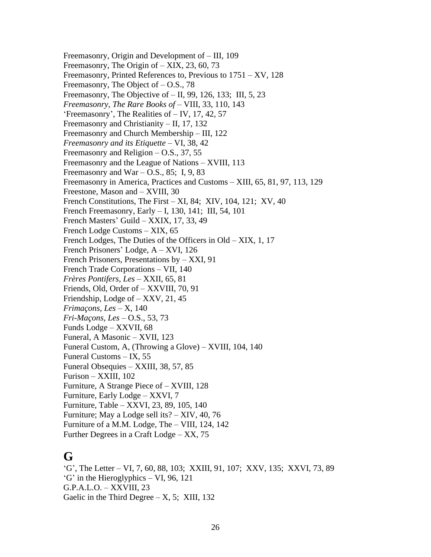Freemasonry, Origin and Development of – III, 109 Freemasonry, The Origin of – XIX, 23, 60, 73 Freemasonry, Printed References to, Previous to 1751 – XV, 128 Freemasonry, The Object of  $-$  O.S., 78 Freemasonry, The Objective of – II, 99, 126, 133; III, 5, 23 *Freemasonry, The Rare Books of* – VIII, 33, 110, 143 'Freemasonry', The Realities of – IV, 17, 42, 57 Freemasonry and Christianity – II, 17, 132 Freemasonry and Church Membership – III, 122 *Freemasonry and its Etiquette* – VI, 38, 42 Freemasonry and Religion – O.S., 37, 55 Freemasonry and the League of Nations – XVIII, 113 Freemasonry and War – O.S., 85; I, 9, 83 Freemasonry in America, Practices and Customs – XIII, 65, 81, 97, 113, 129 Freestone, Mason and – XVIII, 30 French Constitutions, The First – XI, 84; XIV, 104, 121; XV, 40 French Freemasonry, Early – I, 130, 141; III, 54, 101 French Masters' Guild – XXIX, 17, 33, 49 French Lodge Customs – XIX, 65 French Lodges, The Duties of the Officers in Old – XIX, 1, 17 French Prisoners' Lodge, A – XVI, 126 French Prisoners, Presentations by – XXI, 91 French Trade Corporations – VII, 140 *Frères Pontifers, Les* – XXII, 65, 81 Friends, Old, Order of – XXVIII, 70, 91 Friendship, Lodge of – XXV, 21, 45 *Frimaçons, Les* – X, 140 *Fri-Maçons, Les* – O.S., 53, 73 Funds Lodge – XXVII, 68 Funeral, A Masonic – XVII, 123 Funeral Custom, A, (Throwing a Glove) – XVIII, 104, 140 Funeral Customs – IX, 55 Funeral Obsequies – XXIII, 38, 57, 85 Furison – XXIII, 102 Furniture, A Strange Piece of – XVIII, 128 Furniture, Early Lodge – XXVI, 7 Furniture, Table – XXVI, 23, 89, 105, 140 Furniture; May a Lodge sell its? – XIV, 40, 76 Furniture of a M.M. Lodge, The – VIII, 124, 142 Further Degrees in a Craft Lodge – XX, 75

# **G**

'G', The Letter – VI, 7, 60, 88, 103; XXIII, 91, 107; XXV, 135; XXVI, 73, 89 'G' in the Hieroglyphics – VI, 96, 121 G.P.A.L.O. – XXVIII, 23 Gaelic in the Third Degree  $- X$ , 5; XIII, 132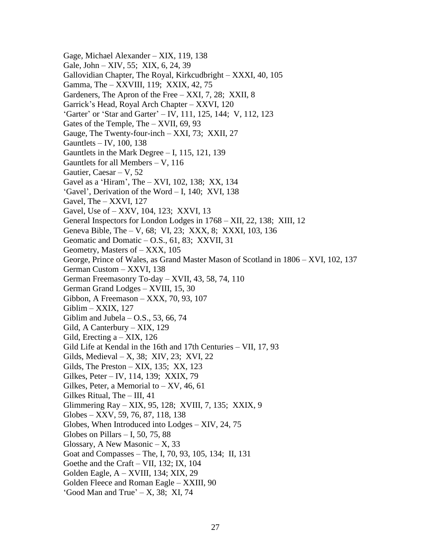Gage, Michael Alexander – XIX, 119, 138 Gale, John – XIV, 55; XIX, 6, 24, 39 Gallovidian Chapter, The Royal, Kirkcudbright – XXXI, 40, 105 Gamma, The – XXVIII, 119; XXIX, 42, 75 Gardeners, The Apron of the Free – XXI, 7, 28; XXII, 8 Garrick's Head, Royal Arch Chapter – XXVI, 120 'Garter' or 'Star and Garter' – IV, 111, 125, 144; V, 112, 123 Gates of the Temple, The – XVII, 69, 93 Gauge, The Twenty-four-inch – XXI, 73; XXII, 27 Gauntlets – IV, 100, 138 Gauntlets in the Mark Degree – I, 115, 121, 139 Gauntlets for all Members – V, 116 Gautier, Caesar  $-$  V, 52 Gavel as a 'Hiram', The – XVI, 102, 138; XX, 134 'Gavel', Derivation of the Word – I, 140; XVI, 138 Gavel, The – XXVI, 127 Gavel, Use of – XXV, 104, 123; XXVI, 13 General Inspectors for London Lodges in 1768 – XII, 22, 138; XIII, 12 Geneva Bible, The – V, 68; VI, 23; XXX, 8; XXXI, 103, 136 Geomatic and Domatic – O.S., 61, 83; XXVII, 31 Geometry, Masters of – XXX, 105 George, Prince of Wales, as Grand Master Mason of Scotland in 1806 – XVI, 102, 137 German Custom – XXVI, 138 German Freemasonry To-day – XVII, 43, 58, 74, 110 German Grand Lodges – XVIII, 15, 30 Gibbon, A Freemason – XXX, 70, 93, 107 Giblim – XXIX, 127 Giblim and Jubela  $-$  O.S., 53, 66, 74 Gild, A Canterbury – XIX, 129 Gild, Erecting a – XIX, 126 Gild Life at Kendal in the 16th and 17th Centuries – VII, 17, 93 Gilds, Medieval – X, 38; XIV, 23; XVI, 22 Gilds, The Preston – XIX, 135; XX, 123 Gilkes, Peter – IV, 114, 139; XXIX, 79 Gilkes, Peter, a Memorial to  $- XY$ , 46, 61 Gilkes Ritual, The – III, 41 Glimmering Ray – XIX, 95, 128; XVIII, 7, 135; XXIX, 9 Globes – XXV, 59, 76, 87, 118, 138 Globes, When Introduced into Lodges – XIV, 24, 75 Globes on Pillars  $-1$ , 50, 75, 88 Glossary, A New Masonic  $-X$ , 33 Goat and Compasses – The, I, 70, 93, 105, 134; II, 131 Goethe and the Craft – VII, 132; IX, 104 Golden Eagle, A – XVIII, 134; XIX, 29 Golden Fleece and Roman Eagle – XXIII, 90 'Good Man and True' – X, 38; XI, 74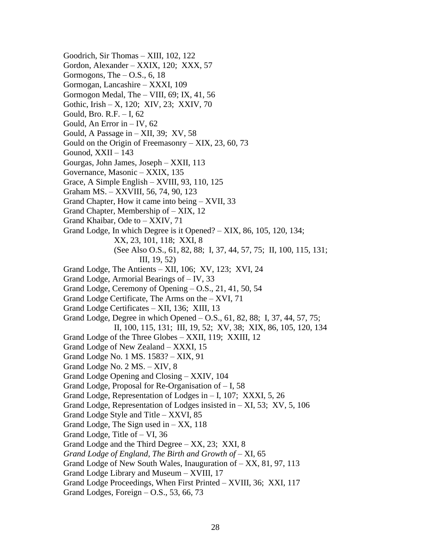Goodrich, Sir Thomas – XIII, 102, 122 Gordon, Alexander – XXIX, 120; XXX, 57 Gormogons, The  $-$  O.S., 6, 18 Gormogan, Lancashire – XXXI, 109 Gormogon Medal, The – VIII, 69; IX, 41, 56 Gothic, Irish – X, 120; XIV, 23; XXIV, 70 Gould, Bro. R.F. – I, 62 Gould, An Error in – IV, 62 Gould, A Passage in – XII, 39; XV, 58 Gould on the Origin of Freemasonry  $-$  XIX, 23, 60, 73 Gounod, XXII – 143 Gourgas, John James, Joseph – XXII, 113 Governance, Masonic – XXIX, 135 Grace, A Simple English – XVIII, 93, 110, 125 Graham MS. – XXVIII, 56, 74, 90, 123 Grand Chapter, How it came into being – XVII, 33 Grand Chapter, Membership of – XIX, 12 Grand Khaibar, Ode to – XXIV, 71 Grand Lodge, In which Degree is it Opened? – XIX, 86, 105, 120, 134; XX, 23, 101, 118; XXI, 8 (See Also O.S., 61, 82, 88; I, 37, 44, 57, 75; II, 100, 115, 131; III, 19, 52) Grand Lodge, The Antients – XII, 106; XV, 123; XVI, 24 Grand Lodge, Armorial Bearings of – IV, 33 Grand Lodge, Ceremony of Opening – O.S., 21, 41, 50, 54 Grand Lodge Certificate, The Arms on the – XVI, 71 Grand Lodge Certificates – XII, 136; XIII, 13 Grand Lodge, Degree in which Opened – O.S., 61, 82, 88; I, 37, 44, 57, 75; II, 100, 115, 131; III, 19, 52; XV, 38; XIX, 86, 105, 120, 134 Grand Lodge of the Three Globes – XXII, 119; XXIII, 12 Grand Lodge of New Zealand – XXXI, 15 Grand Lodge No. 1 MS. 1583? – XIX, 91 Grand Lodge No. 2 MS. – XIV, 8 Grand Lodge Opening and Closing – XXIV, 104 Grand Lodge, Proposal for Re-Organisation of – I, 58 Grand Lodge, Representation of Lodges in – I, 107; XXXI, 5, 26 Grand Lodge, Representation of Lodges insisted in – XI, 53; XV, 5, 106 Grand Lodge Style and Title – XXVI, 85 Grand Lodge, The Sign used in  $-$  XX, 118 Grand Lodge, Title of – VI, 36 Grand Lodge and the Third Degree – XX, 23; XXI, 8 *Grand Lodge of England, The Birth and Growth of* – XI, 65 Grand Lodge of New South Wales, Inauguration of – XX, 81, 97, 113 Grand Lodge Library and Museum – XVIII, 17 Grand Lodge Proceedings, When First Printed – XVIII, 36; XXI, 117 Grand Lodges, Foreign – O.S., 53, 66, 73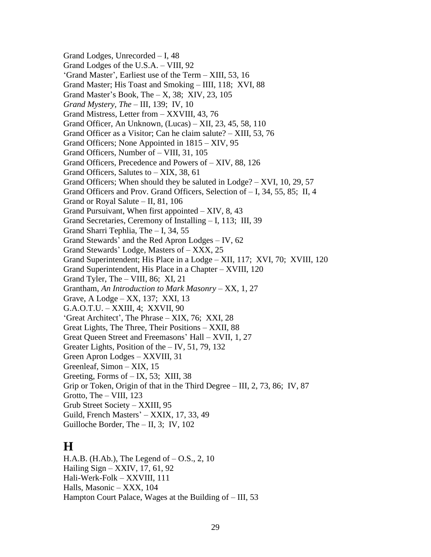Grand Lodges, Unrecorded – I, 48 Grand Lodges of the U.S.A. – VIII, 92 'Grand Master', Earliest use of the Term – XIII, 53, 16 Grand Master; His Toast and Smoking – IIII, 118; XVI, 88 Grand Master's Book, The  $- X$ , 38; XIV, 23, 105 *Grand Mystery, The* – III, 139; IV, 10 Grand Mistress, Letter from – XXVIII, 43, 76 Grand Officer, An Unknown, (Lucas) – XII, 23, 45, 58, 110 Grand Officer as a Visitor; Can he claim salute? – XIII, 53, 76 Grand Officers; None Appointed in 1815 – XIV, 95 Grand Officers, Number of – VIII, 31, 105 Grand Officers, Precedence and Powers of – XIV, 88, 126 Grand Officers, Salutes to – XIX, 38, 61 Grand Officers; When should they be saluted in Lodge? – XVI, 10, 29, 57 Grand Officers and Prov. Grand Officers, Selection of – I, 34, 55, 85; II, 4 Grand or Royal Salute – II, 81, 106 Grand Pursuivant, When first appointed  $- XIV$ , 8, 43 Grand Secretaries, Ceremony of Installing – I, 113; III, 39 Grand Sharri Tephlia, The – I, 34, 55 Grand Stewards' and the Red Apron Lodges – IV, 62 Grand Stewards' Lodge, Masters of – XXX, 25 Grand Superintendent; His Place in a Lodge – XII, 117; XVI, 70; XVIII, 120 Grand Superintendent, His Place in a Chapter – XVIII, 120 Grand Tyler, The – VIII, 86; XI, 21 Grantham, *An Introduction to Mark Masonry* – XX, 1, 27 Grave, A Lodge – XX, 137; XXI, 13 G.A.O.T.U. – XXIII, 4; XXVII, 90 'Great Architect', The Phrase – XIX, 76; XXI, 28 Great Lights, The Three, Their Positions – XXII, 88 Great Queen Street and Freemasons' Hall – XVII, 1, 27 Greater Lights, Position of the – IV, 51, 79, 132 Green Apron Lodges – XXVIII, 31 Greenleaf, Simon – XIX, 15 Greeting, Forms of  $-$  IX, 53; XIII, 38 Grip or Token, Origin of that in the Third Degree – III, 2, 73, 86; IV, 87 Grotto, The – VIII, 123 Grub Street Society – XXIII, 95 Guild, French Masters' – XXIX, 17, 33, 49 Guilloche Border, The – II, 3; IV, 102

# **H**

H.A.B. (H.Ab.), The Legend of – O.S., 2, 10 Hailing Sign – XXIV, 17, 61, 92 Hali-Werk-Folk – XXVIII, 111 Halls, Masonic – XXX, 104 Hampton Court Palace, Wages at the Building of – III, 53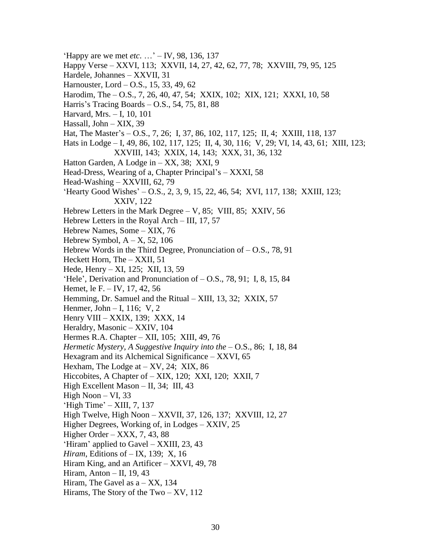- 'Happy are we met *etc*. …' IV, 98, 136, 137
- Happy Verse XXVI, 113; XXVII, 14, 27, 42, 62, 77, 78; XXVIII, 79, 95, 125
- Hardele, Johannes XXVII, 31
- Harnouster, Lord O.S., 15, 33, 49, 62
- Harodim, The O.S., 7, 26, 40, 47, 54; XXIX, 102; XIX, 121; XXXI, 10, 58
- Harris's Tracing Boards O.S., 54, 75, 81, 88
- Harvard, Mrs. I, 10, 101
- Hassall, John XIX, 39
- Hat, The Master's O.S., 7, 26; I, 37, 86, 102, 117, 125; II, 4; XXIII, 118, 137
- Hats in Lodge I, 49, 86, 102, 117, 125; II, 4, 30, 116; V, 29; VI, 14, 43, 61; XIII, 123; XXVIII, 143; XXIX, 14, 143; XXX, 31, 36, 132
- Hatton Garden, A Lodge in XX, 38; XXI, 9
- Head-Dress, Wearing of a, Chapter Principal's XXXI, 58
- Head-Washing XXVIII, 62, 79
- 'Hearty Good Wishes' O.S., 2, 3, 9, 15, 22, 46, 54; XVI, 117, 138; XXIII, 123; XXIV, 122
- Hebrew Letters in the Mark Degree V, 85; VIII, 85; XXIV, 56
- Hebrew Letters in the Royal Arch III, 17, 57
- Hebrew Names, Some XIX, 76
- Hebrew Symbol,  $A X$ , 52, 106
- Hebrew Words in the Third Degree, Pronunciation of O.S., 78, 91
- Heckett Horn, The XXII, 51
- Hede, Henry XI, 125; XII, 13, 59
- 'Hele', Derivation and Pronunciation of O.S., 78, 91; I, 8, 15, 84
- Hemet, le F. IV, 17, 42, 56
- Hemming, Dr. Samuel and the Ritual XIII, 13, 32; XXIX, 57
- Henmer, John I, 116; V, 2
- Henry VIII XXIX, 139; XXX, 14
- Heraldry, Masonic XXIV, 104
- Hermes R.A. Chapter XII, 105; XIII, 49, 76
- *Hermetic Mystery, A Suggestive Inquiry into the* O.S., 86; I, 18, 84
- Hexagram and its Alchemical Significance XXVI, 65
- Hexham, The Lodge at  $XY$ , 24; XIX, 86
- Hiccobites, A Chapter of XIX, 120; XXI, 120; XXII, 7
- High Excellent Mason II, 34; III, 43
- High Noon VI, 33
- 'High Time' XIII, 7, 137
- High Twelve, High Noon XXVII, 37, 126, 137; XXVIII, 12, 27
- Higher Degrees, Working of, in Lodges XXIV, 25
- Higher Order  $XXX, 7, 43, 88$
- 'Hiram' applied to Gavel XXIII, 23, 43
- *Hiram*, Editions of IX, 139; X, 16
- Hiram King, and an Artificer XXVI, 49, 78
- Hiram, Anton II, 19, 43
- Hiram, The Gavel as  $a XX$ , 134
- Hirams, The Story of the Two XV, 112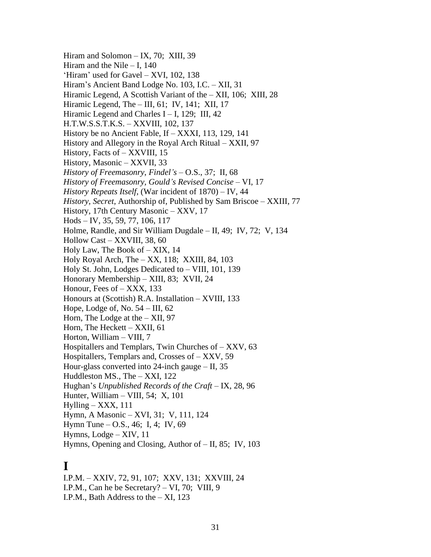Hiram and Solomon – IX, 70; XIII, 39 Hiram and the Nile  $-$  I, 140 'Hiram' used for Gavel – XVI, 102, 138 Hiram's Ancient Band Lodge No. 103, I.C. – XII, 31 Hiramic Legend, A Scottish Variant of the – XII, 106; XIII, 28 Hiramic Legend, The – III, 61; IV, 141; XII, 17 Hiramic Legend and Charles  $I - I$ , 129; III, 42 H.T.W.S.S.T.K.S. – XXVIII, 102, 137 History be no Ancient Fable, If – XXXI, 113, 129, 141 History and Allegory in the Royal Arch Ritual – XXII, 97 History, Facts of – XXVIII, 15 History, Masonic – XXVII, 33 *History of Freemasonry*, *Findel's* – O.S., 37; II, 68 *History of Freemasonry, Gould's Revised Concise* – VI, 17 *History Repeats Itself*, (War incident of 1870) – IV, 44 *History, Secret,* Authorship of, Published by Sam Briscoe – XXIII, 77 History, 17th Century Masonic – XXV, 17 Hods – IV, 35, 59, 77, 106, 117 Holme, Randle, and Sir William Dugdale – II, 49; IV, 72; V, 134 Hollow Cast – XXVIII, 38, 60 Holy Law, The Book of – XIX, 14 Holy Royal Arch, The – XX, 118; XXIII, 84, 103 Holy St. John, Lodges Dedicated to – VIII, 101, 139 Honorary Membership – XIII, 83; XVII, 24 Honour, Fees of – XXX, 133 Honours at (Scottish) R.A. Installation – XVIII, 133 Hope, Lodge of, No.  $54 - III$ , 62 Horn, The Lodge at the – XII, 97 Horn, The Heckett – XXII, 61 Horton, William – VIII, 7 Hospitallers and Templars, Twin Churches of – XXV, 63 Hospitallers, Templars and, Crosses of – XXV, 59 Hour-glass converted into 24-inch gauge  $-$  II, 35 Huddleston MS., The – XXI, 122 Hughan's *Unpublished Records of the Craft* – IX, 28, 96 Hunter, William – VIII, 54; X, 101  $Hylling - XXX$ , 111 Hymn, A Masonic – XVI, 31; V, 111, 124 Hymn Tune – O.S., 46; I, 4; IV, 69 Hymns, Lodge – XIV, 11 Hymns, Opening and Closing, Author of – II, 85; IV, 103

## **I**

I.P.M. – XXIV, 72, 91, 107; XXV, 131; XXVIII, 24 I.P.M., Can he be Secretary? – VI, 70; VIII, 9 I.P.M., Bath Address to the – XI, 123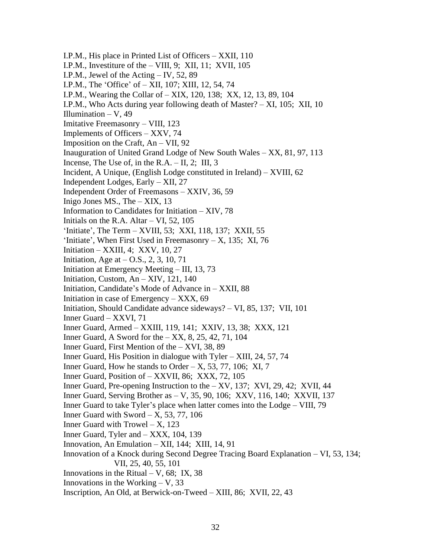I.P.M., His place in Printed List of Officers – XXII, 110 I.P.M., Investiture of the – VIII, 9; XII, 11; XVII, 105 I.P.M., Jewel of the Acting – IV, 52, 89 I.P.M., The 'Office' of – XII, 107; XIII, 12, 54, 74 I.P.M., Wearing the Collar of – XIX, 120, 138; XX, 12, 13, 89, 104 I.P.M., Who Acts during year following death of Master? – XI, 105; XII, 10 Illumination  $-$  V, 49 Imitative Freemasonry – VIII, 123 Implements of Officers – XXV, 74 Imposition on the Craft, An – VII, 92 Inauguration of United Grand Lodge of New South Wales – XX, 81, 97, 113 Incense, The Use of, in the R.A.  $-$  II, 2; III, 3 Incident, A Unique, (English Lodge constituted in Ireland) – XVIII, 62 Independent Lodges, Early – XII, 27 Independent Order of Freemasons – XXIV, 36, 59 Inigo Jones MS., The  $-$  XIX, 13 Information to Candidates for Initiation – XIV, 78 Initials on the R.A. Altar  $- VI$ , 52, 105 'Initiate', The Term – XVIII, 53; XXI, 118, 137; XXII, 55 'Initiate', When First Used in Freemasonry  $- X$ , 135; XI, 76 Initiation – XXIII, 4; XXV, 10, 27 Initiation, Age at  $-$  O.S., 2, 3, 10, 71 Initiation at Emergency Meeting – III, 13, 73 Initiation, Custom, An – XIV, 121, 140 Initiation, Candidate's Mode of Advance in – XXII, 88 Initiation in case of Emergency – XXX, 69 Initiation, Should Candidate advance sideways? – VI, 85, 137; VII, 101 Inner Guard – XXVI, 71 Inner Guard, Armed – XXIII, 119, 141; XXIV, 13, 38; XXX, 121 Inner Guard, A Sword for the – XX, 8, 25, 42, 71, 104 Inner Guard, First Mention of the – XVI, 38, 89 Inner Guard, His Position in dialogue with Tyler – XIII, 24, 57, 74 Inner Guard, How he stands to Order – X, 53, 77, 106; XI, 7 Inner Guard, Position of – XXVII, 86; XXX, 72, 105 Inner Guard, Pre-opening Instruction to the  $- XY$ , 137; XVI, 29, 42; XVII, 44 Inner Guard, Serving Brother as – V, 35, 90, 106; XXV, 116, 140; XXVII, 137 Inner Guard to take Tyler's place when latter comes into the Lodge – VIII, 79 Inner Guard with Sword  $- X$ , 53, 77, 106 Inner Guard with Trowel  $- X$ , 123 Inner Guard, Tyler and – XXX, 104, 139 Innovation, An Emulation – XII, 144; XIII, 14, 91 Innovation of a Knock during Second Degree Tracing Board Explanation – VI, 53, 134; VII, 25, 40, 55, 101 Innovations in the Ritual – V,  $68$ ; IX,  $38$ Innovations in the Working  $-$  V, 33 Inscription, An Old, at Berwick-on-Tweed – XIII, 86; XVII, 22, 43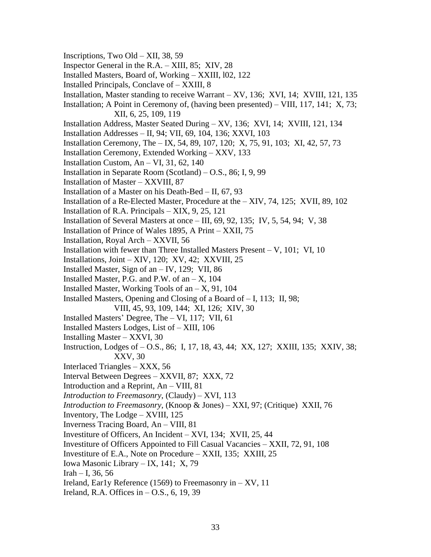- Inscriptions, Two Old XII, 38, 59
- Inspector General in the R.A. XIII, 85; XIV, 28
- Installed Masters, Board of, Working XXIII, l02, 122
- Installed Principals, Conclave of XXIII, 8
- Installation, Master standing to receive Warrant XV, 136; XVI, 14; XVIII, 121, 135
- Installation; A Point in Ceremony of, (having been presented) VIII, 117, 141; X, 73; XII, 6, 25, 109, 119
- Installation Address, Master Seated During XV, 136; XVI, 14; XVIII, 121, 134
- Installation Addresses II, 94; VII, 69, 104, 136; XXVI, 103
- Installation Ceremony, The IX, 54, 89, 107, 120; X, 75, 91, 103; XI, 42, 57, 73
- Installation Ceremony, Extended Working XXV, 133
- Installation Custom,  $An VI$ , 31, 62, 140
- Installation in Separate Room (Scotland) O.S., 86; I, 9, 99
- Installation of Master XXVIII, 87
- Installation of a Master on his Death-Bed II, 67, 93
- Installation of a Re-Elected Master, Procedure at the XIV, 74, 125; XVII, 89, 102
- Installation of R.A. Principals XIX, 9, 25, 121
- Installation of Several Masters at once  $-$  III, 69, 92, 135; IV, 5, 54, 94; V, 38
- Installation of Prince of Wales 1895, A Print XXII, 75
- Installation, Royal Arch XXVII, 56
- Installation with fewer than Three Installed Masters Present V, 101; VI, 10
- Installations, Joint XIV, 120; XV, 42; XXVIII, 25
- Installed Master, Sign of an  $-$  IV, 129; VII, 86
- Installed Master, P.G. and P.W. of an  $X$ , 104
- Installed Master, Working Tools of an  $X$ , 91, 104
- Installed Masters, Opening and Closing of a Board of I, 113; II, 98; VIII, 45, 93, 109, 144; XI, 126; XIV, 30
	-
- Installed Masters' Degree, The VI, 117; VII, 61
- Installed Masters Lodges, List of XIII, 106
- Installing Master XXVI, 30
- Instruction, Lodges of O.S., 86; I, 17, 18, 43, 44; XX, 127; XXIII, 135; XXIV, 38; XXV, 30
- Interlaced Triangles XXX, 56
- Interval Between Degrees XXVII, 87; XXX, 72
- Introduction and a Reprint, An VIII, 81
- *Introduction to Freemasonry*, (Claudy) XVI, 113
- *Introduction to Freemasonry*, (Knoop & Jones) XXI, 97; (Critique) XXII, 76
- Inventory, The Lodge XVIII, 125
- Inverness Tracing Board, An VIII, 81
- Investiture of Officers, An Incident XVI, 134; XVII, 25, 44
- Investiture of Officers Appointed to Fill Casual Vacancies XXII, 72, 91, 108
- Investiture of E.A., Note on Procedure XXII, 135; XXIII, 25
- Iowa Masonic Library IX, 141; X, 79
- $Irah I$ , 36, 56
- Ireland, Early Reference (1569) to Freemasonry in  $-$  XV, 11
- Ireland, R.A. Offices in  $-$  O.S., 6, 19, 39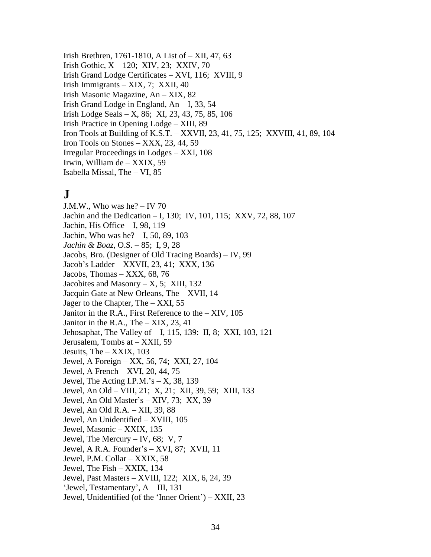Irish Brethren, 1761-1810, A List of – XII, 47, 63 Irish Gothic, X – 120; XIV, 23; XXIV, 70 Irish Grand Lodge Certificates – XVI, 116; XVIII, 9 Irish Immigrants – XIX, 7; XXII, 40 Irish Masonic Magazine, An – XIX, 82 Irish Grand Lodge in England, An – I, 33, 54 Irish Lodge Seals – X, 86; XI, 23, 43, 75, 85, 106 Irish Practice in Opening Lodge – XIII, 89 Iron Tools at Building of K.S.T. – XXVII, 23, 41, 75, 125; XXVIII, 41, 89, 104 Iron Tools on Stones  $-$  XXX, 23, 44, 59 Irregular Proceedings in Lodges – XXI, 108 Irwin, William de – XXIX, 59 Isabella Missal, The – VI, 85

# **J**

J.M.W., Who was he? – IV 70 Jachin and the Dedication – I, 130; IV, 101, 115; XXV, 72, 88, 107 Jachin, His Office – I, 98, 119 Jachin, Who was he? – I, 50, 89, 103 *Jachin & Boaz*, O.S. – 85; I, 9, 28 Jacobs, Bro. (Designer of Old Tracing Boards) – IV, 99 Jacob's Ladder – XXVII, 23, 41; XXX, 136 Jacobs, Thomas – XXX, 68, 76 Jacobites and Masonry  $- X$ , 5; XIII, 132 Jacquin Gate at New Orleans, The – XVII, 14 Jager to the Chapter, The – XXI, 55 Janitor in the R.A., First Reference to the – XIV, 105 Janitor in the R.A., The  $-$  XIX, 23, 41 Jehosaphat, The Valley of – I, 115, 139: II, 8; XXI, 103, 121 Jerusalem, Tombs at – XXII, 59 Jesuits, The – XXIX, 103 Jewel, A Foreign – XX, 56, 74; XXI, 27, 104 Jewel, A French – XVI, 20, 44, 75 Jewel, The Acting I.P.M.'s  $- X$ , 38, 139 Jewel, An Old – VIII, 21; X, 21; XII, 39, 59; XIII, 133 Jewel, An Old Master's – XIV, 73; XX, 39 Jewel, An Old R.A. – XII, 39, 88 Jewel, An Unidentified – XVIII, 105 Jewel, Masonic – XXIX, 135 Jewel, The Mercury – IV, 68; V, 7 Jewel, A R.A. Founder's – XVI, 87; XVII, 11 Jewel, P.M. Collar – XXIX, 58 Jewel, The Fish – XXIX, 134 Jewel, Past Masters – XVIII, 122; XIX, 6, 24, 39 'Jewel, Testamentary', A – III, 131 Jewel, Unidentified (of the 'Inner Orient') – XXII, 23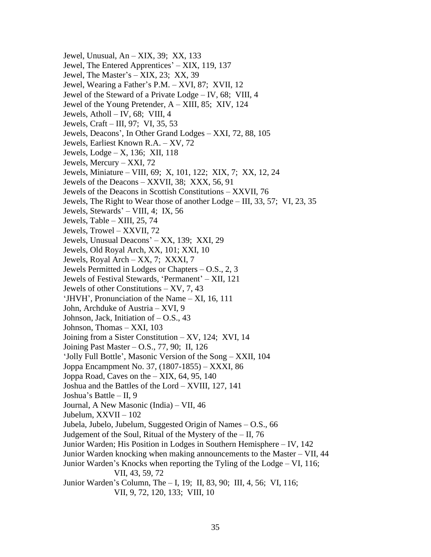Jewel, Unusual, An – XIX, 39; XX, 133 Jewel, The Entered Apprentices' – XIX, 119, 137 Jewel, The Master's – XIX, 23; XX, 39 Jewel, Wearing a Father's P.M. – XVI, 87; XVII, 12 Jewel of the Steward of a Private Lodge – IV, 68; VIII, 4 Jewel of the Young Pretender, A – XIII, 85; XIV, 124 Jewels, Atholl – IV, 68; VIII, 4 Jewels, Craft – III, 97; VI, 35, 53 Jewels, Deacons', In Other Grand Lodges – XXI, 72, 88, 105 Jewels, Earliest Known R.A. – XV, 72 Jewels, Lodge – X, 136; XII, 118 Jewels, Mercury – XXI, 72 Jewels, Miniature – VIII, 69; X, 101, 122; XIX, 7; XX, 12, 24 Jewels of the Deacons – XXVII, 38; XXX, 56, 91 Jewels of the Deacons in Scottish Constitutions – XXVII, 76 Jewels, The Right to Wear those of another Lodge – III, 33, 57; VI, 23, 35 Jewels, Stewards' – VIII, 4; IX, 56 Jewels, Table – XIII, 25, 74 Jewels, Trowel – XXVII, 72 Jewels, Unusual Deacons' – XX, 139; XXI, 29 Jewels, Old Royal Arch, XX, 101; XXI, 10 Jewels, Royal Arch – XX, 7; XXXI, 7 Jewels Permitted in Lodges or Chapters – O.S., 2, 3 Jewels of Festival Stewards, 'Permanent' – XII, 121 Jewels of other Constitutions – XV, 7, 43 'JHVH', Pronunciation of the Name – XI, 16, 111 John, Archduke of Austria – XVI, 9 Johnson, Jack, Initiation of  $-$  O.S., 43 Johnson, Thomas – XXI, 103 Joining from a Sister Constitution – XV, 124; XVI, 14 Joining Past Master – O.S., 77, 90; II, 126 'Jolly Full Bottle', Masonic Version of the Song – XXII, 104 Joppa Encampment No. 37, (1807-1855) – XXXI, 86 Joppa Road, Caves on the  $-$  XIX, 64, 95, 140 Joshua and the Battles of the Lord – XVIII, 127, 141 Joshua's Battle – II, 9 Journal, A New Masonic (India) – VII, 46 Jubelum, XXVII – 102 Jubela, Jubelo, Jubelum, Suggested Origin of Names – O.S., 66 Judgement of the Soul, Ritual of the Mystery of the  $-$  II, 76 Junior Warden; His Position in Lodges in Southern Hemisphere – IV, 142 Junior Warden knocking when making announcements to the Master – VII, 44 Junior Warden's Knocks when reporting the Tyling of the Lodge – VI, 116; VII, 43, 59, 72 Junior Warden's Column, The – I, 19; II, 83, 90; III, 4, 56; VI, 116; VII, 9, 72, 120, 133; VIII, 10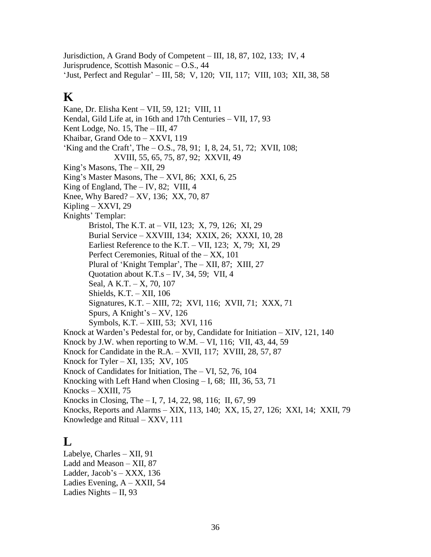Jurisdiction, A Grand Body of Competent – III, 18, 87, 102, 133; IV, 4 Jurisprudence, Scottish Masonic – O.S., 44 'Just, Perfect and Regular' – III, 58; V, 120; VII, 117; VIII, 103; XII, 38, 58

# **K**

Kane, Dr. Elisha Kent – VII, 59, 121; VIII, 11 Kendal, Gild Life at, in 16th and 17th Centuries – VII, 17, 93 Kent Lodge, No.  $15$ , The  $-$  III, 47 Khaibar, Grand Ode to – XXVI, 119 'King and the Craft', The – O.S., 78, 91; I, 8, 24, 51, 72; XVII, 108; XVIII, 55, 65, 75, 87, 92; XXVII, 49 King's Masons, The – XII, 29 King's Master Masons, The – XVI, 86; XXI, 6, 25 King of England, The  $-$  IV, 82; VIII, 4 Knee, Why Bared? – XV, 136; XX, 70, 87 Kipling – XXVI, 29 Knights' Templar: Bristol, The K.T. at – VII, 123; X, 79, 126; XI, 29 Burial Service – XXVIII, 134; XXIX, 26; XXXI, 10, 28 Earliest Reference to the K.T. – VII, 123; X, 79; XI, 29 Perfect Ceremonies, Ritual of the – XX, 101 Plural of 'Knight Templar', The – XII, 87; XIII, 27 Quotation about K.T.s – IV, 34, 59; VII, 4 Seal, A K.T. – X, 70, 107 Shields, K.T. – XII, 106 Signatures, K.T. – XIII, 72; XVI, 116; XVII, 71; XXX, 71 Spurs, A Knight's – XV, 126 Symbols, K.T. – XIII, 53; XVI, 116 Knock at Warden's Pedestal for, or by, Candidate for Initiation – XIV, 121, 140 Knock by J.W. when reporting to W.M.  $-$  VI, 116; VII, 43, 44, 59 Knock for Candidate in the R.A. – XVII, 117; XVIII, 28, 57, 87 Knock for Tyler – XI, 135; XV,  $105$ Knock of Candidates for Initiation, The – VI, 52, 76, 104 Knocking with Left Hand when Closing – I, 68; III, 36, 53, 71 Knocks – XXIII, 75 Knocks in Closing, The – I, 7, 14, 22, 98, 116; II, 67, 99 Knocks, Reports and Alarms – XIX, 113, 140; XX, 15, 27, 126; XXI, 14; XXII, 79 Knowledge and Ritual – XXV, 111

# **L**

Labelye, Charles – XII, 91 Ladd and Meason – XII, 87 Ladder, Jacob's – XXX, 136 Ladies Evening, A – XXII, 54 Ladies Nights – II, 93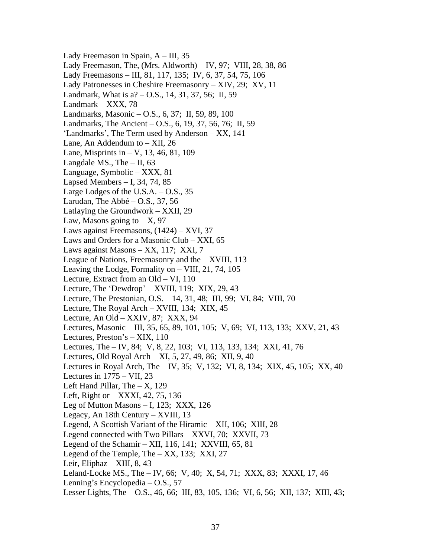Lady Freemason in Spain,  $A - III$ , 35 Lady Freemason, The, (Mrs. Aldworth) – IV, 97; VIII, 28, 38, 86 Lady Freemasons – III, 81, 117, 135; IV, 6, 37, 54, 75, 106 Lady Patronesses in Cheshire Freemasonry – XIV, 29; XV, 11 Landmark, What is a? – O.S., 14, 31, 37, 56; II, 59 Landmark – XXX, 78 Landmarks, Masonic – O.S., 6, 37; II, 59, 89, 100 Landmarks, The Ancient – O.S., 6, 19, 37, 56, 76; II, 59 'Landmarks', The Term used by Anderson – XX, 141 Lane, An Addendum to – XII, 26 Lane, Misprints in – V, 13, 46, 81, 109 Langdale MS., The – II, 63 Language, Symbolic – XXX, 81 Lapsed Members – I, 34, 74, 85 Large Lodges of the U.S.A. – O.S., 35 Larudan, The Abbé – O.S., 37, 56 Latlaying the Groundwork – XXII, 29 Law, Masons going to  $- X$ , 97 Laws against Freemasons, (1424) – XVI, 37 Laws and Orders for a Masonic Club – XXI, 65 Laws against Masons – XX, 117; XXI, 7 League of Nations, Freemasonry and the – XVIII, 113 Leaving the Lodge, Formality on – VIII, 21, 74, 105 Lecture, Extract from an Old – VI, 110 Lecture, The 'Dewdrop' – XVIII, 119; XIX, 29, 43 Lecture, The Prestonian, O.S. – 14, 31, 48; III, 99; VI, 84; VIII, 70 Lecture, The Royal Arch – XVIII, 134; XIX, 45 Lecture, An Old – XXIV, 87; XXX, 94 Lectures, Masonic – III, 35, 65, 89, 101, 105; V, 69; VI, 113, 133; XXV, 21, 43 Lectures, Preston's – XIX, 110 Lectures, The – IV, 84; V, 8, 22, 103; VI, 113, 133, 134; XXI, 41, 76 Lectures, Old Royal Arch – XI, 5, 27, 49, 86; XII, 9, 40 Lectures in Royal Arch, The – IV, 35; V, 132; VI, 8, 134; XIX, 45, 105; XX, 40 Lectures in  $1775 - VII$ , 23 Left Hand Pillar, The  $- X$ , 129 Left, Right or – XXXI, 42, 75, 136 Leg of Mutton Masons – I, 123; XXX, 126 Legacy, An 18th Century – XVIII, 13 Legend, A Scottish Variant of the Hiramic – XII, 106; XIII, 28 Legend connected with Two Pillars – XXVI, 70; XXVII, 73 Legend of the Schamir – XII, 116, 141; XXVIII, 65, 81 Legend of the Temple, The  $-XX$ , 133; XXI, 27 Leir, Eliphaz – XIII, 8, 43 Leland-Locke MS., The – IV, 66; V, 40; X, 54, 71; XXX, 83; XXXI, 17, 46 Lenning's Encyclopedia – O.S., 57 Lesser Lights, The – O.S., 46, 66; III, 83, 105, 136; VI, 6, 56; XII, 137; XIII, 43;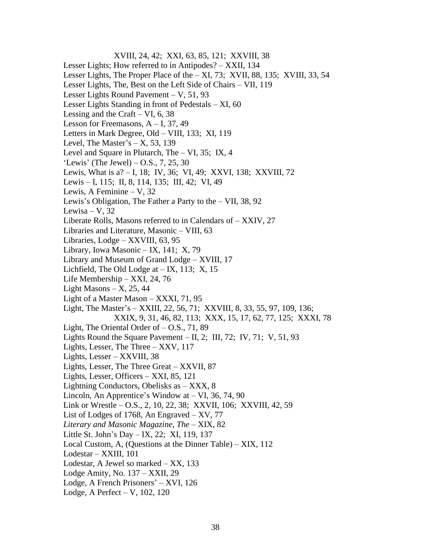XVIII, 24, 42; XXI, 63, 85, 121; XXVIII, 38 Lesser Lights; How referred to in Antipodes? – XXII, 134 Lesser Lights, The Proper Place of the – XI, 73; XVII, 88, 135; XVIII, 33, 54 Lesser Lights, The, Best on the Left Side of Chairs – VII, 119 Lesser Lights Round Pavement – V, 51, 93 Lesser Lights Standing in front of Pedestals – XI, 60 Lessing and the Craft – VI,  $6, 38$ Lesson for Freemasons,  $A - I$ , 37, 49 Letters in Mark Degree, Old – VIII, 133; XI, 119 Level, The Master's  $- X$ , 53, 139 Level and Square in Plutarch, The – VI, 35; IX, 4 'Lewis' (The Jewel)  $-$  O.S., 7, 25, 30 Lewis, What is a? – I, 18; IV, 36; VI, 49; XXVI, 138; XXVIII, 72 Lewis – I, 115; II, 8, 114, 135; III, 42; VI, 49 Lewis, A Feminine – V, 32 Lewis's Obligation, The Father a Party to the – VII, 38, 92 Lewisa – V,  $32$ Liberate Rolls, Masons referred to in Calendars of – XXIV, 27 Libraries and Literature, Masonic – VIII, 63 Libraries, Lodge – XXVIII, 63, 95 Library, Iowa Masonic – IX, 141; X, 79 Library and Museum of Grand Lodge – XVIII, 17 Lichfield, The Old Lodge at  $-$  IX, 113; X, 15 Life Membership – XXI, 24, 76 Light Masons  $- X$ , 25, 44 Light of a Master Mason – XXXI, 71, 95 Light, The Master's – XXIII, 22, 56, 71; XXVIII, 8, 33, 55, 97, 109, 136; XXIX, 9, 31, 46, 82, 113; XXX, 15, 17, 62, 77, 125; XXXI, 78 Light, The Oriental Order of – O.S., 71, 89 Lights Round the Square Pavement – II, 2; III, 72; IV, 71; V, 51, 93 Lights, Lesser, The Three – XXV, 117 Lights, Lesser – XXVIII, 38 Lights, Lesser, The Three Great – XXVII, 87 Lights, Lesser, Officers – XXI, 85, 121 Lightning Conductors, Obelisks as – XXX, 8 Lincoln, An Apprentice's Window at – VI, 36, 74, 90 Link or Wrestle – O.S., 2, 10, 22, 38; XXVII, 106; XXVIII, 42, 59 List of Lodges of 1768, An Engraved –  $XV$ , 77 *Literary and Masonic Magazine, The* – XIX, 82 Little St. John's Day – IX, 22; XI, 119, 137 Local Custom, A, (Questions at the Dinner Table) – XIX, 112 Lodestar – XXIII, 101 Lodestar, A Jewel so marked – XX, 133 Lodge Amity, No. 137 – XXII, 29 Lodge, A French Prisoners' – XVI, 126 Lodge, A Perfect – V, 102, 120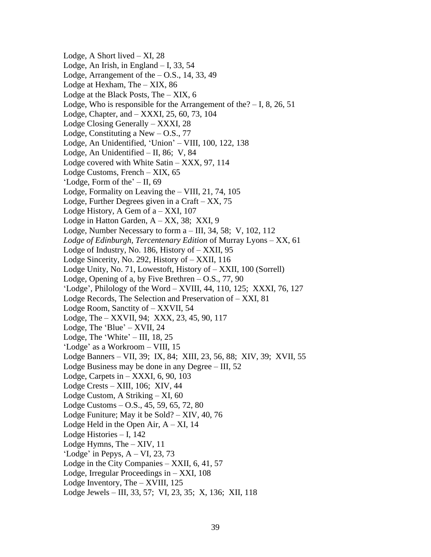Lodge, A Short lived  $- XI$ , 28 Lodge, An Irish, in England  $-1$ , 33, 54 Lodge, Arrangement of the  $-$  O.S., 14, 33, 49 Lodge at Hexham, The – XIX, 86 Lodge at the Black Posts, The – XIX, 6 Lodge, Who is responsible for the Arrangement of the $? - I$ , 8, 26, 51 Lodge, Chapter, and – XXXI, 25, 60, 73, 104 Lodge Closing Generally – XXXI, 28 Lodge, Constituting a New  $-$  O.S., 77 Lodge, An Unidentified, 'Union' – VIII, 100, 122, 138 Lodge, An Unidentified – II, 86; V, 84 Lodge covered with White Satin – XXX, 97, 114 Lodge Customs, French – XIX, 65 'Lodge, Form of the' – II, 69 Lodge, Formality on Leaving the – VIII, 21, 74, 105 Lodge, Further Degrees given in a Craft – XX, 75 Lodge History, A Gem of  $a - XXI$ , 107 Lodge in Hatton Garden, A – XX, 38; XXI, 9 Lodge, Number Necessary to form a – III, 34, 58; V, 102, 112 *Lodge of Edinburgh, Tercentenary Edition* of Murray Lyons – XX, 61 Lodge of Industry, No. 186, History of – XXII, 95 Lodge Sincerity, No. 292, History of – XXII, 116 Lodge Unity, No. 71, Lowestoft, History of – XXII, 100 (Sorrell) Lodge, Opening of a, by Five Brethren  $-$  O.S., 77, 90 'Lodge', Philology of the Word – XVIII, 44, 110, 125; XXXI, 76, 127 Lodge Records, The Selection and Preservation of – XXI, 81 Lodge Room, Sanctity of – XXVII, 54 Lodge, The – XXVII, 94; XXX, 23, 45, 90, 117 Lodge, The 'Blue' – XVII, 24 Lodge, The 'White' – III, 18, 25 'Lodge' as a Workroom – VIII, 15 Lodge Banners – VII, 39; IX, 84; XIII, 23, 56, 88; XIV, 39; XVII, 55 Lodge Business may be done in any Degree – III, 52 Lodge, Carpets in – XXXI, 6, 90, 103 Lodge Crests – XIII, 106; XIV, 44 Lodge Custom, A Striking – XI, 60 Lodge Customs – O.S., 45, 59, 65, 72, 80 Lodge Funiture; May it be Sold? – XIV, 40, 76 Lodge Held in the Open Air,  $A - XI$ , 14 Lodge Histories – I, 142 Lodge Hymns, The – XIV, 11 'Lodge' in Pepys,  $A - VI$ , 23, 73 Lodge in the City Companies – XXII, 6, 41, 57 Lodge, Irregular Proceedings in – XXI, 108 Lodge Inventory, The – XVIII, 125 Lodge Jewels – III, 33, 57; VI, 23, 35; X, 136; XII, 118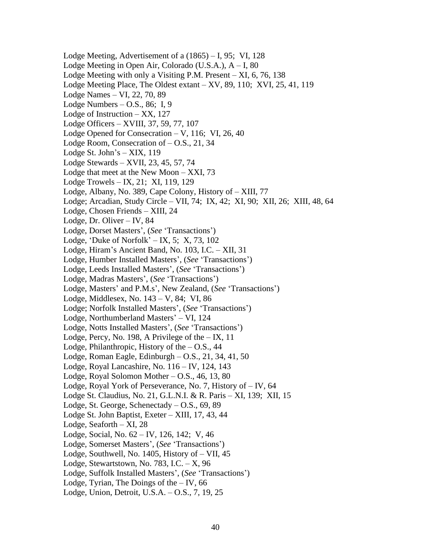Lodge Meeting, Advertisement of a (1865) – I, 95; VI, 128 Lodge Meeting in Open Air, Colorado (U.S.A.), A – I, 80 Lodge Meeting with only a Visiting P.M. Present – XI, 6, 76, 138 Lodge Meeting Place, The Oldest extant – XV, 89, 110; XVI, 25, 41, 119 Lodge Names – VI, 22, 70, 89 Lodge Numbers – O.S., 86; I, 9 Lodge of Instruction – XX, 127 Lodge Officers – XVIII, 37, 59, 77, 107 Lodge Opened for Consecration – V, 116; VI, 26, 40 Lodge Room, Consecration of – O.S., 21, 34 Lodge St. John's – XIX, 119 Lodge Stewards – XVII, 23, 45, 57, 74 Lodge that meet at the New Moon – XXI, 73 Lodge Trowels – IX, 21; XI, 119, 129 Lodge, Albany, No. 389, Cape Colony, History of – XIII, 77 Lodge; Arcadian, Study Circle – VII, 74; IX, 42; XI, 90; XII, 26; XIII, 48, 64 Lodge, Chosen Friends – XIII, 24 Lodge, Dr. Oliver – IV, 84 Lodge, Dorset Masters', (*See* 'Transactions') Lodge, 'Duke of Norfolk' – IX, 5; X, 73, 102 Lodge, Hiram's Ancient Band, No. 103, I.C. – XII, 31 Lodge, Humber Installed Masters', (*See* 'Transactions') Lodge, Leeds Installed Masters', (*See* 'Transactions') Lodge, Madras Masters', (*See* 'Transactions') Lodge, Masters' and P.M.s', New Zealand, (*See* 'Transactions') Lodge, Middlesex, No. 143 – V, 84; VI, 86 Lodge; Norfolk Installed Masters', (*See* 'Transactions') Lodge, Northumberland Masters' – VI, 124 Lodge, Notts Installed Masters', (*See* 'Transactions') Lodge, Percy, No. 198, A Privilege of the  $-$  IX, 11 Lodge, Philanthropic, History of the  $-$  O.S., 44 Lodge, Roman Eagle, Edinburgh – O.S., 21, 34, 41, 50 Lodge, Royal Lancashire, No. 116 – IV, 124, 143 Lodge, Royal Solomon Mother – O.S., 46, 13, 80 Lodge, Royal York of Perseverance, No. 7, History of – IV, 64 Lodge St. Claudius, No. 21, G.L.N.I. & R. Paris – XI, 139; XII, 15 Lodge, St. George, Schenectady – O.S., 69, 89 Lodge St. John Baptist, Exeter – XIII, 17, 43, 44 Lodge, Seaforth – XI, 28 Lodge, Social, No. 62 – IV, 126, 142; V, 46 Lodge, Somerset Masters', (*See* 'Transactions') Lodge, Southwell, No. 1405, History of – VII, 45 Lodge, Stewartstown, No.  $783$ , I.C.  $- X$ , 96 Lodge, Suffolk Installed Masters', (*See* 'Transactions') Lodge, Tyrian, The Doings of the  $-$  IV, 66 Lodge, Union, Detroit, U.S.A. – O.S., 7, 19, 25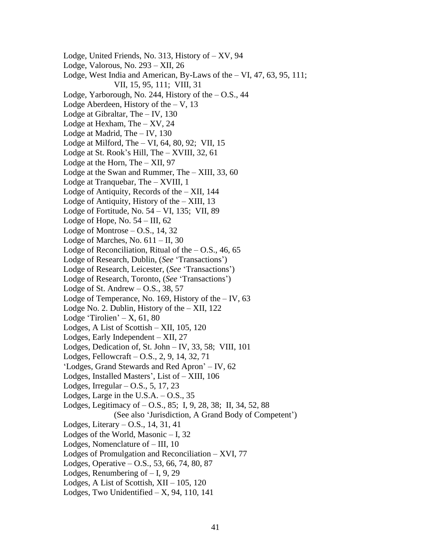Lodge, United Friends, No. 313, History of – XV, 94 Lodge, Valorous, No. 293 – XII, 26 Lodge, West India and American, By-Laws of the – VI, 47, 63, 95, 111; VII, 15, 95, 111; VIII, 31 Lodge, Yarborough, No. 244, History of the  $-$  O.S., 44 Lodge Aberdeen, History of the  $-$  V, 13 Lodge at Gibraltar, The – IV, 130 Lodge at Hexham, The – XV, 24 Lodge at Madrid, The – IV, 130 Lodge at Milford, The – VI, 64, 80, 92; VII, 15 Lodge at St. Rook's Hill, The – XVIII, 32, 61 Lodge at the Horn, The – XII, 97 Lodge at the Swan and Rummer, The – XIII, 33, 60 Lodge at Tranquebar, The – XVIII, 1 Lodge of Antiquity, Records of the – XII, 144 Lodge of Antiquity, History of the  $-$  XIII, 13 Lodge of Fortitude, No. 54 – VI, 135; VII, 89 Lodge of Hope, No.  $54 - III$ , 62 Lodge of Montrose – O.S., 14, 32 Lodge of Marches, No.  $611 - II$ , 30 Lodge of Reconciliation, Ritual of the  $-$  O.S., 46, 65 Lodge of Research, Dublin, (*See* 'Transactions') Lodge of Research, Leicester, (*See* 'Transactions') Lodge of Research, Toronto, (*See* 'Transactions') Lodge of St. Andrew  $-$  O.S., 38, 57 Lodge of Temperance, No. 169, History of the  $-$  IV, 63 Lodge No. 2. Dublin, History of the – XII, 122 Lodge 'Tirolien' –  $X$ , 61, 80 Lodges, A List of Scottish – XII, 105, 120 Lodges, Early Independent – XII, 27 Lodges, Dedication of, St. John – IV, 33, 58; VIII, 101 Lodges, Fellowcraft – O.S., 2, 9, 14, 32, 71 'Lodges, Grand Stewards and Red Apron' – IV, 62 Lodges, Installed Masters', List of – XIII, 106 Lodges, Irregular – O.S., 5, 17, 23 Lodges, Large in the U.S.A.  $-$  O.S., 35 Lodges, Legitimacy of – O.S., 85; I, 9, 28, 38; II, 34, 52, 88 (See also 'Jurisdiction, A Grand Body of Competent') Lodges, Literary – O.S., 14, 31, 41 Lodges of the World, Masonic – I, 32 Lodges, Nomenclature of – III, 10 Lodges of Promulgation and Reconciliation – XVI, 77 Lodges, Operative – O.S., 53, 66, 74, 80, 87 Lodges, Renumbering of  $-1$ , 9, 29 Lodges, A List of Scottish, XII – 105, 120 Lodges, Two Unidentified  $- X$ , 94, 110, 141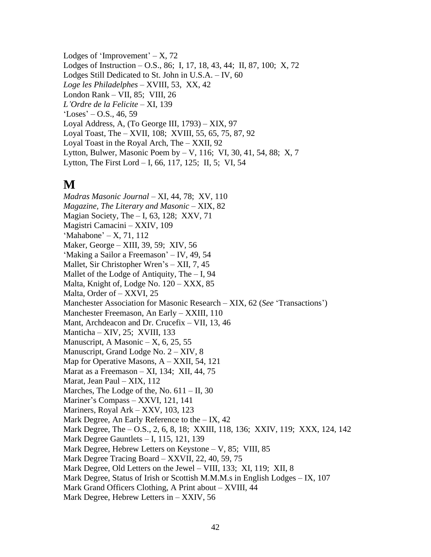Lodges of 'Improvement' –  $X$ , 72 Lodges of Instruction – O.S., 86; I, 17, 18, 43, 44; II, 87, 100; X, 72 Lodges Still Dedicated to St. John in U.S.A. – IV, 60 *Loge les Philadelphes* – XVIII, 53, XX, 42 London Rank – VII, 85; VIII, 26 *L'Ordre de la Felicite* – XI, 139  $'Loss' - O.S., 46, 59$ Loyal Address, A, (To George III, 1793) – XIX, 97 Loyal Toast, The – XVII, 108; XVIII, 55, 65, 75, 87, 92 Loyal Toast in the Royal Arch, The – XXII, 92 Lytton, Bulwer, Masonic Poem by – V, 116; VI, 30, 41, 54, 88; X, 7 Lytton, The First Lord – I, 66, 117, 125; II, 5; VI, 54

## **M**

*Madras Masonic Journal* – XI, 44, 78; XV, 110 *Magazine, The Literary and Masonic* – XIX, 82 Magian Society, The  $-$  I, 63, 128; XXV, 71 Magistri Camacini – XXIV, 109 'Mahabone' – X, 71, 112 Maker, George – XIII, 39, 59; XIV, 56 'Making a Sailor a Freemason' – IV, 49, 54 Mallet, Sir Christopher Wren's – XII, 7, 45 Mallet of the Lodge of Antiquity, The – I, 94 Malta, Knight of, Lodge No.  $120 - XXX$ , 85 Malta, Order of – XXVI, 25 Manchester Association for Masonic Research – XIX, 62 (*See* 'Transactions') Manchester Freemason, An Early – XXIII, 110 Mant, Archdeacon and Dr. Crucefix – VII, 13, 46 Manticha – XIV, 25; XVIII, 133 Manuscript, A Masonic  $- X$ , 6, 25, 55 Manuscript, Grand Lodge No. 2 – XIV, 8 Map for Operative Masons, A – XXII, 54, 121 Marat as a Freemason – XI, 134; XII, 44, 75 Marat, Jean Paul – XIX, 112 Marches, The Lodge of the, No. 611 – II, 30 Mariner's Compass – XXVI, 121, 141 Mariners, Royal Ark – XXV, 103, 123 Mark Degree, An Early Reference to the – IX, 42 Mark Degree, The – O.S., 2, 6, 8, 18; XXIII, 118, 136; XXIV, 119; XXX, 124, 142 Mark Degree Gauntlets – I, 115, 121, 139 Mark Degree, Hebrew Letters on Keystone – V, 85; VIII, 85 Mark Degree Tracing Board – XXVII, 22, 40, 59, 75 Mark Degree, Old Letters on the Jewel – VIII, 133; XI, 119; XII, 8 Mark Degree, Status of Irish or Scottish M.M.M.s in English Lodges – IX, 107 Mark Grand Officers Clothing, A Print about – XVIII, 44

Mark Degree, Hebrew Letters in – XXIV, 56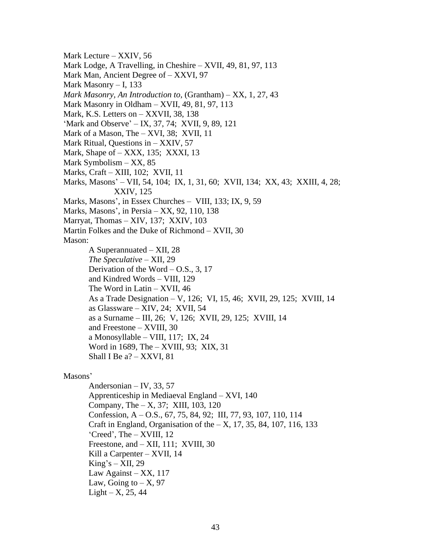Mark Lecture – XXIV, 56

- Mark Lodge, A Travelling, in Cheshire XVII, 49, 81, 97, 113
- Mark Man, Ancient Degree of XXVI, 97
- Mark Masonry I, 133
- *Mark Masonry, An Introduction to*, (Grantham) XX, 1, 27, 43
- Mark Masonry in Oldham XVII, 49, 81, 97, 113
- Mark, K.S. Letters on XXVII, 38, 138
- 'Mark and Observe' IX, 37, 74; XVII, 9, 89, 121
- Mark of a Mason, The XVI, 38; XVII, 11
- Mark Ritual, Questions in XXIV, 57
- Mark, Shape of XXX, 135; XXXI, 13
- Mark Symbolism XX, 85
- Marks, Craft XIII, 102; XVII, 11
- Marks, Masons' VII, 54, 104; IX, 1, 31, 60; XVII, 134; XX, 43; XXIII, 4, 28; XXIV, 125
- Marks, Masons', in Essex Churches VIII, 133; IX, 9, 59
- Marks, Masons', in Persia XX, 92, 110, 138
- Marryat, Thomas XIV, 137; XXIV, 103
- Martin Folkes and the Duke of Richmond XVII, 30

Mason:

A Superannuated – XII, 28 *The Speculative* – XII, 29 Derivation of the Word  $-$  O.S., 3, 17 and Kindred Words – VIII, 129 The Word in Latin – XVII, 46 As a Trade Designation – V, 126; VI, 15, 46; XVII, 29, 125; XVIII, 14 as Glassware – XIV, 24; XVII, 54 as a Surname – III, 26; V, 126; XVII, 29, 125; XVIII, 14 and Freestone – XVIII, 30 a Monosyllable – VIII, 117; IX, 24 Word in 1689, The – XVIII, 93; XIX, 31 Shall I Be a? – XXVI, 81

### Masons'

Andersonian – IV, 33, 57 Apprenticeship in Mediaeval England – XVI, 140 Company, The – X, 37; XIII, 103, 120 Confession, A – O.S., 67, 75, 84, 92; III, 77, 93, 107, 110, 114 Craft in England, Organisation of the  $- X$ , 17, 35, 84, 107, 116, 133 'Creed', The – XVIII, 12 Freestone, and – XII, 111; XVIII, 30 Kill a Carpenter – XVII, 14  $King's - XII$ , 29 Law Against – XX, 117 Law, Going to  $- X$ , 97  $Light - X, 25, 44$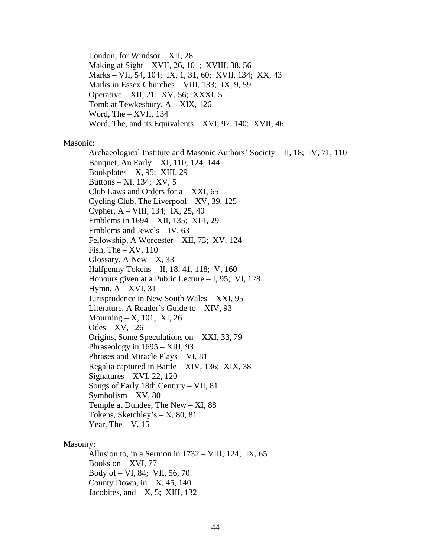London, for Windsor – XII, 28 Making at Sight – XVII, 26, 101; XVIII, 38, 56 Marks – VII, 54, 104; IX, 1, 31, 60; XVII, 134; XX, 43 Marks in Essex Churches – VIII, 133; IX, 9, 59 Operative – XII, 21; XV, 56; XXXI, 5 Tomb at Tewkesbury, A – XIX, 126 Word, The – XVII, 134 Word, The, and its Equivalents – XVI, 97, 140; XVII, 46

### Masonic:

Archaeological Institute and Masonic Authors' Society – II, 18; IV, 71, 110 Banquet, An Early – XI, 110, 124, 144 Bookplates –  $X$ , 95; XIII, 29 Buttons – XI, 134; XV, 5 Club Laws and Orders for  $a - XXI$ , 65 Cycling Club, The Liverpool – XV, 39, 125 Cypher, A – VIII, 134; IX, 25, 40 Emblems in 1694 – XII, 135; XIII, 29 Emblems and Jewels – IV, 63 Fellowship, A Worcester – XII, 73; XV, 124 Fish, The  $-$  XV, 110 Glossary, A New  $- X$ , 33 Halfpenny Tokens – II, 18, 41, 118; V, 160 Honours given at a Public Lecture – I, 95; VI, 128 Hymn,  $A - XVI$ , 31 Jurisprudence in New South Wales – XXI, 95 Literature, A Reader's Guide to – XIV, 93 Mourning  $- X$ , 101; XI, 26 Odes – XV, 126 Origins, Some Speculations on – XXI, 33, 79 Phraseology in 1695 – XIII, 93 Phrases and Miracle Plays – VI, 81 Regalia captured in Battle – XIV, 136; XIX, 38  $Signatures - XVI, 22, 120$ Songs of Early 18th Century – VII, 81  $Symbolism - XV, 80$ Temple at Dundee, The New – XI, 88 Tokens, Sketchley's  $- X$ , 80, 81 Year, The  $-$  V, 15

#### Masonry:

Allusion to, in a Sermon in 1732 – VIII, 124; IX, 65 Books on – XVI, 77 Body of – VI, 84; VII, 56, 70 County Down, in  $-$  X, 45, 140 Jacobites, and  $-X$ , 5; XIII, 132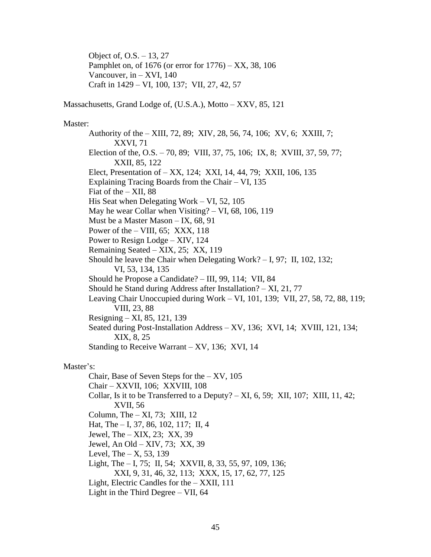Object of, O.S. – 13, 27 Pamphlet on, of 1676 (or error for 1776) – XX, 38, 106 Vancouver, in  $-$  XVI, 140 Craft in 1429 – VI, 100, 137; VII, 27, 42, 57

Massachusetts, Grand Lodge of, (U.S.A.), Motto – XXV, 85, 121

### Master:

Authority of the – XIII, 72, 89; XIV, 28, 56, 74, 106; XV, 6; XXIII, 7; XXVI, 71 Election of the, O.S. – 70, 89; VIII, 37, 75, 106; IX, 8; XVIII, 37, 59, 77; XXII, 85, 122 Elect, Presentation of – XX, 124; XXI, 14, 44, 79; XXII, 106, 135 Explaining Tracing Boards from the Chair – VI, 135 Fiat of the  $-$  XII, 88 His Seat when Delegating Work – VI, 52, 105 May he wear Collar when Visiting? – VI, 68, 106, 119 Must be a Master Mason – IX, 68, 91 Power of the  $-$  VIII, 65; XXX, 118 Power to Resign Lodge – XIV, 124 Remaining Seated – XIX, 25; XX, 119 Should he leave the Chair when Delegating Work?  $-$  I, 97; II, 102, 132; VI, 53, 134, 135 Should he Propose a Candidate? – III, 99, 114; VII, 84 Should he Stand during Address after Installation? – XI, 21, 77 Leaving Chair Unoccupied during Work – VI, 101, 139; VII, 27, 58, 72, 88, 119; VIII, 23, 88 Resigning – XI, 85, 121, 139 Seated during Post-Installation Address – XV, 136; XVI, 14; XVIII, 121, 134; XIX, 8, 25 Standing to Receive Warrant – XV, 136; XVI, 14

### Master's:

Chair, Base of Seven Steps for the – XV, 105 Chair – XXVII, 106; XXVIII, 108 Collar, Is it to be Transferred to a Deputy?  $- XI$ , 6, 59; XII, 107; XIII, 11, 42; XVII, 56 Column, The – XI, 73; XIII, 12 Hat, The – I, 37, 86, 102, 117; II, 4 Jewel, The – XIX, 23; XX, 39 Jewel, An Old – XIV, 73; XX, 39 Level, The  $- X$ , 53, 139 Light, The – I, 75; II, 54; XXVII, 8, 33, 55, 97, 109, 136; XXI, 9, 31, 46, 32, 113; XXX, 15, 17, 62, 77, 125 Light, Electric Candles for the – XXII, 111 Light in the Third Degree – VII, 64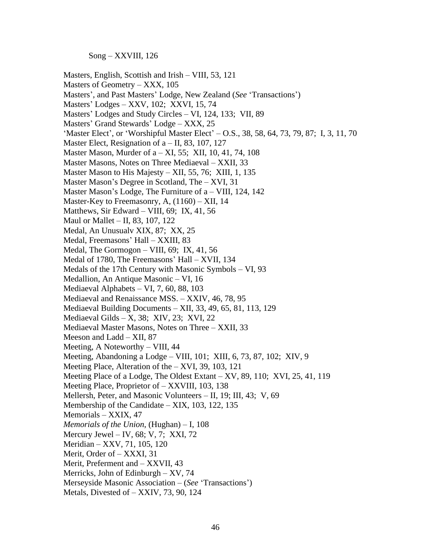Song – XXVIII, 126

Masters, English, Scottish and Irish – VIII, 53, 121 Masters of Geometry – XXX, 105 Masters', and Past Masters' Lodge, New Zealand (*See* 'Transactions') Masters' Lodges – XXV, 102; XXVI, 15, 74 Masters' Lodges and Study Circles – VI, 124, 133; VII, 89 Masters' Grand Stewards' Lodge – XXX, 25 'Master Elect', or 'Worshipful Master Elect' – O.S., 38, 58, 64, 73, 79, 87; I, 3, 11, 70 Master Elect, Resignation of  $a - II$ , 83, 107, 127 Master Mason, Murder of a – XI, 55; XII, 10, 41, 74, 108 Master Masons, Notes on Three Mediaeval – XXII, 33 Master Mason to His Majesty – XII, 55, 76; XIII, 1, 135 Master Mason's Degree in Scotland, The – XVI, 31 Master Mason's Lodge, The Furniture of a – VIII, 124, 142 Master-Key to Freemasonry, A, (1160) – XII, 14 Matthews, Sir Edward – VIII, 69; IX, 41, 56 Maul or Mallet – II, 83, 107, 122 Medal, An Unusualv XIX, 87; XX, 25 Medal, Freemasons' Hall – XXIII, 83 Medal, The Gormogon – VIII, 69; IX, 41, 56 Medal of 1780, The Freemasons' Hall – XVII, 134 Medals of the 17th Century with Masonic Symbols – VI, 93 Medallion, An Antique Masonic – VI, 16 Mediaeval Alphabets – VI, 7, 60, 88, 103 Mediaeval and Renaissance MSS. – XXIV, 46, 78, 95 Mediaeval Building Documents – XII, 33, 49, 65, 81, 113, 129 Mediaeval Gilds – X, 38; XIV, 23; XVI, 22 Mediaeval Master Masons, Notes on Three – XXII, 33 Meeson and Ladd – XII, 87 Meeting, A Noteworthy – VIII, 44 Meeting, Abandoning a Lodge – VIII, 101; XIII, 6, 73, 87, 102; XIV, 9 Meeting Place, Alteration of the – XVI, 39, 103, 121 Meeting Place of a Lodge, The Oldest Extant – XV, 89, 110; XVI, 25, 41, 119 Meeting Place, Proprietor of – XXVIII, 103, 138 Mellersh, Peter, and Masonic Volunteers – II, 19; III, 43; V, 69 Membership of the Candidate – XIX, 103, 122, 135 Memorials – XXIX, 47 *Memorials of the Union*, (Hughan) – I, 108 Mercury Jewel – IV,  $68$ ; V, 7; XXI, 72 Meridian – XXV, 71, 105, 120 Merit, Order of – XXXI, 31 Merit, Preferment and – XXVII, 43 Merricks, John of Edinburgh – XV, 74 Merseyside Masonic Association – (*See* 'Transactions')

Metals, Divested of – XXIV, 73, 90, 124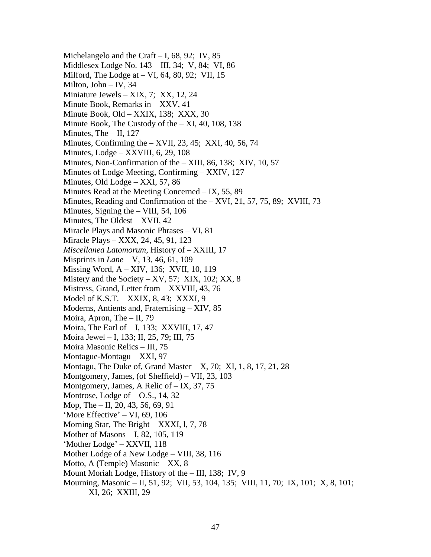Michelangelo and the Craft  $- I$ , 68, 92; IV, 85 Middlesex Lodge No. 143 – III, 34; V, 84; VI, 86 Milford, The Lodge at  $-$  VI, 64, 80, 92; VII, 15 Milton, John – IV, 34 Miniature Jewels – XIX, 7; XX, 12, 24 Minute Book, Remarks in – XXV, 41 Minute Book, Old – XXIX, 138; XXX, 30 Minute Book, The Custody of the – XI, 40, 108, 138 Minutes, The – II, 127 Minutes, Confirming the – XVII, 23, 45; XXI, 40, 56, 74 Minutes, Lodge – XXVIII, 6, 29, 108 Minutes, Non-Confirmation of the – XIII, 86, 138; XIV, 10, 57 Minutes of Lodge Meeting, Confirming – XXIV, 127 Minutes, Old Lodge – XXI, 57, 86 Minutes Read at the Meeting Concerned – IX, 55, 89 Minutes, Reading and Confirmation of the – XVI, 21, 57, 75, 89; XVIII, 73 Minutes, Signing the – VIII, 54, 106 Minutes, The Oldest – XVII, 42 Miracle Plays and Masonic Phrases – VI, 81 Miracle Plays – XXX, 24, 45, 91, 123 *Miscellanea Latomorum*, History of – XXIII, 17 Misprints in *Lane* – V, 13, 46, 61, 109 Missing Word, A – XIV, 136; XVII, 10, 119 Mistery and the Society  $- XV, 57$ ; XIX, 102; XX, 8 Mistress, Grand, Letter from – XXVIII, 43, 76 Model of K.S.T. – XXIX, 8, 43; XXXI, 9 Moderns, Antients and, Fraternising – XIV, 85 Moira, Apron, The – II, 79 Moira, The Earl of – I, 133; XXVIII, 17, 47 Moira Jewel – I, 133; II, 25, 79; III, 75 Moira Masonic Relics – III, 75 Montague-Montagu – XXI, 97 Montagu, The Duke of, Grand Master  $- X$ , 70; XI, 1, 8, 17, 21, 28 Montgomery, James, (of Sheffield) – VII, 23, 103 Montgomery, James, A Relic of – IX, 37, 75 Montrose, Lodge of  $-$  O.S., 14, 32 Mop, The – II, 20, 43, 56, 69, 91 'More Effective' – VI, 69, 106 Morning Star, The Bright – XXXI, l, 7, 78 Mother of Masons – I, 82, 105, 119 'Mother Lodge' – XXVII, 118 Mother Lodge of a New Lodge – VIII, 38, 116 Motto, A (Temple) Masonic – XX, 8 Mount Moriah Lodge, History of the – III, 138; IV, 9 Mourning, Masonic – II, 51, 92; VII, 53, 104, 135; VIII, 11, 70; IX, 101; X, 8, 101; XI, 26; XXIII, 29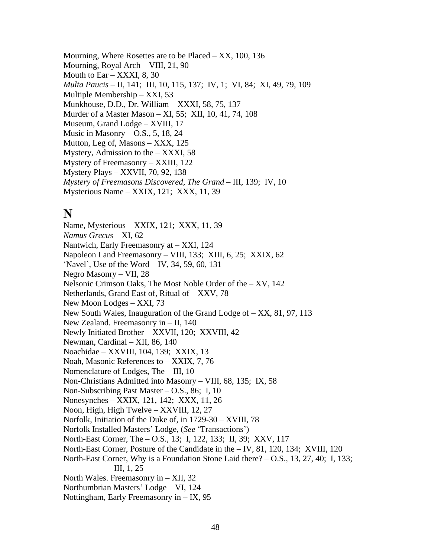Mourning, Where Rosettes are to be Placed – XX, 100, 136 Mourning, Royal Arch – VIII, 21, 90 Mouth to  $\text{Ear} - \text{XXXI}$ , 8, 30 *Multa Paucis* – II, 141; III, 10, 115, 137; IV, 1; VI, 84; XI, 49, 79, 109 Multiple Membership – XXI, 53 Munkhouse, D.D., Dr. William – XXXI, 58, 75, 137 Murder of a Master Mason – XI, 55; XII, 10, 41, 74, 108 Museum, Grand Lodge – XVIII, 17 Music in Masonry  $-$  O.S., 5, 18, 24 Mutton, Leg of, Masons – XXX, 125 Mystery, Admission to the  $-$  XXXI, 58 Mystery of Freemasonry – XXIII, 122 Mystery Plays – XXVII, 70, 92, 138 *Mystery of Freemasons Discovered, The Grand* – III, 139; IV, 10 Mysterious Name – XXIX, 121; XXX, 11, 39

### **N**

Name, Mysterious – XXIX, 121; XXX, 11, 39 *Namus Grecus* – XI, 62 Nantwich, Early Freemasonry at – XXI, 124 Napoleon I and Freemasonry – VIII, 133; XIII, 6, 25; XXIX, 62 'Navel', Use of the Word – IV, 34, 59, 60, 131 Negro Masonry – VII, 28 Nelsonic Crimson Oaks, The Most Noble Order of the – XV, 142 Netherlands, Grand East of, Ritual of – XXV, 78 New Moon Lodges – XXI, 73 New South Wales, Inauguration of the Grand Lodge of – XX, 81, 97, 113 New Zealand. Freemasonry in – II, 140 Newly Initiated Brother – XXVII, 120; XXVIII, 42 Newman, Cardinal – XII, 86, 140 Noachidae – XXVIII, 104, 139; XXIX, 13 Noah, Masonic References to – XXIX, 7, 76 Nomenclature of Lodges, The – III, 10 Non-Christians Admitted into Masonry – VIII, 68, 135; IX, 58 Non-Subscribing Past Master – O.S., 86; I, 10 Nonesynches – XXIX, 121, 142; XXX, 11, 26 Noon, High, High Twelve – XXVIII, 12, 27 Norfolk, Initiation of the Duke of, in 1729-30 – XVIII, 78 Norfolk Installed Masters' Lodge, (*See* 'Transactions') North-East Corner, The – O.S., 13; I, 122, 133; II, 39; XXV, 117 North-East Corner, Posture of the Candidate in the – IV, 81, 120, 134; XVIII, 120 North-East Corner, Why is a Foundation Stone Laid there? – O.S., 13, 27, 40; I, 133; III, 1, 25 North Wales. Freemasonry in – XII, 32 Northumbrian Masters' Lodge – VI, 124 Nottingham, Early Freemasonry in – IX, 95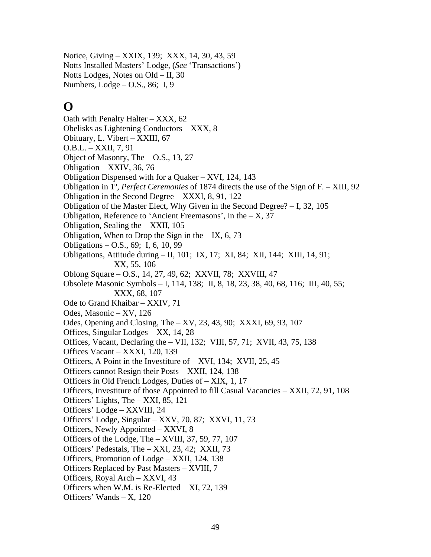Notice, Giving – XXIX, 139; XXX, 14, 30, 43, 59 Notts Installed Masters' Lodge, (*See* 'Transactions') Notts Lodges, Notes on Old – II, 30 Numbers, Lodge – O.S., 86; I, 9

# **O**

Oath with Penalty Halter – XXX, 62 Obelisks as Lightening Conductors – XXX, 8 Obituary, L. Vibert – XXIII, 67 O.B.L. – XXII, 7, 91 Object of Masonry, The – O.S., 13, 27 Obligation – XXIV, 36, 76 Obligation Dispensed with for a Quaker – XVI, 124, 143 Obligation in 1º, *Perfect Ceremonies* of 1874 directs the use of the Sign of F. – XIII, 92 Obligation in the Second Degree – XXXI, 8, 91, 122 Obligation of the Master Elect, Why Given in the Second Degree? – I, 32, 105 Obligation, Reference to 'Ancient Freemasons', in the  $- X$ , 37 Obligation, Sealing the – XXII, 105 Obligation, When to Drop the Sign in the  $-$  IX, 6, 73 Obligations – O.S., 69; I, 6, 10, 99 Obligations, Attitude during – II, 101; IX, 17; XI, 84; XII, 144; XIII, 14, 91; XX, 55, 106 Oblong Square – O.S., 14, 27, 49, 62; XXVII, 78; XXVIII, 47 Obsolete Masonic Symbols – I, 114, 138; II, 8, 18, 23, 38, 40, 68, 116; III, 40, 55; XXX, 68, 107 Ode to Grand Khaibar – XXIV, 71 Odes, Masonic – XV, 126 Odes, Opening and Closing, The – XV, 23, 43, 90; XXXI, 69, 93, 107 Offices, Singular Lodges – XX, 14, 28 Offices, Vacant, Declaring the – VII, 132; VIII, 57, 71; XVII, 43, 75, 138 Offices Vacant – XXXI, 120, 139 Officers, A Point in the Investiture of – XVI, 134; XVII, 25, 45 Officers cannot Resign their Posts – XXII, 124, 138 Officers in Old French Lodges, Duties of – XIX, 1, 17 Officers, Investiture of those Appointed to fill Casual Vacancies – XXII, 72, 91, 108 Officers' Lights, The – XXI, 85, 121 Officers' Lodge – XXVIII, 24 Officers' Lodge, Singular – XXV, 70, 87; XXVI, 11, 73 Officers, Newly Appointed – XXVI, 8 Officers of the Lodge, The – XVIII, 37, 59, 77, 107 Officers' Pedestals, The – XXI, 23, 42; XXII, 73 Officers, Promotion of Lodge – XXII, 124, 138 Officers Replaced by Past Masters – XVIII, 7 Officers, Royal Arch – XXVI, 43 Officers when W.M. is Re-Elected – XI, 72, 139 Officers' Wands – X, 120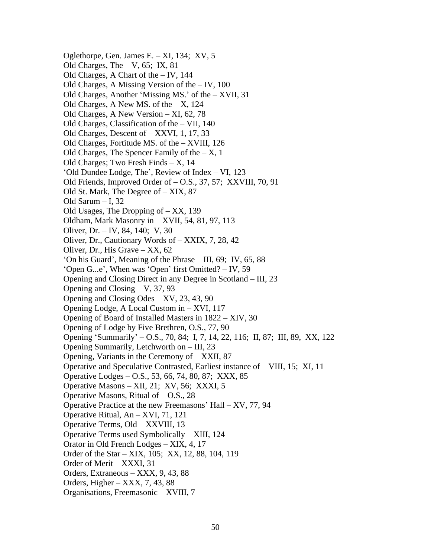Oglethorpe, Gen. James E. – XI, 134; XV, 5 Old Charges, The  $-$  V, 65; IX, 81 Old Charges, A Chart of the – IV, 144 Old Charges, A Missing Version of the – IV, 100 Old Charges, Another 'Missing MS.' of the – XVII, 31 Old Charges, A New MS. of the – X, 124 Old Charges, A New Version – XI, 62, 78 Old Charges, Classification of the – VII, 140 Old Charges, Descent of – XXVI, 1, 17, 33 Old Charges, Fortitude MS. of the – XVIII, 126 Old Charges, The Spencer Family of the  $- X$ , 1 Old Charges; Two Fresh Finds – X, 14 'Old Dundee Lodge, The', Review of Index – VI, 123 Old Friends, Improved Order of – O.S., 37, 57; XXVIII, 70, 91 Old St. Mark, The Degree of – XIX, 87 Old Sarum – I, 32 Old Usages, The Dropping of  $- XX$ , 139 Oldham, Mark Masonry in – XVII, 54, 81, 97, 113 Oliver, Dr. – IV, 84, 140; V, 30 Oliver, Dr., Cautionary Words of – XXIX, 7, 28, 42 Oliver, Dr., His Grave – XX, 62 'On his Guard', Meaning of the Phrase – III, 69; IV, 65, 88 'Open G...e', When was 'Open' first Omitted? – IV, 59 Opening and Closing Direct in any Degree in Scotland – III, 23 Opening and Closing – V, 37, 93 Opening and Closing Odes – XV, 23, 43, 90 Opening Lodge, A Local Custom in – XVI, 117 Opening of Board of Installed Masters in 1822 – XIV, 30 Opening of Lodge by Five Brethren, O.S., 77, 90 Opening 'Summarily' – O.S., 70, 84; I, 7, 14, 22, 116; II, 87; III, 89, XX, 122 Opening Summarily, Letchworth on – III, 23 Opening, Variants in the Ceremony of – XXII, 87 Operative and Speculative Contrasted, Earliest instance of – VIII, 15; XI, 11 Operative Lodges – O.S., 53, 66, 74, 80, 87; XXX, 85 Operative Masons – XII, 21; XV, 56; XXXI, 5 Operative Masons, Ritual of – O.S., 28 Operative Practice at the new Freemasons' Hall – XV, 77, 94 Operative Ritual, An – XVI, 71, 121 Operative Terms, Old – XXVIII, 13 Operative Terms used Symbolically – XIII, 124 Orator in Old French Lodges – XIX, 4, 17 Order of the Star – XIX, 105; XX, 12, 88, 104, 119 Order of Merit – XXXI, 31 Orders, Extraneous – XXX, 9, 43, 88 Orders, Higher – XXX, 7, 43, 88 Organisations, Freemasonic – XVIII, 7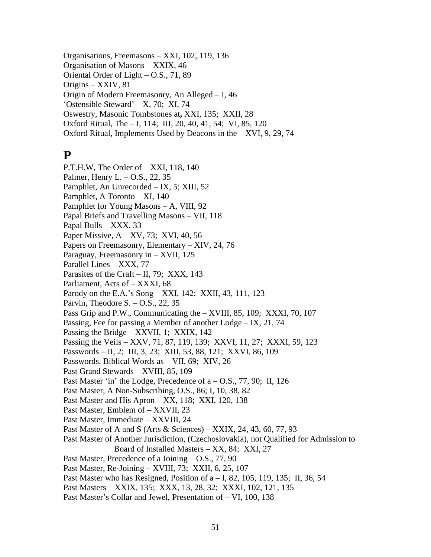Organisations, Freemasons – XXI, 102, 119, 136 Organisation of Masons – XXIX, 46 Oriental Order of Light – O.S., 71, 89 Origins – XXIV, 81 Origin of Modern Freemasonry, An Alleged – I, 46 'Ostensible Steward' – X, 70; XI, 74 Oswestry, Masonic Tombstones at**,** XXI, 135; XXII, 28 Oxford Ritual, The – I, 114; III, 20, 40, 41, 54; VI, 85, 120 Oxford Ritual, Implements Used by Deacons in the – XVI, 9, 29, 74

## **P**

P.T.H.W, The Order of – XXI, 118, 140 Palmer, Henry L. – O.S., 22, 35 Pamphlet, An Unrecorded – IX, 5; XIII, 52 Pamphlet, A Toronto – XI, 140 Pamphlet for Young Masons – A, VIII, 92 Papal Briefs and Travelling Masons – VII, 118 Papal Bulls – XXX, 33 Paper Missive, A – XV, 73; XVI, 40, 56 Papers on Freemasonry, Elementary – XIV, 24, 76 Paraguay, Freemasonry in – XVII, 125 Parallel Lines – XXX, 77 Parasites of the Craft – II, 79; XXX, 143 Parliament, Acts of – XXXI, 68 Parody on the E.A.'s Song – XXI, 142; XXII, 43, 111, 123 Parvin, Theodore S.  $-$  O.S., 22, 35 Pass Grip and P.W., Communicating the – XVIII, 85, 109; XXXI, 70, 107 Passing, Fee for passing a Member of another Lodge – IX, 21, 74 Passing the Bridge – XXVII, 1; XXIX, 142 Passing the Veils – XXV, 71, 87, 119, 139; XXVI, 11, 27; XXXI, 59, 123 Passwords – II, 2; III, 3, 23; XIII, 53, 88, 121; XXVI, 86, 109 Passwords, Biblical Words as – VII, 69; XIV, 26 Past Grand Stewards – XVIII, 85, 109 Past Master 'in' the Lodge, Precedence of  $a - O.S., 77, 90$ ; II, 126 Past Master, A Non-Subscribing, O.S., 86; I, 10, 38, 82 Past Master and His Apron – XX, 118; XXI, 120, 138 Past Master, Emblem of – XXVII, 23 Past Master, Immediate – XXVIII, 24 Past Master of A and S (Arts & Sciences) – XXIX, 24, 43, 60, 77, 93 Past Master of Another Jurisdiction, (Czechoslovakia), not Qualified for Admission to Board of Installed Masters – XX, 84; XXI, 27 Past Master, Precedence of a Joining – O.S., 77, 90 Past Master, Re-Joining – XVIII, 73; XXII, 6, 25, 107 Past Master who has Resigned, Position of  $a - I$ , 82, 105, 119, 135; II, 36, 54 Past Masters – XXIX, 135; XXX, 13, 28, 32; XXXI, 102, 121, 135 Past Master's Collar and Jewel, Presentation of – VI, 100, 138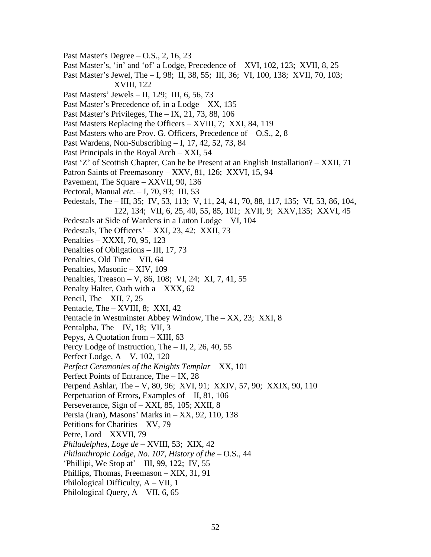Past Master's Degree – O.S., 2, 16, 23 Past Master's, 'in' and 'of' a Lodge, Precedence of – XVI, 102, 123; XVII, 8, 25 Past Master's Jewel, The – I, 98; II, 38, 55; III, 36; VI, 100, 138; XVII, 70, 103; XVIII, 122 Past Masters' Jewels – II, 129; III, 6, 56, 73 Past Master's Precedence of, in a Lodge – XX, 135 Past Master's Privileges, The – IX, 21, 73, 88, 106 Past Masters Replacing the Officers – XVIII, 7; XXI, 84, 119 Past Masters who are Prov. G. Officers, Precedence of  $-$  O.S., 2, 8 Past Wardens, Non-Subscribing – I, 17, 42, 52, 73, 84 Past Principals in the Royal Arch – XXI, 54 Past 'Z' of Scottish Chapter, Can he be Present at an English Installation? – XXII, 71 Patron Saints of Freemasonry – XXV, 81, 126; XXVI, 15, 94 Pavement, The Square – XXVII, 90, 136 Pectoral, Manual *etc*. – I, 70, 93; III, 53 Pedestals, The – III, 35; IV, 53, 113; V, 11, 24, 41, 70, 88, 117, 135; VI, 53, 86, 104, 122, 134; VII, 6, 25, 40, 55, 85, 101; XVII, 9; XXV,135; XXVI, 45 Pedestals at Side of Wardens in a Luton Lodge – VI, 104 Pedestals, The Officers' – XXI, 23, 42; XXII, 73 Penalties – XXXI, 70, 95, 123 Penalties of Obligations – III, 17, 73 Penalties, Old Time – VII, 64 Penalties, Masonic – XIV, 109 Penalties, Treason – V, 86, 108; VI, 24; XI, 7, 41, 55 Penalty Halter, Oath with  $a - XXX$ , 62 Pencil, The  $-$  XII, 7, 25 Pentacle, The – XVIII, 8; XXI, 42 Pentacle in Westminster Abbey Window, The – XX, 23; XXI, 8 Pentalpha, The – IV, 18; VII, 3 Pepys, A Quotation from – XIII, 63 Percy Lodge of Instruction, The  $-$  II, 2, 26, 40, 55 Perfect Lodge, A – V, 102, 120 *Perfect Ceremonies of the Knights Templar* – XX, 101 Perfect Points of Entrance, The – IX, 28 Perpend Ashlar, The – V, 80, 96; XVI, 91; XXIV, 57, 90; XXIX, 90, 110 Perpetuation of Errors, Examples of – II, 81, 106 Perseverance, Sign of – XXI, 85, 105; XXII, 8 Persia (Iran), Masons' Marks in – XX, 92, 110, 138 Petitions for Charities – XV, 79 Petre, Lord – XXVII, 79 *Philadelphes, Loge de* – XVIII, 53; XIX, 42 *Philanthropic Lodge, No. 107, History of the* – O.S., 44 'Phillipi, We Stop at' – III, 99, 122; IV, 55 Phillips, Thomas, Freemason – XIX, 31, 91 Philological Difficulty,  $A - VII$ , 1 Philological Query,  $A - VII$ , 6, 65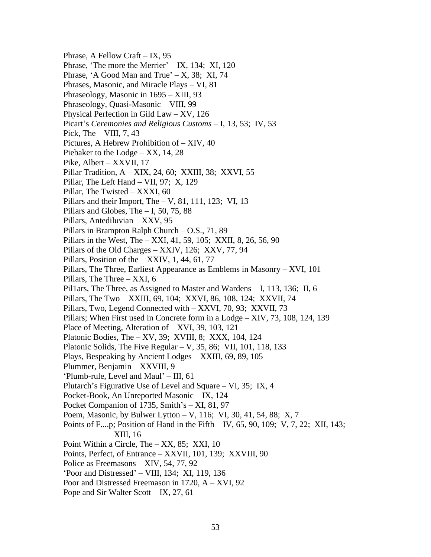Phrase, A Fellow Craft – IX, 95 Phrase, 'The more the Merrier' – IX, 134; XI, 120 Phrase, 'A Good Man and True'  $- X$ , 38; XI, 74 Phrases, Masonic, and Miracle Plays – VI, 81 Phraseology, Masonic in 1695 – XIII, 93 Phraseology, Quasi-Masonic – VIII, 99 Physical Perfection in Gild Law – XV, 126 Picart's *Ceremonies and Religious Customs* – I, 13, 53; IV, 53 Pick, The  $-$  VIII, 7, 43 Pictures, A Hebrew Prohibition of – XIV, 40 Piebaker to the Lodge – XX, 14, 28 Pike, Albert – XXVII, 17 Pillar Tradition, A – XIX, 24, 60; XXIII, 38; XXVI, 55 Pillar, The Left Hand – VII, 97; X, 129 Pillar, The Twisted – XXXI, 60 Pillars and their Import, The – V, 81, 111, 123; VI, 13 Pillars and Globes, The  $-1$ , 50, 75, 88 Pillars, Antediluvian – XXV, 95 Pillars in Brampton Ralph Church – O.S., 71, 89 Pillars in the West, The – XXI, 41, 59, 105; XXII, 8, 26, 56, 90 Pillars of the Old Charges – XXIV, 126; XXV, 77, 94 Pillars, Position of the  $-$  XXIV, 1, 44, 61, 77 Pillars, The Three, Earliest Appearance as Emblems in Masonry – XVI, 101 Pillars, The Three – XXI, 6 Pil1ars, The Three, as Assigned to Master and Wardens – I, 113, 136; II, 6 Pillars, The Two – XXIII, 69, 104; XXVI, 86, 108, 124; XXVII, 74 Pillars, Two, Legend Connected with – XXVI, 70, 93; XXVII, 73 Pillars; When First used in Concrete form in a Lodge – XIV, 73, 108, 124, 139 Place of Meeting, Alteration of – XVI, 39, 103, 121 Platonic Bodies, The – XV, 39; XVIII, 8; XXX, 104, 124 Platonic Solids, The Five Regular – V, 35, 86; VII, 101, 118, 133 Plays, Bespeaking by Ancient Lodges – XXIII, 69, 89, 105 Plummer, Benjamin – XXVIII, 9 'Plumb-rule, Level and Maul' – III, 61 Plutarch's Figurative Use of Level and Square – VI, 35; IX, 4 Pocket-Book, An Unreported Masonic – IX, 124 Pocket Companion of 1735, Smith's – XI, 81, 97 Poem, Masonic, by Bulwer Lytton – V, 116; VI, 30, 41, 54, 88; X, 7 Points of F....p; Position of Hand in the Fifth – IV, 65, 90, 109; V, 7, 22; XII, 143; XIII, 16 Point Within a Circle, The – XX, 85; XXI, 10 Points, Perfect, of Entrance – XXVII, 101, 139; XXVIII, 90 Police as Freemasons – XIV, 54, 77, 92 'Poor and Distressed' – VIII, 134; XI, 119, 136 Poor and Distressed Freemason in 1720, A – XVI, 92 Pope and Sir Walter Scott – IX, 27, 61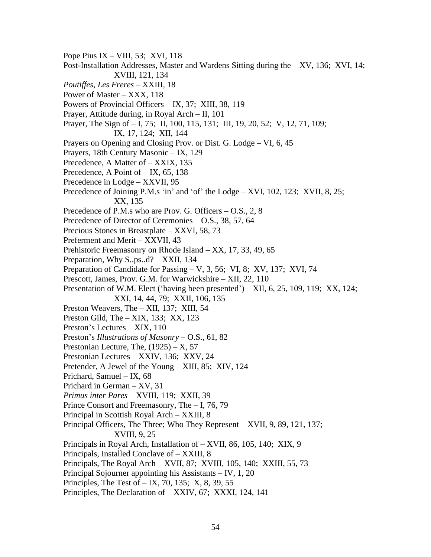Pope Pius IX – VIII, 53; XVI, 118 Post-Installation Addresses, Master and Wardens Sitting during the – XV, 136; XVI, 14; XVIII, 121, 134 *Poutiffes, Les Freres* – XXIII, 18 Power of Master – XXX, 118 Powers of Provincial Officers – IX, 37; XIII, 38, 119 Prayer, Attitude during, in Royal Arch – II, 101 Prayer, The Sign of – I, 75; II, 100, 115, 131; III, 19, 20, 52; V, 12, 71, 109; IX, 17, 124; XII, 144 Prayers on Opening and Closing Prov. or Dist. G. Lodge – VI, 6, 45 Prayers, 18th Century Masonic – IX, 129 Precedence, A Matter of – XXIX, 135 Precedence, A Point of  $-$  IX, 65, 138 Precedence in Lodge – XXVII, 95 Precedence of Joining P.M.s 'in' and 'of' the Lodge – XVI, 102, 123; XVII, 8, 25; XX, 135 Precedence of P.M.s who are Prov. G. Officers – O.S., 2, 8 Precedence of Director of Ceremonies – O.S., 38, 57, 64 Precious Stones in Breastplate – XXVI, 58, 73 Preferment and Merit – XXVII, 43 Prehistoric Freemasonry on Rhode Island – XX, 17, 33, 49, 65 Preparation, Why S..ps..d? – XXII, 134 Preparation of Candidate for Passing – V, 3, 56; VI, 8; XV, 137; XVI, 74 Prescott, James, Prov. G.M. for Warwickshire – XII, 22, 110 Presentation of W.M. Elect ('having been presented') – XII, 6, 25, 109, 119; XX, 124; XXI, 14, 44, 79; XXII, 106, 135 Preston Weavers, The – XII, 137; XIII, 54 Preston Gild, The – XIX, 133; XX, 123 Preston's Lectures – XIX, 110 Preston's *Illustrations of Masonry* – O.S., 61, 82 Prestonian Lecture, The,  $(1925) - X$ , 57 Prestonian Lectures – XXIV, 136; XXV, 24 Pretender, A Jewel of the Young – XIII, 85; XIV, 124 Prichard, Samuel – IX, 68 Prichard in German – XV, 31 *Primus inter Pares* – XVIII, 119; XXII, 39 Prince Consort and Freemasonry, The – I, 76, 79 Principal in Scottish Royal Arch – XXIII, 8 Principal Officers, The Three; Who They Represent – XVII, 9, 89, 121, 137; XVIII, 9, 25 Principals in Royal Arch, Installation of – XVII, 86, 105, 140; XIX, 9 Principals, Installed Conclave of – XXIII, 8 Principals, The Royal Arch – XVII, 87; XVIII, 105, 140; XXIII, 55, 73 Principal Sojourner appointing his Assistants – IV, 1, 20 Principles, The Test of  $-$  IX, 70, 135; X, 8, 39, 55 Principles, The Declaration of – XXIV, 67; XXXI, 124, 141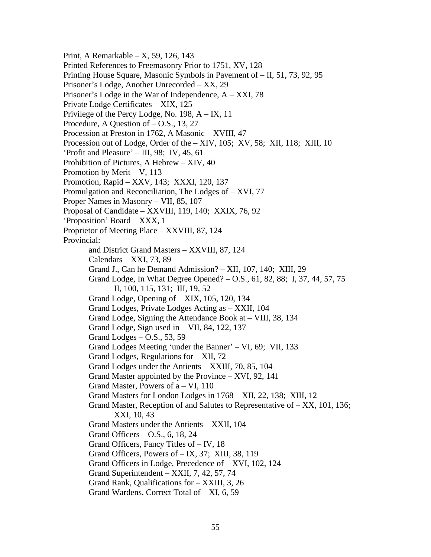Print, A Remarkable – X, 59, 126, 143 Printed References to Freemasonry Prior to 1751, XV, 128 Printing House Square, Masonic Symbols in Pavement of – II, 51, 73, 92, 95 Prisoner's Lodge, Another Unrecorded – XX, 29 Prisoner's Lodge in the War of Independence, A – XXI, 78 Private Lodge Certificates – XIX, 125 Privilege of the Percy Lodge, No. 198, A – IX, 11 Procedure, A Question of – O.S., 13, 27 Procession at Preston in 1762, A Masonic – XVIII, 47 Procession out of Lodge, Order of the – XIV, 105; XV, 58; XII, 118; XIII, 10 'Profit and Pleasure' – III, 98; IV, 45, 61 Prohibition of Pictures, A Hebrew – XIV, 40 Promotion by Merit – V, 113 Promotion, Rapid – XXV, 143; XXXI, 120, 137 Promulgation and Reconciliation, The Lodges of – XVI, 77 Proper Names in Masonry – VII, 85, 107 Proposal of Candidate – XXVIII, 119, 140; XXIX, 76, 92 'Proposition' Board – XXX, 1 Proprietor of Meeting Place – XXVIII, 87, 124 Provincial: and District Grand Masters – XXVIII, 87, 124 Calendars – XXI, 73, 89 Grand J., Can he Demand Admission? – XII, 107, 140; XIII, 29 Grand Lodge, In What Degree Opened? – O.S., 61, 82, 88; I, 37, 44, 57, 75 II, 100, 115, 131; III, 19, 52 Grand Lodge, Opening of – XIX, 105, 120, 134 Grand Lodges, Private Lodges Acting as – XXII, 104 Grand Lodge, Signing the Attendance Book at – VIII, 38, 134 Grand Lodge, Sign used in – VII, 84, 122, 137 Grand Lodges – O.S., 53, 59 Grand Lodges Meeting 'under the Banner' – VI, 69; VII, 133 Grand Lodges, Regulations for – XII, 72 Grand Lodges under the Antients – XXIII, 70, 85, 104 Grand Master appointed by the Province – XVI, 92, 141 Grand Master, Powers of  $a - VI$ , 110 Grand Masters for London Lodges in 1768 – XII, 22, 138; XIII, 12 Grand Master, Reception of and Salutes to Representative of  $- XX$ , 101, 136; XXI, 10, 43 Grand Masters under the Antients – XXII, 104 Grand Officers – O.S., 6, 18, 24 Grand Officers, Fancy Titles of – IV, 18 Grand Officers, Powers of – IX, 37; XIII, 38, 119 Grand Officers in Lodge, Precedence of – XVI, 102, 124 Grand Superintendent – XXII, 7, 42, 57, 74 Grand Rank, Qualifications for – XXIII, 3, 26 Grand Wardens, Correct Total of – XI, 6, 59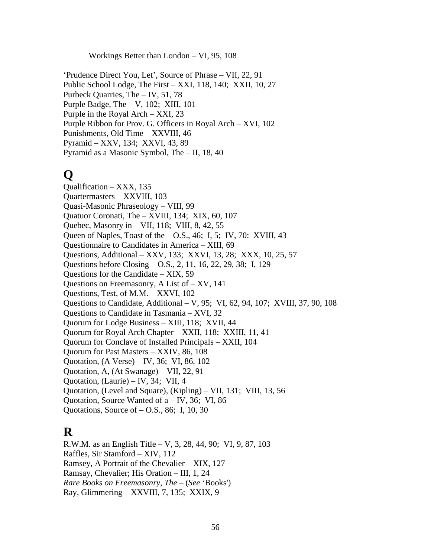Workings Better than London – VI, 95, 108

'Prudence Direct You, Let', Source of Phrase – VII, 22, 91 Public School Lodge, The First – XXI, 118, 140; XXII, 10, 27 Purbeck Quarries, The – IV, 51, 78 Purple Badge, The – V, 102; XIII, 101 Purple in the Royal Arch – XXI, 23 Purple Ribbon for Prov. G. Officers in Royal Arch – XVI, 102 Punishments, Old Time – XXVIII, 46 Pyramid – XXV, 134; XXVI, 43, 89 Pyramid as a Masonic Symbol, The – II, 18, 40

# **Q**

Qualification – XXX, 135 Quartermasters – XXVIII, 103 Quasi-Masonic Phraseology – VIII, 99 Quatuor Coronati, The – XVIII, 134; XIX, 60, 107 Quebec, Masonry in – VII, 118; VIII, 8, 42, 55 Queen of Naples, Toast of the  $-$  O.S., 46; I, 5; IV, 70: XVIII, 43 Questionnaire to Candidates in America – XIII, 69 Questions, Additional – XXV, 133; XXVI, 13, 28; XXX, 10, 25, 57 Questions before Closing – O.S., 2, 11, 16, 22, 29, 38; I, 129 Questions for the Candidate – XIX, 59 Questions on Freemasonry, A List of – XV, 141 Questions, Test, of M.M. – XXVI, 102 Questions to Candidate, Additional – V, 95; VI, 62, 94, 107; XVIII, 37, 90, 108 Questions to Candidate in Tasmania – XVI, 32 Quorum for Lodge Business – XIII, 118; XVII, 44 Quorum for Royal Arch Chapter – XXII, 118; XXIII, 11, 41 Quorum for Conclave of Installed Principals – XXII, 104 Quorum for Past Masters – XXIV, 86, 108 Quotation, (A Verse) – IV, 36; VI, 86, 102 Quotation, A, (At Swanage) – VII, 22, 91 Quotation, (Laurie) – IV, 34; VII, 4 Quotation, (Level and Square), (Kipling) – VII, 131; VIII, 13, 56 Quotation, Source Wanted of a – IV, 36; VI, 86 Quotations, Source of – O.S., 86; I, 10, 30

## **R**

R.W.M. as an English Title – V, 3, 28, 44, 90; VI, 9, 87, 103 Raffles, Sir Stamford – XIV, 112 Ramsey, A Portrait of the Chevalier – XIX, 127 Ramsay, Chevalier; His Oration – III, 1, 24 *Rare Books on Freemasonry, The* – (*See* 'Books') Ray, Glimmering – XXVIII, 7, 135; XXIX, 9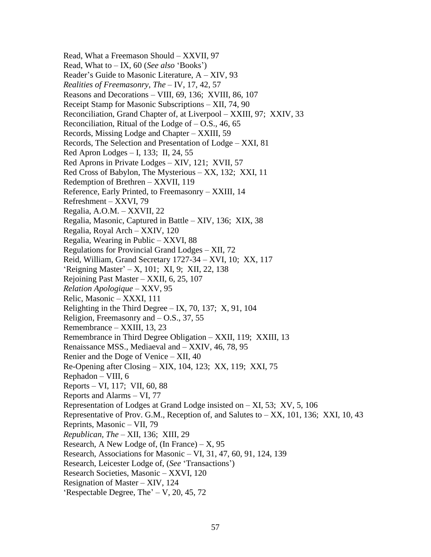Read, What a Freemason Should – XXVII, 97 Read, What to – IX, 60 (*See also* 'Books') Reader's Guide to Masonic Literature, A – XIV, 93 *Realities of Freemasonry, The* – IV, 17, 42, 57 Reasons and Decorations – VIII, 69, 136; XVIII, 86, 107 Receipt Stamp for Masonic Subscriptions – XII, 74, 90 Reconciliation, Grand Chapter of, at Liverpool – XXIII, 97; XXIV, 33 Reconciliation, Ritual of the Lodge of  $-$  O.S., 46, 65 Records, Missing Lodge and Chapter – XXIII, 59 Records, The Selection and Presentation of Lodge – XXI, 81 Red Apron Lodges – I, 133; II, 24, 55 Red Aprons in Private Lodges – XIV, 121; XVII, 57 Red Cross of Babylon, The Mysterious – XX, 132; XXI, 11 Redemption of Brethren – XXVII, 119 Reference, Early Printed, to Freemasonry – XXIII, 14 Refreshment – XXVI, 79 Regalia, A.O.M. – XXVII, 22 Regalia, Masonic, Captured in Battle – XIV, 136; XIX, 38 Regalia, Royal Arch – XXIV, 120 Regalia, Wearing in Public – XXVI, 88 Regulations for Provincial Grand Lodges – XII, 72 Reid, William, Grand Secretary 1727-34 – XVI, 10; XX, 117 'Reigning Master' – X, 101; XI, 9; XII, 22, 138 Rejoining Past Master – XXII, 6, 25, 107 *Relation Apologique* – XXV, 95 Relic, Masonic – XXXI, 111 Relighting in the Third Degree – IX, 70, 137; X, 91, 104 Religion, Freemasonry and – O.S., 37, 55 Remembrance – XXIII, 13, 23 Remembrance in Third Degree Obligation – XXII, 119; XXIII, 13 Renaissance MSS., Mediaeval and – XXIV, 46, 78, 95 Renier and the Doge of Venice – XII, 40 Re-Opening after Closing – XIX, 104, 123; XX, 119; XXI, 75 Rephadon – VIII, 6 Reports – VI, 117; VII, 60, 88 Reports and Alarms – VI, 77 Representation of Lodges at Grand Lodge insisted on – XI, 53; XV, 5, 106 Representative of Prov. G.M., Reception of, and Salutes to  $- XX$ , 101, 136; XXI, 10, 43 Reprints, Masonic – VII, 79 *Republican, The* – XII, 136; XIII, 29 Research, A New Lodge of, (In France) –  $X$ , 95 Research, Associations for Masonic – VI, 31, 47, 60, 91, 124, 139 Research, Leicester Lodge of, (*See* 'Transactions') Research Societies, Masonic – XXVI, 120 Resignation of Master – XIV, 124 'Respectable Degree, The' – V, 20, 45, 72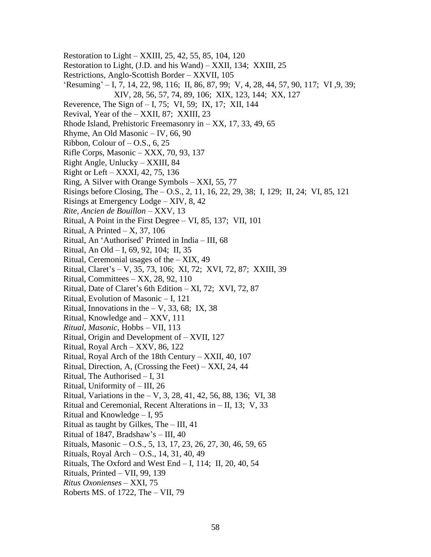- Restoration to Light XXIII, 25, 42, 55, 85, 104, 120 Restoration to Light, (J.D. and his Wand) – XXII, 134; XXIII, 25 Restrictions, Anglo-Scottish Border – XXVII, 105 'Resuming' – I, 7, 14, 22, 98, 116; II, 86, 87, 99; V, 4, 28, 44, 57, 90, 117; VI ,9, 39; XIV, 28, 56, 57, 74, 89, 106; XIX, 123, 144; XX, 127 Reverence, The Sign of – I, 75; VI, 59; IX, 17; XII, 144 Revival, Year of the – XXII, 87; XXIII, 23 Rhode Island, Prehistoric Freemasonry in – XX, 17, 33, 49, 65 Rhyme, An Old Masonic – IV, 66, 90 Ribbon, Colour of  $-$  O.S., 6, 25 Rifle Corps, Masonic – XXX, 70, 93, 137 Right Angle, Unlucky – XXIII, 84 Right or Left – XXXI, 42, 75, 136 Ring, A Silver with Orange Symbols – XXI, 55, 77 Risings before Closing, The – O.S., 2, 11, 16, 22, 29, 38; I, 129; II, 24; VI, 85, 121 Risings at Emergency Lodge – XIV, 8, 42 *Rite, Ancien de Bouillon* – XXV, 13 Ritual, A Point in the First Degree – VI, 85, 137; VII, 101 Ritual, A Printed  $- X$ , 37, 106 Ritual, An 'Authorised' Printed in India – III, 68 Ritual, An Old – I, 69, 92, 104; II, 35 Ritual, Ceremonial usages of the – XIX, 49 Ritual, Claret's – V, 35, 73, 106; XI, 72; XVI, 72, 87; XXIII, 39 Ritual, Committees – XX, 28, 92, 110 Ritual, Date of Claret's 6th Edition – XI, 72; XVI, 72, 87 Ritual, Evolution of Masonic – I, 121 Ritual, Innovations in the  $-$  V, 33, 68; IX, 38 Ritual, Knowledge and – XXV, 111 *Ritual, Masonic*, Hobbs – VII, 113 Ritual, Origin and Development of – XVII, 127 Ritual, Royal Arch – XXV, 86, 122 Ritual, Royal Arch of the 18th Century – XXII, 40, 107 Ritual, Direction, A, (Crossing the Feet) – XXI, 24, 44 Ritual, The Authorised – I, 31 Ritual, Uniformity of – III, 26 Ritual, Variations in the – V, 3, 28, 41, 42, 56, 88, 136; VI, 38 Ritual and Ceremonial, Recent Alterations in – II, 13; V, 33 Ritual and Knowledge – I, 95 Ritual as taught by Gilkes, The – III, 41 Ritual of 1847, Bradshaw's – III, 40 Rituals, Masonic – O.S., 5, 13, 17, 23, 26, 27, 30, 46, 59, 65 Rituals, Royal Arch – O.S., 14, 31, 40, 49 Rituals, The Oxford and West End – I, 114; II, 20, 40, 54 Rituals, Printed – VII, 99, 139 *Ritus Oxonienses* – XXI, 75
	- Roberts MS. of 1722, The VII, 79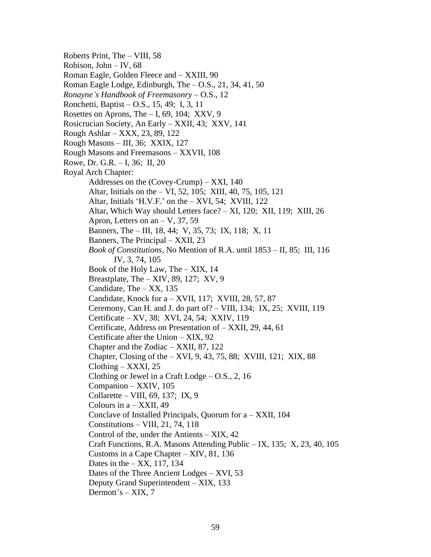Roberts Print, The – VIII, 58 Robison, John – IV, 68 Roman Eagle, Golden Fleece and – XXIII, 90 Roman Eagle Lodge, Edinburgh, The – O.S., 21, 34, 41, 50 *Ronayne's Handbook of Freemasonry* – O.S., 12 Ronchetti, Baptist – O.S., 15, 49; I, 3, 11 Rosettes on Aprons, The – I, 69, 104; XXV, 9 Rosicrucian Society, An Early – XXII, 43; XXV, 141 Rough Ashlar – XXX, 23, 89, 122 Rough Masons – III, 36; XXIX, 127 Rough Masons and Freemasons – XXVII, 108 Rowe, Dr. G.R. – I, 36; II, 20 Royal Arch Chapter: Addresses on the (Covey-Crump) – XXI, 140 Altar, Initials on the – VI, 52, 105; XIII, 40, 75, 105, 121 Altar, Initials 'H.V.F.' on the – XVI, 54; XVIII, 122 Altar, Which Way should Letters face? – XI, 120; XII, 119; XIII, 26 Apron, Letters on an  $-$  V, 37, 59 Banners, The – III, 18, 44; V, 35, 73; IX, 118; X, 11 Banners, The Principal – XXII, 23 *Book of Constitutions*, No Mention of R.A. until 1853 – II, 85; III, 116 IV, 3, 74, 105 Book of the Holy Law, The – XIX, 14 Breastplate, The – XIV, 89, 127; XV, 9 Candidate, The – XX, 135 Candidate, Knock for a – XVII, 117; XVIII, 28, 57, 87 Ceremony, Can H. and J. do part of? – VIII, 134; IX, 25; XVIII, 119 Certificate – XV, 38; XVI, 24, 54; XXIV, 119 Certificate, Address on Presentation of – XXII, 29, 44, 61 Certificate after the Union – XIX, 92 Chapter and the Zodiac – XXII, 87, 122 Chapter, Closing of the – XVI, 9, 43, 75, 88; XVIII, 121; XIX, 88 Clothing – XXXI, 25 Clothing or Jewel in a Craft Lodge  $-$  O.S., 2, 16 Companion – XXIV, 105 Collarette – VIII, 69, 137; IX, 9 Colours in  $a - XXII$ , 49 Conclave of Installed Principals, Quorum for a – XXII, 104 Constitutions – VIII, 21, 74, 118 Control of the, under the Antients – XIX, 42 Craft Functions, R.A. Masons Attending Public – IX, 135; X, 23, 40, 105 Customs in a Cape Chapter – XIV, 81, 136 Dates in the  $-$  XX, 117, 134 Dates of the Three Ancient Lodges – XVI, 53 Deputy Grand Superintendent – XIX, 133 Dermott's – XIX, 7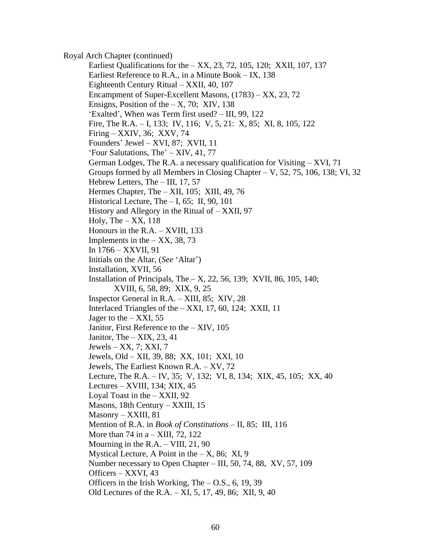Royal Arch Chapter (continued) Earliest Qualifications for the – XX, 23, 72, 105, 120; XXII, 107, 137 Earliest Reference to R.A., in a Minute Book – IX, 138 Eighteenth Century Ritual – XXII, 40, 107 Encampment of Super-Excellent Masons, (1783) – XX, 23, 72 Ensigns, Position of the  $- X$ , 70; XIV, 138 'Exalted', When was Term first used? – III, 99, 122 Fire, The R.A. – I, 133; IV, 116; V, 5, 21: X, 85; XI, 8, 105, 122 Firing – XXIV, 36; XXV, 74 Founders' Jewel – XVI, 87; XVII, 11 'Four Salutations, The' – XIV, 41, 77 German Lodges, The R.A. a necessary qualification for Visiting – XVI, 71 Groups formed by all Members in Closing Chapter – V, 52, 75, 106, 138; VI, 32 Hebrew Letters, The – III, 17, 57 Hermes Chapter, The – XII, 105; XIII, 49, 76 Historical Lecture, The - I, 65; II, 90, 101 History and Allegory in the Ritual of – XXII, 97 Holy, The  $-$  XX, 118 Honours in the R.A. – XVIII, 133 Implements in the  $-$  XX, 38, 73 In 1766 – XXVII, 91 Initials on the Altar, (*See* 'Altar') Installation, XVII, 56 Installation of Principals, The – X, 22, 56, 139; XVII, 86, 105, 140; XVIII, 6, 58, 89; XIX, 9, 25 Inspector General in R.A. – XIII, 85; XIV, 28 Interlaced Triangles of the – XXI, 17, 60, 124; XXII, 11 Jager to the  $-$  XXI, 55 Janitor, First Reference to the – XIV, 105 Janitor, The  $-$  XIX, 23, 41 Jewels – XX, 7; XXI, 7 Jewels, Old – XII, 39, 88; XX, 101; XXI, 10 Jewels, The Earliest Known R.A. – XV, 72 Lecture, The R.A. – IV, 35; V, 132; VI, 8, 134; XIX, 45, 105; XX, 40 Lectures – XVIII, 134; XIX, 45 Loyal Toast in the – XXII, 92 Masons, 18th Century – XXIII, 15 Masonry – XXIII, 81 Mention of R.A. in *Book of Constitutions* – II, 85; III, 116 More than 74 in  $a - XIII$ , 72, 122 Mourning in the R.A. – VIII, 21, 90 Mystical Lecture, A Point in the  $- X$ , 86; XI, 9 Number necessary to Open Chapter – III, 50, 74, 88, XV, 57, 109 Officers – XXVI, 43 Officers in the Irish Working, The  $-$  O.S., 6, 19, 39 Old Lectures of the R.A. – XI, 5, 17, 49, 86; XII, 9, 40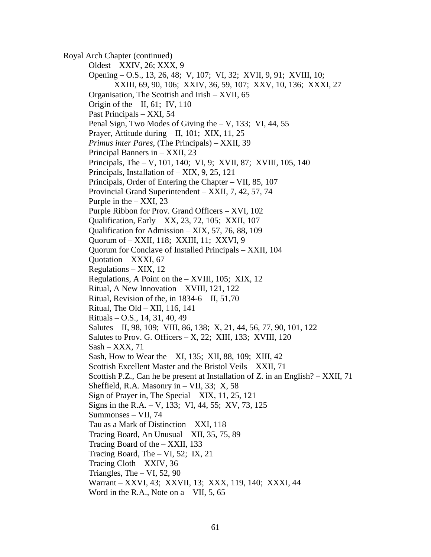Royal Arch Chapter (continued) Oldest – XXIV, 26; XXX, 9 Opening – O.S., 13, 26, 48; V, 107; VI, 32; XVII, 9, 91; XVIII, 10; XXIII, 69, 90, 106; XXIV, 36, 59, 107; XXV, 10, 136; XXXI, 27 Organisation, The Scottish and Irish – XVII, 65 Origin of the  $-$  II, 61; IV, 110 Past Principals – XXI, 54 Penal Sign, Two Modes of Giving the  $-$  V, 133; VI, 44, 55 Prayer, Attitude during – II, 101; XIX, 11, 25 *Primus inter Pares*, (The Principals) – XXII, 39 Principal Banners in – XXII, 23 Principals, The – V, 101, 140; VI, 9; XVII, 87; XVIII, 105, 140 Principals, Installation of – XIX, 9, 25, 121 Principals, Order of Entering the Chapter – VII, 85, 107 Provincial Grand Superintendent – XXII, 7, 42, 57, 74 Purple in the  $-$  XXI, 23 Purple Ribbon for Prov. Grand Officers – XVI, 102 Qualification, Early – XX, 23, 72, 105; XXII, 107 Qualification for Admission – XIX, 57, 76, 88, 109 Quorum of – XXII, 118; XXIII, 11; XXVI, 9 Quorum for Conclave of Installed Principals – XXII, 104 Quotation – XXXI, 67 Regulations – XIX, 12 Regulations, A Point on the – XVIII, 105; XIX, 12 Ritual, A New Innovation – XVIII, 121, 122 Ritual, Revision of the, in  $1834-6$  – II,  $51,70$ Ritual, The Old – XII, 116, 141 Rituals – O.S., 14, 31, 40, 49 Salutes – II, 98, 109; VIII, 86, 138; X, 21, 44, 56, 77, 90, 101, 122 Salutes to Prov. G. Officers  $- X$ , 22; XIII, 133; XVIII, 120 Sash – XXX, 71 Sash, How to Wear the – XI, 135; XII, 88, 109; XIII, 42 Scottish Excellent Master and the Bristol Veils – XXII, 71 Scottish P.Z., Can he be present at Installation of Z. in an English? – XXII, 71 Sheffield, R.A. Masonry in  $-$  VII, 33; X, 58 Sign of Prayer in, The Special – XIX, 11, 25, 121 Signs in the R.A. – V, 133; VI, 44, 55; XV, 73, 125 Summonses – VII, 74 Tau as a Mark of Distinction – XXI, 118 Tracing Board, An Unusual – XII, 35, 75, 89 Tracing Board of the – XXII, 133 Tracing Board, The  $- VI$ , 52; IX, 21 Tracing Cloth – XXIV, 36 Triangles, The  $- VI$ , 52, 90 Warrant – XXVI, 43; XXVII, 13; XXX, 119, 140; XXXI, 44 Word in the R.A., Note on  $a - VII$ , 5, 65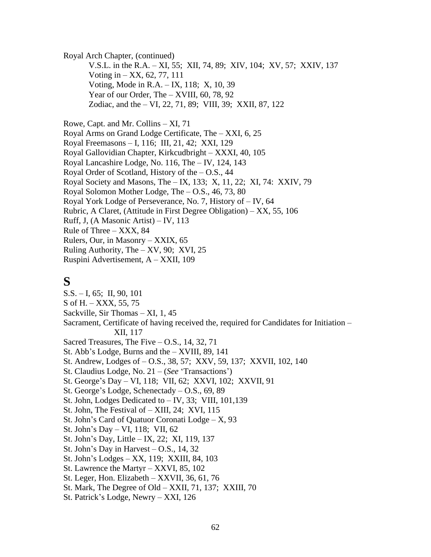Royal Arch Chapter, (continued)

V.S.L. in the R.A. – XI, 55; XII, 74, 89; XIV, 104; XV, 57; XXIV, 137 Voting in – XX, 62, 77, 111 Voting, Mode in R.A. – IX, 118; X, 10, 39 Year of our Order, The – XVIII, 60, 78, 92 Zodiac, and the – VI, 22, 71, 89; VIII, 39; XXII, 87, 122

Rowe, Capt. and Mr. Collins – XI, 71 Royal Arms on Grand Lodge Certificate, The – XXI, 6, 25 Royal Freemasons – I, 116; III, 21, 42; XXI, 129 Royal Gallovidian Chapter, Kirkcudbright – XXXI, 40, 105 Royal Lancashire Lodge, No. 116, The – IV, 124, 143 Royal Order of Scotland, History of the  $-$  O.S., 44 Royal Society and Masons, The – IX, 133; X, 11, 22; XI, 74: XXIV, 79 Royal Solomon Mother Lodge, The – O.S., 46, 73, 80 Royal York Lodge of Perseverance, No. 7, History of – IV, 64 Rubric, A Claret, (Attitude in First Degree Obligation) – XX, 55, 106 Ruff, J, (A Masonic Artist) – IV, 113 Rule of Three – XXX, 84 Rulers, Our, in Masonry – XXIX, 65 Ruling Authority, The  $- XY$ , 90; XVI, 25 Ruspini Advertisement, A – XXII, 109

## **S**

S.S. – I, 65; II, 90, 101 S of H. – XXX, 55, 75 Sackville, Sir Thomas – XI, 1, 45 Sacrament, Certificate of having received the, required for Candidates for Initiation – XII, 117 Sacred Treasures, The Five – O.S., 14, 32, 71 St. Abb's Lodge, Burns and the – XVIII, 89, 141 St. Andrew, Lodges of – O.S., 38, 57; XXV, 59, 137; XXVII, 102, 140 St. Claudius Lodge, No. 21 – (*See* 'Transactions') St. George's Day – VI, 118; VII, 62; XXVI, 102; XXVII, 91 St. George's Lodge, Schenectady – O.S., 69, 89 St. John, Lodges Dedicated to – IV, 33; VIII, 101,139 St. John, The Festival of – XIII, 24; XVI, 115 St. John's Card of Quatuor Coronati Lodge – X, 93 St. John's Day – VI, 118; VII, 62 St. John's Day, Little – IX, 22; XI, 119, 137 St. John's Day in Harvest – O.S., 14, 32 St. John's Lodges – XX, 119; XXIII, 84, 103 St. Lawrence the Martyr – XXVI, 85, 102 St. Leger, Hon. Elizabeth – XXVII, 36, 61, 76 St. Mark, The Degree of Old – XXII, 71, 137; XXIII, 70 St. Patrick's Lodge, Newry – XXI, 126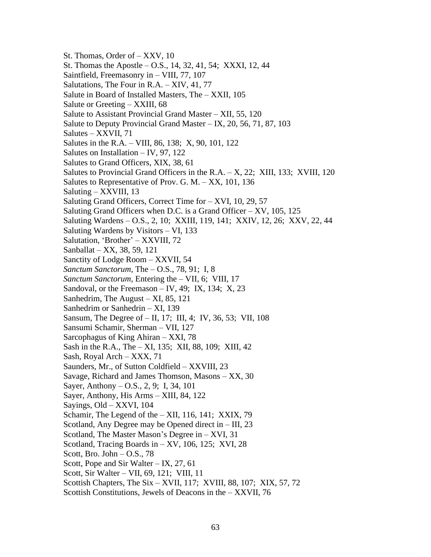St. Thomas, Order of – XXV, 10 St. Thomas the Apostle – O.S., 14, 32, 41, 54; XXXI, 12, 44 Saintfield, Freemasonry in – VIII, 77, 107 Salutations, The Four in R.A. – XIV, 41, 77 Salute in Board of Installed Masters, The – XXII, 105 Salute or Greeting – XXIII, 68 Salute to Assistant Provincial Grand Master – XII, 55, 120 Salute to Deputy Provincial Grand Master – IX, 20, 56, 71, 87, 103 Salutes – XXVII, 71 Salutes in the R.A. – VIII, 86, 138; X, 90, 101, 122 Salutes on Installation – IV, 97, 122 Salutes to Grand Officers, XIX, 38, 61 Salutes to Provincial Grand Officers in the R.A. – X, 22; XIII, 133; XVIII, 120 Salutes to Representative of Prov. G. M. – XX, 101, 136 Saluting – XXVIII, 13 Saluting Grand Officers, Correct Time for – XVI, 10, 29, 57 Saluting Grand Officers when D.C. is a Grand Officer  $-$  XV, 105, 125 Saluting Wardens – O.S., 2, 10; XXIII, 119, 141; XXIV, 12, 26; XXV, 22, 44 Saluting Wardens by Visitors – VI, 133 Salutation, 'Brother' – XXVIII, 72 Sanballat – XX, 38, 59, 121 Sanctity of Lodge Room – XXVII, 54 *Sanctum Sanctorum*, The – O.S., 78, 91; I, 8 *Sanctum Sanctorum*, Entering the – VII, 6; VIII, 17 Sandoval, or the Freemason  $-$  IV, 49; IX, 134; X, 23 Sanhedrim, The August – XI, 85, 121 Sanhedrim or Sanhedrin – XI, 139 Sansum, The Degree of – II, 17; III, 4; IV, 36, 53; VII, 108 Sansumi Schamir, Sherman – VII, 127 Sarcophagus of King Ahiran – XXI, 78 Sash in the R.A., The – XI, 135; XII, 88, 109; XIII, 42 Sash, Royal Arch – XXX, 71 Saunders, Mr., of Sutton Coldfield – XXVIII, 23 Savage, Richard and James Thomson, Masons – XX, 30 Sayer, Anthony – O.S., 2, 9; I, 34, 101 Sayer, Anthony, His Arms – XIII, 84, 122 Sayings, Old – XXVI, 104 Schamir, The Legend of the  $- XII$ , 116, 141; XXIX, 79 Scotland, Any Degree may be Opened direct in – III, 23 Scotland, The Master Mason's Degree in – XVI, 31 Scotland, Tracing Boards in – XV, 106, 125; XVI, 28 Scott, Bro. John  $-$  O.S., 78 Scott, Pope and Sir Walter – IX, 27, 61 Scott, Sir Walter – VII, 69, 121; VIII, 11 Scottish Chapters, The Six – XVII, 117; XVIII, 88, 107; XIX, 57, 72 Scottish Constitutions, Jewels of Deacons in the – XXVII, 76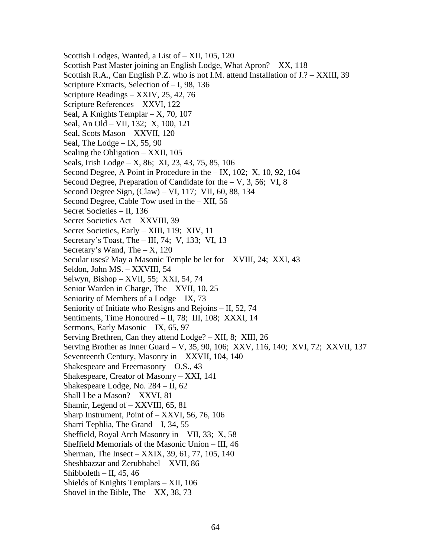Scottish Lodges, Wanted, a List of – XII, 105, 120 Scottish Past Master joining an English Lodge, What Apron? – XX, 118 Scottish R.A., Can English P.Z. who is not I.M. attend Installation of J.? – XXIII, 39 Scripture Extracts, Selection of – I, 98, 136 Scripture Readings – XXIV, 25, 42, 76 Scripture References – XXVI, 122 Seal, A Knights Templar  $- X$ , 70, 107 Seal, An Old – VII, 132; X, 100, 121 Seal, Scots Mason – XXVII, 120 Seal, The Lodge – IX, 55, 90 Sealing the Obligation – XXII, 105 Seals, Irish Lodge – X, 86; XI, 23, 43, 75, 85, 106 Second Degree, A Point in Procedure in the – IX, 102; X, 10, 92, 104 Second Degree, Preparation of Candidate for the  $- V$ , 3, 56; VI, 8 Second Degree Sign, (Claw) – VI, 117; VII, 60, 88, 134 Second Degree, Cable Tow used in the – XII, 56 Secret Societies – II, 136 Secret Societies Act – XXVIII, 39 Secret Societies, Early – XIII, 119; XIV, 11 Secretary's Toast, The – III, 74; V, 133; VI, 13 Secretary's Wand, The  $- X$ , 120 Secular uses? May a Masonic Temple be let for – XVIII, 24; XXI, 43 Seldon, John MS. – XXVIII, 54 Selwyn, Bishop – XVII, 55; XXI, 54, 74 Senior Warden in Charge, The – XVII, 10, 25 Seniority of Members of a Lodge – IX, 73 Seniority of Initiate who Resigns and Rejoins – II, 52, 74 Sentiments, Time Honoured – II, 78; III, 108; XXXI, 14 Sermons, Early Masonic – IX, 65, 97 Serving Brethren, Can they attend Lodge? – XII, 8; XIII, 26 Serving Brother as Inner Guard – V, 35, 90, 106; XXV, 116, 140; XVI, 72; XXVII, 137 Seventeenth Century, Masonry in – XXVII, 104, 140 Shakespeare and Freemasonry – O.S., 43 Shakespeare, Creator of Masonry – XXI, 141 Shakespeare Lodge, No. 284 – II, 62 Shall I be a Mason? – XXVI, 81 Shamir, Legend of – XXVIII, 65, 81 Sharp Instrument, Point of – XXVI, 56, 76, 106 Sharri Tephlia, The Grand – I, 34, 55 Sheffield, Royal Arch Masonry in – VII, 33; X, 58 Sheffield Memorials of the Masonic Union – III, 46 Sherman, The Insect – XXIX, 39, 61, 77, 105, 140 Sheshbazzar and Zerubbabel – XVII, 86 Shibboleth – II, 45, 46 Shields of Knights Templars – XII, 106 Shovel in the Bible, The  $-$  XX, 38, 73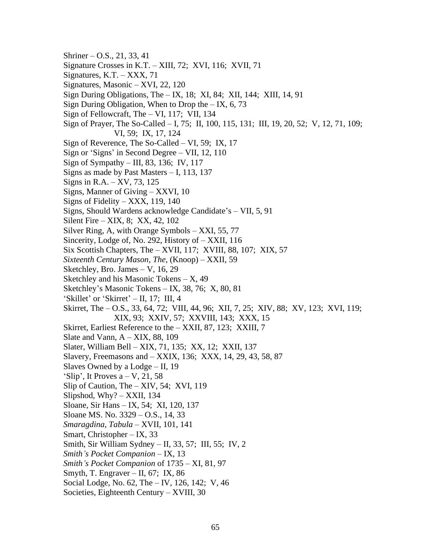- Shriner O.S., 21, 33, 41
- Signature Crosses in K.T. XIII, 72; XVI, 116; XVII, 71
- Signatures,  $K.T. XXX$ , 71
- Signatures, Masonic XVI, 22, 120
- Sign During Obligations, The IX, 18; XI, 84; XII, 144; XIII, 14, 91
- Sign During Obligation, When to Drop the  $-$  IX, 6, 73
- Sign of Fellowcraft, The VI, 117; VII, 134
- Sign of Prayer, The So-Called I, 75; II, 100, 115, 131; III, 19, 20, 52; V, 12, 71, 109; VI, 59; IX, 17, 124
- Sign of Reverence, The So-Called VI, 59; IX, 17
- Sign or 'Signs' in Second Degree VII, 12, 110
- Sign of Sympathy III, 83, 136; IV, 117
- Signs as made by Past Masters I, 113, 137
- Signs in R.A. XV, 73, 125
- Signs, Manner of Giving XXVI, 10
- Signs of Fidelity XXX, 119, 140
- Signs, Should Wardens acknowledge Candidate's VII, 5, 91
- Silent Fire XIX, 8; XX, 42, 102
- Silver Ring, A, with Orange Symbols XXI, 55, 77
- Sincerity, Lodge of, No. 292, History of XXII, 116
- Six Scottish Chapters, The XVII, 117; XVIII, 88, 107; XIX, 57
- *Sixteenth Century Mason, The*, (Knoop) XXII, 59
- Sketchley, Bro. James V, 16, 29
- Sketchley and his Masonic Tokens X, 49
- Sketchley's Masonic Tokens IX, 38, 76; X, 80, 81
- 'Skillet' or 'Skirret' II, 17; III, 4
- Skirret, The O.S., 33, 64, 72; VIII, 44, 96; XII, 7, 25; XIV, 88; XV, 123; XVI, 119; XIX, 93; XXIV, 57; XXVIII, 143; XXX, 15
- Skirret, Earliest Reference to the XXII, 87, 123; XXIII, 7
- Slate and Vann,  $A XIX$ , 88, 109
- Slater, William Bell XIX, 71, 135; XX, 12; XXII, 137
- Slavery, Freemasons and XXIX, 136; XXX, 14, 29, 43, 58, 87
- Slaves Owned by a Lodge II, 19
- 'Slip', It Proves  $a V$ , 21, 58
- Slip of Caution, The XIV, 54; XVI, 119
- Slipshod,  $Why? XXII$ , 134
- Sloane, Sir Hans IX, 54; XI, 120, 137
- Sloane MS. No. 3329 O.S., 14, 33
- *Smaragdina, Tabula* XVII, 101, 141
- Smart, Christopher IX, 33
- Smith, Sir William Sydney II, 33, 57; III, 55; IV, 2
- *Smith's Pocket Companion* IX, 13
- *Smith's Pocket Companion* of 1735 XI, 81, 97
- Smyth, T. Engraver II, 67; IX, 86
- Social Lodge, No. 62, The IV, 126, 142; V, 46
- Societies, Eighteenth Century XVIII, 30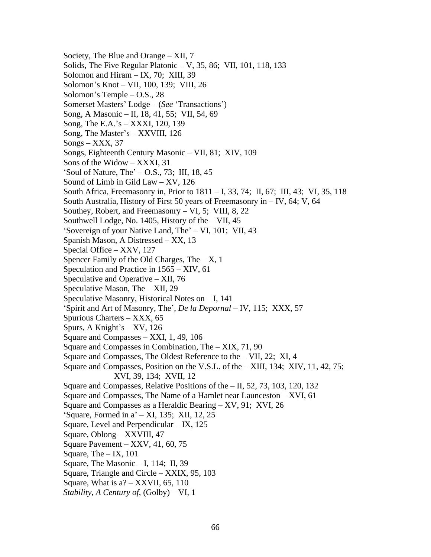Society, The Blue and Orange – XII, 7 Solids, The Five Regular Platonic – V, 35, 86; VII, 101, 118, 133 Solomon and Hiram  $-$  IX, 70; XIII, 39 Solomon's Knot – VII, 100, 139; VIII, 26 Solomon's Temple – O.S., 28 Somerset Masters' Lodge – (*See* 'Transactions') Song, A Masonic – II, 18, 41, 55; VII, 54, 69 Song, The E.A.'s – XXXI, 120, 139 Song, The Master's – XXVIII, 126  $Songs - XXX$ , 37 Songs, Eighteenth Century Masonic – VII, 81; XIV, 109 Sons of the Widow – XXXI, 31 'Soul of Nature, The' – O.S., 73; III, 18, 45 Sound of Limb in Gild Law – XV, 126 South Africa, Freemasonry in, Prior to 1811 – I, 33, 74; II, 67; III, 43; VI, 35, 118 South Australia, History of First 50 years of Freemasonry in – IV, 64; V, 64 Southey, Robert, and Freemasonry – VI, 5; VIII, 8, 22 Southwell Lodge, No. 1405, History of the – VII, 45 'Sovereign of your Native Land, The' – VI, 101; VII, 43 Spanish Mason, A Distressed – XX, 13 Special Office – XXV, 127 Spencer Family of the Old Charges, The  $- X$ , 1 Speculation and Practice in 1565 – XIV, 61 Speculative and Operative – XII, 76 Speculative Mason, The – XII, 29 Speculative Masonry, Historical Notes on – I, 141 'Spirit and Art of Masonry, The', *De la Depornal* – IV, 115; XXX, 57 Spurious Charters – XXX, 65 Spurs, A Knight's – XV, 126 Square and Compasses – XXI, 1, 49, 106 Square and Compasses in Combination, The – XIX, 71, 90 Square and Compasses, The Oldest Reference to the – VII, 22; XI, 4 Square and Compasses, Position on the V.S.L. of the – XIII, 134; XIV, 11, 42, 75; XVI, 39, 134; XVII, 12 Square and Compasses, Relative Positions of the – II, 52, 73, 103, 120, 132 Square and Compasses, The Name of a Hamlet near Launceston – XVI, 61 Square and Compasses as a Heraldic Bearing – XV, 91; XVI, 26 'Square, Formed in a' – XI, 135; XII, 12, 25 Square, Level and Perpendicular – IX, 125 Square, Oblong – XXVIII, 47 Square Pavement – XXV, 41, 60, 75 Square, The  $-$  IX, 101 Square, The Masonic  $- I$ , 114; II, 39 Square, Triangle and Circle – XXIX, 95, 103 Square, What is  $a? - XXVII$ , 65, 110 *Stability, A Century of*, (Golby) – VI, 1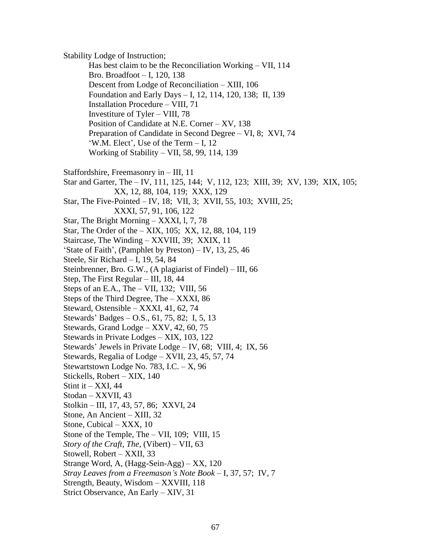Stability Lodge of Instruction; Has best claim to be the Reconciliation Working – VII, 114 Bro. Broadfoot – I, 120, 138 Descent from Lodge of Reconciliation – XIII, 106 Foundation and Early Days – I, 12, 114, 120, 138; II, 139 Installation Procedure – VIII, 71 Investiture of Tyler – VIII, 78 Position of Candidate at N.E. Corner – XV, 138 Preparation of Candidate in Second Degree – VI, 8; XVI, 74 'W.M. Elect', Use of the Term – I, 12 Working of Stability – VII, 58, 99, 114, 139 Staffordshire, Freemasonry in – III, 11 Star and Garter, The – IV, 111, 125, 144; V, 112, 123; XIII, 39; XV, 139; XIX, 105; XX, 12, 88, 104, 119; XXX, 129 Star, The Five-Pointed – IV, 18; VII, 3; XVII, 55, 103; XVIII, 25; XXXI, 57, 91, 106, 122 Star, The Bright Morning – XXXI, l, 7, 78 Star, The Order of the – XIX, 105; XX, 12, 88, 104, 119 Staircase, The Winding – XXVIII, 39; XXIX, 11 'State of Faith', (Pamphlet by Preston) – IV, 13, 25, 46 Steele, Sir Richard – I, 19, 54, 84 Steinbrenner, Bro. G.W., (A plagiarist of Findel) – III, 66 Step, The First Regular – III, 18, 44 Steps of an E.A., The  $-$  VII, 132; VIII, 56 Steps of the Third Degree, The – XXXI, 86 Steward, Ostensible – XXXI, 41, 62, 74 Stewards' Badges – O.S., 61, 75, 82; I, 5, 13 Stewards, Grand Lodge – XXV, 42, 60, 75 Stewards in Private Lodges – XIX, 103, 122 Stewards' Jewels in Private Lodge – IV, 68; VIII, 4; IX, 56 Stewards, Regalia of Lodge – XVII, 23, 45, 57, 74 Stewartstown Lodge No. 783, I.C. – X, 96 Stickells, Robert – XIX, 140 Stint it  $-$  XXI, 44 Stodan – XXVII, 43 Stolkin – III, 17, 43, 57, 86; XXVI, 24 Stone, An Ancient – XIII, 32 Stone, Cubical – XXX, 10 Stone of the Temple, The – VII, 109; VIII, 15 *Story of the Craft, The*, (Vibert) – VII, 63 Stowell, Robert – XXII, 33 Strange Word, A, (Hagg-Sein-Agg) – XX, 120 *Stray Leaves from a Freemason's Note Book* – I, 37, 57; IV, 7 Strength, Beauty, Wisdom – XXVIII, 118 Strict Observance, An Early – XIV, 31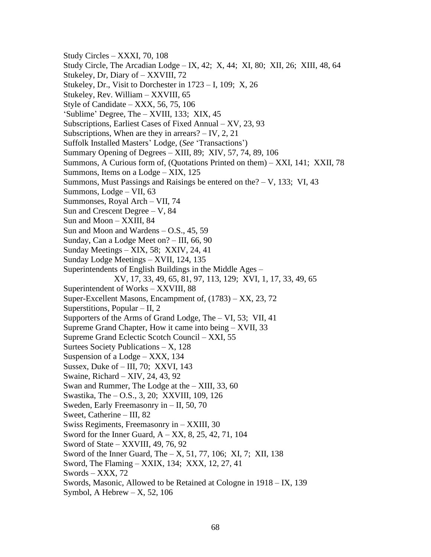Study Circles – XXXI, 70, 108 Study Circle, The Arcadian Lodge – IX, 42; X, 44; XI, 80; XII, 26; XIII, 48, 64 Stukeley, Dr, Diary of – XXVIII, 72 Stukeley, Dr., Visit to Dorchester in 1723 – I, 109; X, 26 Stukeley, Rev. William – XXVIII, 65 Style of Candidate – XXX, 56, 75, 106 'Sublime' Degree, The – XVIII, 133; XIX, 45 Subscriptions, Earliest Cases of Fixed Annual – XV, 23, 93 Subscriptions, When are they in arrears? – IV, 2, 21 Suffolk Installed Masters' Lodge, (*See* 'Transactions') Summary Opening of Degrees – XIII, 89; XIV, 57, 74, 89, 106 Summons, A Curious form of, (Quotations Printed on them) – XXI, 141; XXII, 78 Summons, Items on a Lodge – XIX, 125 Summons, Must Passings and Raisings be entered on the? – V, 133; VI, 43 Summons, Lodge – VII, 63 Summonses, Royal Arch – VII, 74 Sun and Crescent Degree – V, 84 Sun and Moon – XXIII, 84 Sun and Moon and Wardens – O.S., 45, 59 Sunday, Can a Lodge Meet on? – III, 66, 90 Sunday Meetings – XIX, 58; XXIV, 24, 41 Sunday Lodge Meetings – XVII, 124, 135 Superintendents of English Buildings in the Middle Ages – XV, 17, 33, 49, 65, 81, 97, 113, 129; XVI, 1, 17, 33, 49, 65 Superintendent of Works – XXVIII, 88 Super-Excellent Masons, Encampment of, (1783) – XX, 23, 72 Superstitions, Popular – II, 2 Supporters of the Arms of Grand Lodge, The – VI, 53; VII, 41 Supreme Grand Chapter, How it came into being – XVII, 33 Supreme Grand Eclectic Scotch Council – XXI, 55 Surtees Society Publications – X, 128 Suspension of a Lodge – XXX, 134 Sussex, Duke of – III, 70; XXVI, 143 Swaine, Richard – XIV, 24, 43, 92 Swan and Rummer, The Lodge at the – XIII, 33, 60 Swastika, The – O.S., 3, 20; XXVIII, 109, 126 Sweden, Early Freemasonry in – II, 50, 70 Sweet, Catherine – III, 82 Swiss Regiments, Freemasonry in – XXIII, 30 Sword for the Inner Guard, A – XX, 8, 25, 42, 71, 104 Sword of State – XXVIII, 49, 76, 92 Sword of the Inner Guard, The – X, 51, 77, 106; XI, 7; XII, 138 Sword, The Flaming – XXIX, 134; XXX, 12, 27, 41 Swords – XXX, 72 Swords, Masonic, Allowed to be Retained at Cologne in 1918 – IX, 139 Symbol, A Hebrew  $- X$ , 52, 106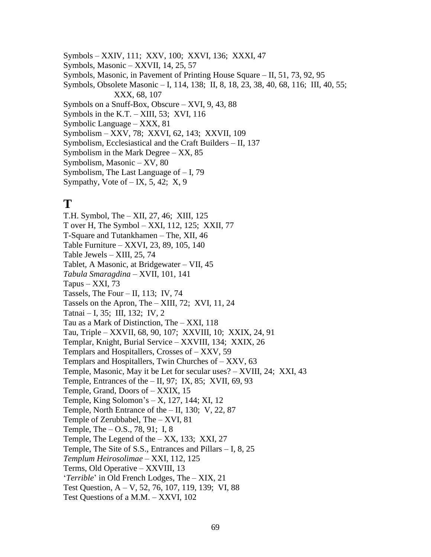Symbols – XXIV, 111; XXV, 100; XXVI, 136; XXXI, 47

Symbols, Masonic – XXVII, 14, 25, 57

Symbols, Masonic, in Pavement of Printing House Square – II, 51, 73, 92, 95

Symbols, Obsolete Masonic – I, 114, 138; II, 8, 18, 23, 38, 40, 68, 116; III, 40, 55; XXX, 68, 107

Symbols on a Snuff-Box, Obscure – XVI, 9, 43, 88

Symbols in the K.T.  $-$  XIII, 53; XVI, 116

- Symbolic Language XXX, 81
- Symbolism XXV, 78; XXVI, 62, 143; XXVII, 109
- Symbolism, Ecclesiastical and the Craft Builders II, 137
- Symbolism in the Mark Degree  $XX$ , 85
- Symbolism, Masonic XV, 80
- Symbolism, The Last Language of I, 79
- Sympathy, Vote of  $-$  IX, 5, 42; X, 9

## **T**

T.H. Symbol, The – XII, 27, 46; XIII, 125 T over H, The Symbol – XXI, 112, 125; XXII, 77 T-Square and Tutankhamen – The, XII, 46 Table Furniture – XXVI, 23, 89, 105, 140 Table Jewels – XIII, 25, 74 Tablet, A Masonic, at Bridgewater – VII, 45 *Tabula Smaragdina* – XVII, 101, 141 Tapus –  $XXI$ , 73 Tassels, The Four – II, 113; IV, 74 Tassels on the Apron, The – XIII, 72; XVI, 11, 24 Tatnai – I, 35; III, 132; IV, 2 Tau as a Mark of Distinction, The – XXI, 118 Tau, Triple – XXVII, 68, 90, 107; XXVIII, 10; XXIX, 24, 91 Templar, Knight, Burial Service – XXVIII, 134; XXIX, 26 Templars and Hospitallers, Crosses of – XXV, 59 Templars and Hospitallers, Twin Churches of – XXV, 63 Temple, Masonic, May it be Let for secular uses? – XVIII, 24; XXI, 43 Temple, Entrances of the  $-$  II, 97; IX, 85; XVII, 69, 93 Temple, Grand, Doors of – XXIX, 15 Temple, King Solomon's – X, 127, 144; XI, 12 Temple, North Entrance of the – II, 130; V, 22, 87 Temple of Zerubbabel, The – XVI, 81 Temple, The – O.S., 78, 91; I, 8 Temple, The Legend of the – XX, 133; XXI, 27 Temple, The Site of S.S., Entrances and Pillars – I, 8, 25 *Templum Heirosolimae* – XXI, 112, 125 Terms, Old Operative – XXVIII, 13 '*Terrible*' in Old French Lodges, The – XIX, 21 Test Question, A – V, 52, 76, 107, 119, 139; VI, 88 Test Questions of a M.M. – XXVI, 102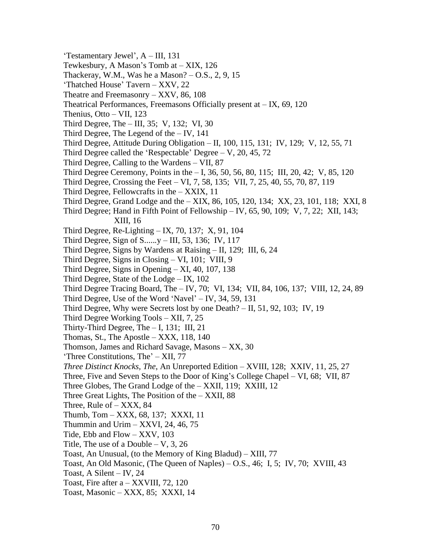'Testamentary Jewel', A – III, 131 Tewkesbury, A Mason's Tomb at – XIX, 126 Thackeray, W.M., Was he a Mason?  $-$  O.S., 2, 9, 15 'Thatched House' Tavern – XXV, 22 Theatre and Freemasonry – XXV, 86, 108 Theatrical Performances, Freemasons Officially present at  $-$  IX, 69, 120 Thenius, Otto – VII, 123 Third Degree, The – III, 35; V, 132; VI, 30 Third Degree, The Legend of the – IV, 141 Third Degree, Attitude During Obligation – II, 100, 115, 131; IV, 129; V, 12, 55, 71 Third Degree called the 'Respectable' Degree  $- V$ , 20, 45, 72 Third Degree, Calling to the Wardens – VII, 87 Third Degree Ceremony, Points in the  $-1$ , 36, 50, 56, 80, 115; III, 20, 42; V, 85, 120 Third Degree, Crossing the Feet – VI, 7, 58, 135; VII, 7, 25, 40, 55, 70, 87, 119 Third Degree, Fellowcrafts in the – XXIX, 11 Third Degree, Grand Lodge and the – XIX, 86, 105, 120, 134; XX, 23, 101, 118; XXI, 8 Third Degree; Hand in Fifth Point of Fellowship – IV,  $65, 90, 109$ ; V, 7, 22; XII, 143; XIII, 16 Third Degree, Re-Lighting – IX, 70, 137; X, 91, 104 Third Degree, Sign of S.....*.*y – III, 53, 136; IV, 117 Third Degree, Signs by Wardens at Raising – II, 129; III, 6, 24 Third Degree, Signs in Closing – VI, 101; VIII, 9 Third Degree, Signs in Opening – XI, 40, 107, 138 Third Degree, State of the Lodge – IX, 102 Third Degree Tracing Board, The – IV, 70; VI, 134; VII, 84, 106, 137; VIII, 12, 24, 89 Third Degree, Use of the Word 'Navel' – IV, 34, 59, 131 Third Degree, Why were Secrets lost by one Death? – II, 51, 92, 103; IV, 19 Third Degree Working Tools – XII, 7, 25 Thirty-Third Degree, The – I, 131; III, 21 Thomas, St., The Apostle – XXX, 118, 140 Thomson, James and Richard Savage, Masons – XX, 30 'Three Constitutions, The' – XII, 77 *Three Distinct Knocks, The*, An Unreported Edition – XVIII, 128; XXIV, 11, 25, 27 Three, Five and Seven Steps to the Door of King's College Chapel – VI, 68; VII, 87 Three Globes, The Grand Lodge of the – XXII, 119; XXIII, 12 Three Great Lights, The Position of the – XXII, 88 Three, Rule of  $-$  XXX, 84 Thumb, Tom – XXX, 68, 137; XXXI, 11 Thummin and Urim  $-$  XXVI, 24, 46, 75 Tide, Ebb and Flow – XXV, 103 Title, The use of a Double  $-$  V, 3, 26 Toast, An Unusual, (to the Memory of King Bladud) – XIII, 77 Toast, An Old Masonic, (The Queen of Naples) – O.S., 46; I, 5; IV, 70; XVIII, 43 Toast, A Silent – IV, 24 Toast, Fire after a – XXVIII, 72, 120 Toast, Masonic – XXX, 85; XXXI, 14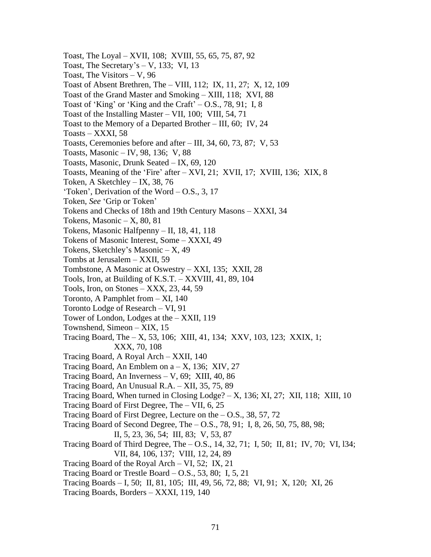- Toast, The Loyal XVII, 108; XVIII, 55, 65, 75, 87, 92 Toast, The Secretary's  $-$  V, 133; VI, 13 Toast, The Visitors – V, 96 Toast of Absent Brethren, The – VIII, 112; IX, 11, 27; X, 12, 109 Toast of the Grand Master and Smoking – XIII, 118; XVI, 88 Toast of 'King' or 'King and the Craft'  $-$  O.S., 78, 91; I, 8 Toast of the Installing Master – VII, 100; VIII, 54, 71 Toast to the Memory of a Departed Brother – III, 60; IV, 24 Toasts – XXXI, 58 Toasts, Ceremonies before and after – III, 34, 60, 73, 87; V, 53 Toasts, Masonic – IV, 98, 136; V, 88 Toasts, Masonic, Drunk Seated – IX, 69, 120 Toasts, Meaning of the 'Fire' after – XVI, 21; XVII, 17; XVIII, 136; XIX, 8 Token, A Sketchley – IX, 38, 76 'Token', Derivation of the Word – O.S., 3, 17 Token, *See* 'Grip or Token' Tokens and Checks of 18th and 19th Century Masons – XXXI, 34 Tokens, Masonic  $- X$ , 80, 81 Tokens, Masonic Halfpenny – II, 18, 41, 118 Tokens of Masonic Interest, Some – XXXI, 49 Tokens, Sketchley's Masonic – X, 49 Tombs at Jerusalem – XXII, 59 Tombstone, A Masonic at Oswestry – XXI, 135; XXII, 28 Tools, Iron, at Building of K.S.T. – XXVIII, 41, 89, 104 Tools, Iron, on Stones – XXX, 23, 44, 59 Toronto, A Pamphlet from – XI, 140 Toronto Lodge of Research – VI, 91 Tower of London, Lodges at the – XXII, 119 Townshend, Simeon – XIX, 15 Tracing Board, The – X, 53, 106; XIII, 41, 134; XXV, 103, 123; XXIX, 1; XXX, 70, 108 Tracing Board, A Royal Arch – XXII, 140 Tracing Board, An Emblem on  $a - X$ , 136; XIV, 27 Tracing Board, An Inverness – V, 69; XIII, 40, 86 Tracing Board, An Unusual R.A. – XII, 35, 75, 89 Tracing Board, When turned in Closing  $Lodge? - X$ , 136; XI, 27; XII, 118; XIII, 10 Tracing Board of First Degree, The – VII, 6, 25 Tracing Board of First Degree, Lecture on the  $-$  O.S., 38, 57, 72 Tracing Board of Second Degree, The – O.S., 78, 91; I, 8, 26, 50, 75, 88, 98; II, 5, 23, 36, 54; III, 83; V, 53, 87 Tracing Board of Third Degree, The – O.S., 14, 32, 71; I, 50; II, 81; IV, 70; VI, l34; VII, 84, 106, 137; VIII, 12, 24, 89 Tracing Board of the Royal Arch – VI, 52; IX, 21 Tracing Board or Trestle Board – O.S., 53, 80; I, 5, 21 Tracing Boards – I, 50; II, 81, 105; III, 49, 56, 72, 88; VI, 91; X, 120; XI, 26
- Tracing Boards, Borders XXXI, 119, 140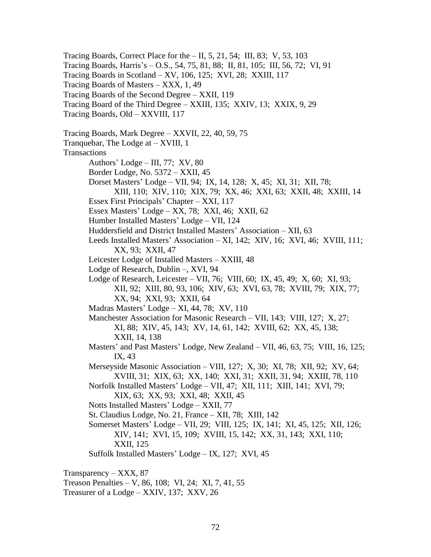Tracing Boards, Correct Place for the – II, 5, 21, 54; III, 83; V, 53, 103 Tracing Boards, Harris's – O.S., 54, 75, 81, 88; II, 81, 105; III, 56, 72; VI, 91 Tracing Boards in Scotland – XV, 106, 125; XVI, 28; XXIII, 117 Tracing Boards of Masters – XXX, 1, 49 Tracing Boards of the Second Degree – XXII, 119 Tracing Board of the Third Degree – XXIII, 135; XXIV, 13; XXIX, 9, 29 Tracing Boards, Old – XXVIII, 117 Tracing Boards, Mark Degree – XXVII, 22, 40, 59, 75 Tranquebar, The Lodge at – XVIII, 1 Transactions Authors' Lodge – III, 77; XV, 80 Border Lodge, No. 5372 – XXII, 45 Dorset Masters' Lodge – VII, 94; IX, 14, 128; X, 45; XI, 31; XII, 78; XIII, 110; XIV, 110; XIX, 79; XX, 46; XXI, 63; XXII, 48; XXIII, 14 Essex First Principals' Chapter – XXI, 117 Essex Masters' Lodge – XX, 78; XXI, 46; XXII, 62 Humber Installed Masters' Lodge – VII, 124 Huddersfield and District Installed Masters' Association – XII, 63 Leeds Installed Masters' Association – XI, 142; XIV, 16; XVI, 46; XVIII, 111; XX, 93; XXII, 47 Leicester Lodge of Installed Masters – XXIII, 48 Lodge of Research, Dublin –, XVI, 94 Lodge of Research, Leicester – VII, 76; VIII, 60; IX, 45, 49; X, 60; XI, 93; XII, 92; XIII, 80, 93, 106; XIV, 63; XVI, 63, 78; XVIII, 79; XIX, 77; XX, 94; XXI, 93; XXII, 64 Madras Masters' Lodge – XI, 44, 78; XV, 110 Manchester Association for Masonic Research – VII, 143; VIII, 127; X, 27; XI, 88; XIV, 45, 143; XV, 14, 61, 142; XVIII, 62; XX, 45, 138; XXII, 14, 138 Masters' and Past Masters' Lodge, New Zealand – VII, 46, 63, 75; VIII, 16, 125; IX, 43 Merseyside Masonic Association – VIII, 127; X, 30; XI, 78; XII, 92; XV, 64; XVIII, 31; XIX, 63; XX, 140; XXI, 31; XXII, 31, 94; XXIII, 78, 110 Norfolk Installed Masters' Lodge – VII, 47; XII, 111; XIII, 141; XVI, 79; XIX, 63; XX, 93; XXI, 48; XXII, 45 Notts Installed Masters' Lodge – XXII, 77 St. Claudius Lodge, No. 21, France – XII, 78; XIII, 142 Somerset Masters' Lodge – VII, 29; VIII, 125; IX, 141; XI, 45, 125; XII, 126; XIV, 141; XVI, 15, 109; XVIII, 15, 142; XX, 31, 143; XXI, 110; XXII, 125 Suffolk Installed Masters' Lodge – IX, 127; XVI, 45 Transparency – XXX, 87 Treason Penalties – V, 86, 108; VI, 24; XI, 7, 41, 55

Treasurer of a Lodge – XXIV, 137; XXV, 26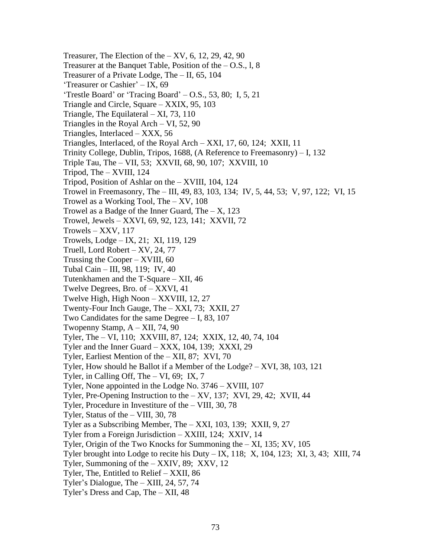Treasurer, The Election of the  $- XY$ , 6, 12, 29, 42, 90 Treasurer at the Banquet Table, Position of the  $-$  O.S., 1, 8 Treasurer of a Private Lodge, The – II, 65, 104 'Treasurer or Cashier' – IX, 69 'Trestle Board' or 'Tracing Board' – O.S., 53, 80; I, 5, 21 Triangle and Circle, Square – XXIX, 95, 103 Triangle, The Equilateral – XI, 73, 110 Triangles in the Royal Arch – VI, 52, 90 Triangles, Interlaced – XXX, 56 Triangles, Interlaced, of the Royal Arch – XXI, 17, 60, 124; XXII, 11 Trinity College, Dublin, Tripos, 1688, (A Reference to Freemasonry) – I, 132 Triple Tau, The – VII, 53; XXVII, 68, 90, 107; XXVIII, 10 Tripod, The – XVIII, 124 Tripod, Position of Ashlar on the – XVIII, 104, 124 Trowel in Freemasonry, The – III, 49, 83, 103, 134; IV, 5, 44, 53; V, 97, 122; VI, 15 Trowel as a Working Tool, The – XV, 108 Trowel as a Badge of the Inner Guard, The  $- X$ , 123 Trowel, Jewels – XXVI, 69, 92, 123, 141; XXVII, 72 Trowels – XXV, 117 Trowels, Lodge – IX, 21; XI, 119, 129 Truell, Lord Robert – XV, 24, 77 Trussing the Cooper – XVIII, 60 Tubal Cain – III, 98, 119; IV, 40 Tutenkhamen and the T-Square – XII, 46 Twelve Degrees, Bro. of – XXVI, 41 Twelve High, High Noon – XXVIII, 12, 27 Twenty-Four Inch Gauge, The – XXI, 73; XXII, 27 Two Candidates for the same Degree – I, 83, 107 Twopenny Stamp, A – XII, 74, 90 Tyler, The – VI, 110; XXVIII, 87, 124; XXIX, 12, 40, 74, 104 Tyler and the Inner Guard – XXX, 104, 139; XXXI, 29 Tyler, Earliest Mention of the – XII, 87; XVI, 70 Tyler, How should he Ballot if a Member of the Lodge? – XVI, 38, 103, 121 Tyler, in Calling Off, The  $- VI$ , 69; IX, 7 Tyler, None appointed in the Lodge No. 3746 – XVIII, 107 Tyler, Pre-Opening Instruction to the – XV, 137; XVI, 29, 42; XVII, 44 Tyler, Procedure in Investiture of the – VIII, 30, 78 Tyler, Status of the – VIII, 30, 78 Tyler as a Subscribing Member, The – XXI, 103, 139; XXII, 9, 27 Tyler from a Foreign Jurisdiction – XXIII, 124; XXIV, 14 Tyler, Origin of the Two Knocks for Summoning the – XI, 135; XV, 105 Tyler brought into Lodge to recite his Duty  $-$  IX, 118; X, 104, 123; XI, 3, 43; XIII, 74 Tyler, Summoning of the – XXIV, 89; XXV, 12 Tyler, The, Entitled to Relief – XXII, 86 Tyler's Dialogue, The – XIII, 24, 57, 74 Tyler's Dress and Cap, The – XII, 48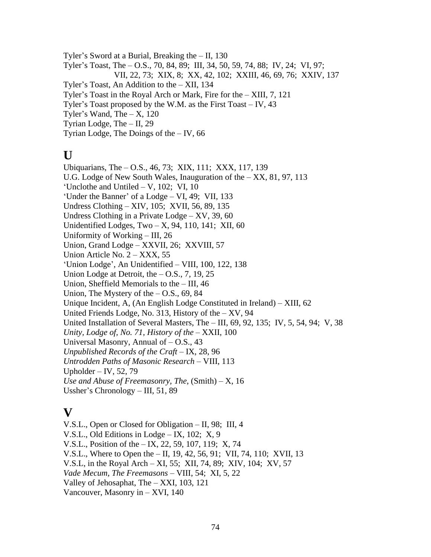Tyler's Sword at a Burial, Breaking the – II, 130 Tyler's Toast, The – O.S., 70, 84, 89; III, 34, 50, 59, 74, 88; IV, 24; VI, 97; VII, 22, 73; XIX, 8; XX, 42, 102; XXIII, 46, 69, 76; XXIV, 137 Tyler's Toast, An Addition to the – XII, 134 Tyler's Toast in the Royal Arch or Mark, Fire for the – XIII, 7, 121 Tyler's Toast proposed by the W.M. as the First Toast – IV, 43 Tyler's Wand, The  $- X$ , 120 Tyrian Lodge, The – II, 29

Tyrian Lodge, The Doings of the – IV, 66

# **U**

Ubiquarians, The – O.S., 46, 73; XIX, 111; XXX, 117, 139 U.G. Lodge of New South Wales, Inauguration of the – XX, 81, 97, 113 'Unclothe and Untiled – V, 102; VI, 10 'Under the Banner' of a Lodge – VI, 49; VII, 133 Undress Clothing – XIV, 105; XVII, 56, 89, 135 Undress Clothing in a Private Lodge – XV, 39, 60 Unidentified Lodges, Two  $- X$ , 94, 110, 141; XII, 60 Uniformity of Working – III, 26 Union, Grand Lodge – XXVII, 26; XXVIII, 57 Union Article No. 2 – XXX, 55 'Union Lodge', An Unidentified – VIII, 100, 122, 138 Union Lodge at Detroit, the  $-$  O.S., 7, 19, 25 Union, Sheffield Memorials to the – III, 46 Union, The Mystery of the  $-$  O.S., 69, 84 Unique Incident, A, (An English Lodge Constituted in Ireland) – XIII, 62 United Friends Lodge, No. 313, History of the  $- XY$ , 94 United Installation of Several Masters, The – III, 69, 92, 135; IV, 5, 54, 94; V, 38 *Unity, Lodge of, No. 71, History of the* – XXII, 100 Universal Masonry, Annual of  $-$  O.S., 43 *Unpublished Records of the Craft* – IX, 28, 96 *Untrodden Paths of Masonic Research* – VIII, 113 Upholder – IV, 52, 79 *Use and Abuse of Freemasonry, The*, (Smith) – X, 16 Ussher's Chronology – III, 51, 89

# **V**

V.S.L., Open or Closed for Obligation – II, 98; III, 4 V.S.L., Old Editions in Lodge – IX, 102; X, 9 V.S.L., Position of the – IX, 22, 59, 107, 119; X, 74 V.S.L., Where to Open the – II, 19, 42, 56, 91; VII, 74, 110; XVII, 13 V.S.L, in the Royal Arch – XI, 55; XII, 74, 89; XIV, 104; XV, 57 *Vade Mecum, The Freemasons* – VIII, 54; XI, 5, 22 Valley of Jehosaphat, The – XXI, 103, 121 Vancouver, Masonry in – XVI, 140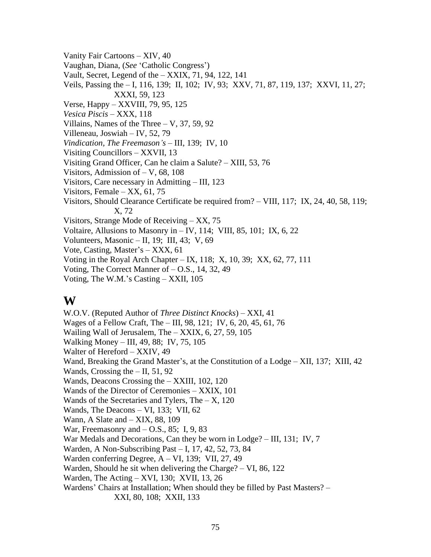Vanity Fair Cartoons – XIV, 40 Vaughan, Diana, (*See* 'Catholic Congress') Vault, Secret, Legend of the – XXIX, 71, 94, 122, 141 Veils, Passing the – I, 116, 139; II, 102; IV, 93; XXV, 71, 87, 119, 137; XXVI, 11, 27; XXXI, 59, 123 Verse, Happy – XXVIII, 79, 95, 125 *Vesica Piscis* – XXX, 118 Villains, Names of the Three – V, 37, 59, 92 Villeneau, Joswiah – IV, 52, 79 *Vindication, The Freemason's* – III, 139; IV, 10 Visiting Councillors – XXVII, 13 Visiting Grand Officer, Can he claim a Salute? – XIII, 53, 76 Visitors, Admission of – V, 68, 108 Visitors, Care necessary in Admitting – III, 123 Visitors, Female – XX, 61, 75 Visitors, Should Clearance Certificate be required from? – VIII, 117; IX, 24, 40, 58, 119; X, 72 Visitors, Strange Mode of Receiving – XX, 75 Voltaire, Allusions to Masonry in – IV, 114; VIII, 85, 101; IX, 6, 22 Volunteers, Masonic – II, 19; III, 43; V, 69 Vote, Casting, Master's – XXX, 61 Voting in the Royal Arch Chapter – IX, 118; X, 10, 39; XX, 62, 77, 111 Voting, The Correct Manner of – O.S., 14, 32, 49 Voting, The W.M.'s Casting – XXII, 105

## **W**

W.O.V. (Reputed Author of *Three Distinct Knocks*) – XXI, 41 Wages of a Fellow Craft, The – III, 98, 121; IV, 6, 20, 45, 61, 76 Wailing Wall of Jerusalem, The – XXIX, 6, 27, 59, 105 Walking Money – III, 49, 88; IV, 75, 105 Walter of Hereford – XXIV, 49 Wand, Breaking the Grand Master's, at the Constitution of a Lodge – XII, 137; XIII, 42 Wands, Crossing the – II, 51, 92 Wands, Deacons Crossing the – XXIII, 102, 120 Wands of the Director of Ceremonies – XXIX, 101 Wands of the Secretaries and Tylers, The  $- X$ , 120 Wands, The Deacons – VI, 133; VII, 62 Wann, A Slate and – XIX, 88, 109 War, Freemasonry and  $-$  O.S., 85; I, 9, 83 War Medals and Decorations, Can they be worn in Lodge? – III, 131; IV, 7 Warden, A Non-Subscribing Past – I, 17, 42, 52, 73, 84 Warden conferring Degree, A – VI, 139; VII, 27, 49 Warden, Should he sit when delivering the Charge? – VI, 86, 122 Warden, The Acting – XVI, 130; XVII, 13, 26 Wardens' Chairs at Installation; When should they be filled by Past Masters? – XXI, 80, 108; XXII, 133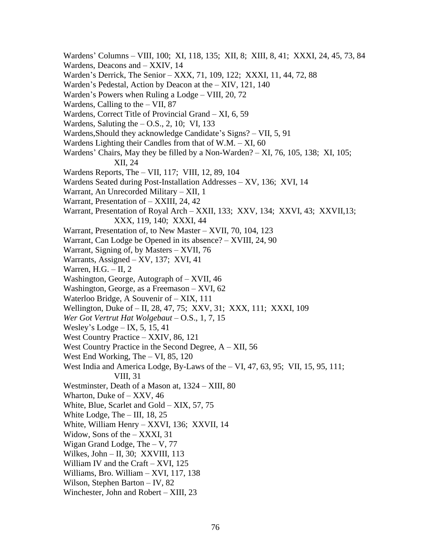- Wardens' Columns VIII, 100; XI, 118, 135; XII, 8; XIII, 8, 41; XXXI, 24, 45, 73, 84
- Wardens, Deacons and XXIV, 14
- Warden's Derrick, The Senior XXX, 71, 109, 122; XXXI, 11, 44, 72, 88
- Warden's Pedestal, Action by Deacon at the XIV, 121, 140
- Warden's Powers when Ruling a Lodge VIII, 20, 72
- Wardens, Calling to the VII, 87
- Wardens, Correct Title of Provincial Grand XI, 6, 59
- Wardens, Saluting the  $-$  O.S., 2, 10; VI, 133
- Wardens,Should they acknowledge Candidate's Signs? VII, 5, 91
- Wardens Lighting their Candles from that of W.M. XI, 60
- Wardens' Chairs, May they be filled by a Non-Warden? XI, 76, 105, 138; XI, 105; XII, 24
- Wardens Reports, The VII, 117; VIII, 12, 89, 104
- Wardens Seated during Post-Installation Addresses XV, 136; XVI, 14
- Warrant, An Unrecorded Military XII, 1
- Warrant, Presentation of XXIII, 24, 42
- Warrant, Presentation of Royal Arch XXII, 133; XXV, 134; XXVI, 43; XXVII,13; XXX, 119, 140; XXXI, 44
- Warrant, Presentation of, to New Master XVII, 70, 104, 123
- Warrant, Can Lodge be Opened in its absence? XVIII, 24, 90
- Warrant, Signing of, by Masters XVII, 76
- Warrants, Assigned XV, 137; XVI, 41
- Warren, H.G. II, 2
- Washington, George, Autograph of XVII, 46
- Washington, George, as a Freemason XVI, 62
- Waterloo Bridge, A Souvenir of XIX, 111
- Wellington, Duke of II, 28, 47, 75; XXV, 31; XXX, 111; XXXI, 109
- *Wer Got Vertrut Hat Wolgebaut* O.S., 1, 7, 15
- Wesley's Lodge IX, 5, 15, 41
- West Country Practice XXIV, 86, 121
- West Country Practice in the Second Degree,  $A XII$ , 56
- West End Working, The VI, 85, 120
- West India and America Lodge, By-Laws of the VI, 47, 63, 95; VII, 15, 95, 111; VIII, 31
- Westminster, Death of a Mason at, 1324 XIII, 80
- Wharton, Duke of XXV, 46
- White, Blue, Scarlet and Gold XIX, 57, 75
- White Lodge, The III, 18, 25
- White, William Henry XXVI, 136; XXVII, 14
- Widow, Sons of the XXXI, 31
- Wigan Grand Lodge, The V, 77
- Wilkes, John II, 30; XXVIII, 113
- William IV and the Craft XVI, 125
- Williams, Bro. William XVI, 117, 138
- Wilson, Stephen Barton IV, 82
- Winchester, John and Robert XIII, 23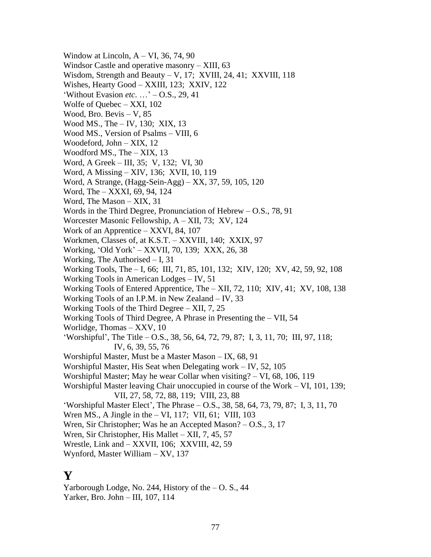Window at Lincoln,  $A - VI$ , 36, 74, 90 Windsor Castle and operative masonry – XIII, 63 Wisdom, Strength and Beauty – V, 17; XVIII, 24, 41; XXVIII, 118 Wishes, Hearty Good – XXIII, 123; XXIV, 122 'Without Evasion *etc*. …' – O.S., 29, 41 Wolfe of Quebec – XXI, 102 Wood, Bro. Bevis – V, 85 Wood MS., The – IV, 130; XIX, 13 Wood MS., Version of Psalms – VIII, 6 Woodeford, John – XIX, 12 Woodford MS., The – XIX, 13 Word, A Greek – III, 35; V, 132; VI, 30 Word, A Missing – XIV, 136; XVII, 10, 119 Word, A Strange, (Hagg-Sein-Agg) – XX, 37, 59, 105, 120 Word, The – XXXI, 69, 94, 124 Word, The Mason – XIX, 31 Words in the Third Degree, Pronunciation of Hebrew – O.S., 78, 91 Worcester Masonic Fellowship, A – XII, 73; XV, 124 Work of an Apprentice – XXVI, 84, 107 Workmen, Classes of, at K.S.T. – XXVIII, 140; XXIX, 97 Working, 'Old York' – XXVII, 70, 139; XXX, 26, 38 Working, The Authorised – I, 31 Working Tools, The – I, 66; III, 71, 85, 101, 132; XIV, 120; XV, 42, 59, 92, 108 Working Tools in American Lodges – IV, 51 Working Tools of Entered Apprentice, The – XII, 72, 110; XIV, 41; XV, 108, 138 Working Tools of an I.P.M. in New Zealand – IV, 33 Working Tools of the Third Degree – XII, 7, 25 Working Tools of Third Degree, A Phrase in Presenting the – VII, 54 Worlidge, Thomas – XXV, 10 'Worshipful', The Title – O.S., 38, 56, 64, 72, 79, 87; I, 3, 11, 70; III, 97, 118; IV, 6, 39, 55, 76 Worshipful Master, Must be a Master Mason – IX, 68, 91 Worshipful Master, His Seat when Delegating work – IV, 52, 105 Worshipful Master; May he wear Collar when visiting? – VI, 68, 106, 119 Worshipful Master leaving Chair unoccupied in course of the Work – VI, 101, 139; VII, 27, 58, 72, 88, 119; VIII, 23, 88 'Worshipful Master Elect', The Phrase – O.S., 38, 58, 64, 73, 79, 87; I, 3, 11, 70 Wren MS., A Jingle in the – VI, 117; VII, 61; VIII, 103 Wren, Sir Christopher; Was he an Accepted Mason? – O.S., 3, 17 Wren, Sir Christopher, His Mallet – XII, 7, 45, 57 Wrestle, Link and – XXVII, 106; XXVIII, 42, 59 Wynford, Master William – XV, 137

## **Y**

Yarborough Lodge, No. 244, History of the  $-$  O. S., 44 Yarker, Bro. John – III, 107, 114